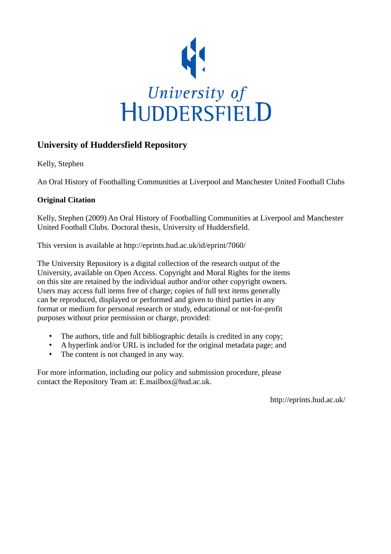

## **University of Huddersfield Repository**

Kelly, Stephen

An Oral History of Footballing Communities at Liverpool and Manchester United Football Clubs

## **Original Citation**

Kelly, Stephen (2009) An Oral History of Footballing Communities at Liverpool and Manchester United Football Clubs. Doctoral thesis, University of Huddersfield.

This version is available at http://eprints.hud.ac.uk/id/eprint/7060/

The University Repository is a digital collection of the research output of the University, available on Open Access. Copyright and Moral Rights for the items on this site are retained by the individual author and/or other copyright owners. Users may access full items free of charge; copies of full text items generally can be reproduced, displayed or performed and given to third parties in any format or medium for personal research or study, educational or not-for-profit purposes without prior permission or charge, provided:

- The authors, title and full bibliographic details is credited in any copy;
- A hyperlink and/or URL is included for the original metadata page; and
- The content is not changed in any way.

For more information, including our policy and submission procedure, please contact the Repository Team at: E.mailbox@hud.ac.uk.

http://eprints.hud.ac.uk/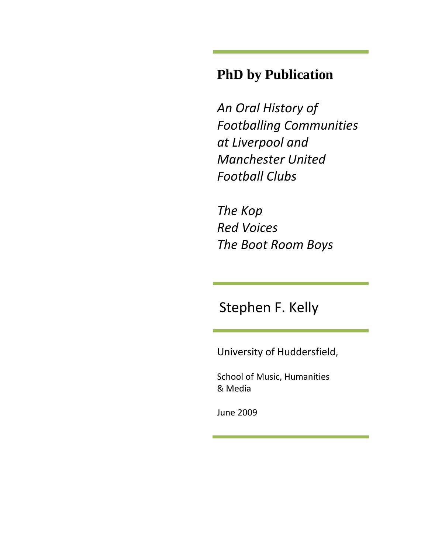# **PhD by Publication**

*An Oral History of Footballing Communities at Liverpool and Manchester United Football Clubs* 

*The Kop R ed Voices T he Boot Room Boys*

Stephen F. Kelly

University of Huddersfield,

School of Music, Humanities & Media

June 2009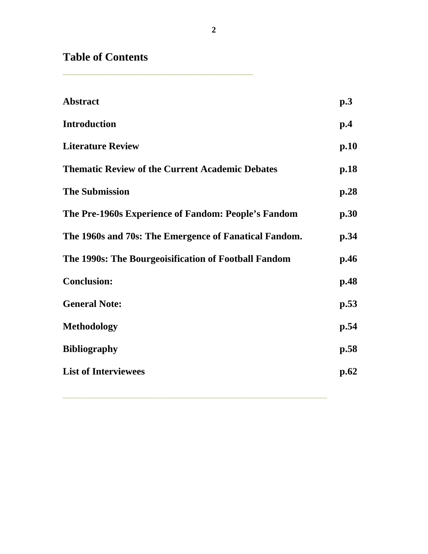**Table of Contents** 

**\_\_\_\_\_\_\_\_\_\_\_\_\_\_\_\_\_\_\_\_\_\_\_\_\_\_\_\_\_\_\_\_\_\_** 

| <b>Abstract</b>                                        | p.3  |
|--------------------------------------------------------|------|
| <b>Introduction</b>                                    | p.4  |
| <b>Literature Review</b>                               | p.10 |
| <b>Thematic Review of the Current Academic Debates</b> | p.18 |
| <b>The Submission</b>                                  | p.28 |
| The Pre-1960s Experience of Fandom: People's Fandom    | p.30 |
| The 1960s and 70s: The Emergence of Fanatical Fandom.  | p.34 |
| The 1990s: The Bourgeoisification of Football Fandom   | p.46 |
| <b>Conclusion:</b>                                     | p.48 |
| <b>General Note:</b>                                   | p.53 |
| Methodology                                            | p.54 |
| <b>Bibliography</b>                                    | p.58 |
| <b>List of Interviewees</b>                            | p.62 |
|                                                        |      |

**\_\_\_\_\_\_\_\_\_\_\_\_\_\_\_\_\_\_\_\_\_\_\_\_\_\_\_\_\_\_\_\_\_\_\_\_\_\_\_\_\_\_\_\_\_\_\_\_\_\_\_\_\_\_**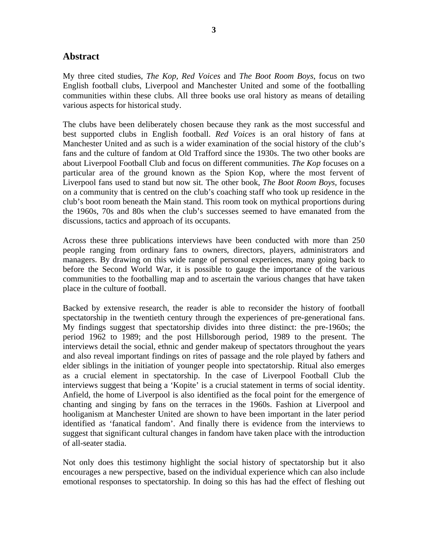## **Abstract**

My three cited studies, *The Kop, Red Voices* and *The Boot Room Boys*, focus on two English football clubs, Liverpool and Manchester United and some of the footballing communities within these clubs. All three books use oral history as means of detailing various aspects for historical study.

The clubs have been deliberately chosen because they rank as the most successful and best supported clubs in English football. *Red Voices* is an oral history of fans at Manchester United and as such is a wider examination of the social history of the club's fans and the culture of fandom at Old Trafford since the 1930s. The two other books are about Liverpool Football Club and focus on different communities. *The Kop* focuses on a particular area of the ground known as the Spion Kop, where the most fervent of Liverpool fans used to stand but now sit. The other book, *The Boot Room Boys,* focuses on a community that is centred on the club's coaching staff who took up residence in the club's boot room beneath the Main stand. This room took on mythical proportions during the 1960s, 70s and 80s when the club's successes seemed to have emanated from the discussions, tactics and approach of its occupants.

Across these three publications interviews have been conducted with more than 250 people ranging from ordinary fans to owners, directors, players, administrators and managers. By drawing on this wide range of personal experiences, many going back to before the Second World War, it is possible to gauge the importance of the various communities to the footballing map and to ascertain the various changes that have taken place in the culture of football.

Backed by extensive research, the reader is able to reconsider the history of football spectatorship in the twentieth century through the experiences of pre-generational fans. My findings suggest that spectatorship divides into three distinct: the pre-1960s; the period 1962 to 1989; and the post Hillsborough period, 1989 to the present. The interviews detail the social, ethnic and gender makeup of spectators throughout the years and also reveal important findings on rites of passage and the role played by fathers and elder siblings in the initiation of younger people into spectatorship. Ritual also emerges as a crucial element in spectatorship. In the case of Liverpool Football Club the interviews suggest that being a 'Kopite' is a crucial statement in terms of social identity. Anfield, the home of Liverpool is also identified as the focal point for the emergence of chanting and singing by fans on the terraces in the 1960s. Fashion at Liverpool and hooliganism at Manchester United are shown to have been important in the later period identified as 'fanatical fandom'. And finally there is evidence from the interviews to suggest that significant cultural changes in fandom have taken place with the introduction of all-seater stadia.

Not only does this testimony highlight the social history of spectatorship but it also encourages a new perspective, based on the individual experience which can also include emotional responses to spectatorship. In doing so this has had the effect of fleshing out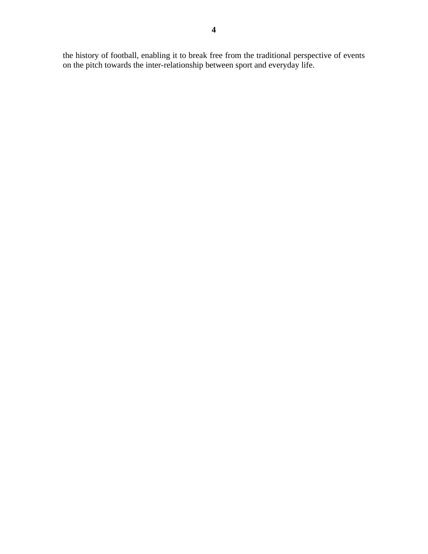the history of football, enabling it to break free from the traditional perspective of events on the pitch towards the inter-relationship between sport and everyday life.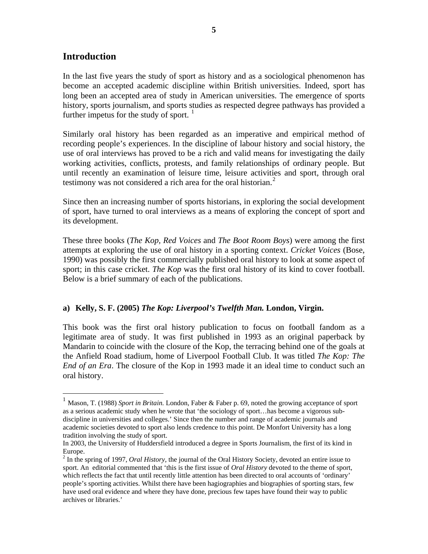## **Introduction**

In the last five years the study of sport as history and as a sociological phenomenon has become an accepted academic discipline within British universities. Indeed, sport has long been an accepted area of study in American universities. The emergence of sports history, sports journalism, and sports studies as respected degree pathways has provided a further impetus for the study of sport.  $\frac{1}{1}$  $\frac{1}{1}$  $\frac{1}{1}$ 

Similarly oral history has been regarded as an imperative and empirical method of recording people's experiences. In the discipline of labour history and social history, the use of oral interviews has proved to be a rich and valid means for investigating the daily working activities, conflicts, protests, and family relationships of ordinary people. But until recently an examination of leisure time, leisure activities and sport, through oral testimony was not considered a rich area for the oral historian. $<sup>2</sup>$  $<sup>2</sup>$  $<sup>2</sup>$ </sup>

Since then an increasing number of sports historians, in exploring the social development of sport, have turned to oral interviews as a means of exploring the concept of sport and its development.

These three books (*The Kop, Red Voices* and *The Boot Room Boys*) were among the first attempts at exploring the use of oral history in a sporting context. *Cricket Voices* (Bose, 1990) was possibly the first commercially published oral history to look at some aspect of sport; in this case cricket. *The Kop* was the first oral history of its kind to cover football. Below is a brief summary of each of the publications.

#### **a) Kelly, S. F. (2005)** *The Kop: Liverpool's Twelfth Man.* **London, Virgin.**

This book was the first oral history publication to focus on football fandom as a legitimate area of study. It was first published in 1993 as an original paperback by Mandarin to coincide with the closure of the Kop, the terracing behind one of the goals at the Anfield Road stadium, home of Liverpool Football Club. It was titled *The Kop: The End of an Era*. The closure of the Kop in 1993 made it an ideal time to conduct such an oral history.

<span id="page-5-0"></span><sup>&</sup>lt;sup>1</sup> Mason, T. (1988) *Sport in Britain*. London, Faber & Faber p. 69, noted the growing acceptance of sport as a serious academic study when he wrote that 'the sociology of sport…has become a vigorous subdiscipline in universities and colleges.' Since then the number and range of academic journals and academic societies devoted to sport also lends credence to this point. De Monfort University has a long tradition involving the study of sport.

In 2003, the University of Huddersfield introduced a degree in Sports Journalism, the first of its kind in Europe.

<span id="page-5-1"></span><sup>&</sup>lt;sup>2</sup> In the spring of 1997, *Oral History*, the journal of the Oral History Society, devoted an entire issue to sport. An editorial commented that 'this is the first issue of *Oral History* devoted to the theme of sport, which reflects the fact that until recently little attention has been directed to oral accounts of 'ordinary' people's sporting activities. Whilst there have been hagiographies and biographies of sporting stars, few have used oral evidence and where they have done, precious few tapes have found their way to public archives or libraries.'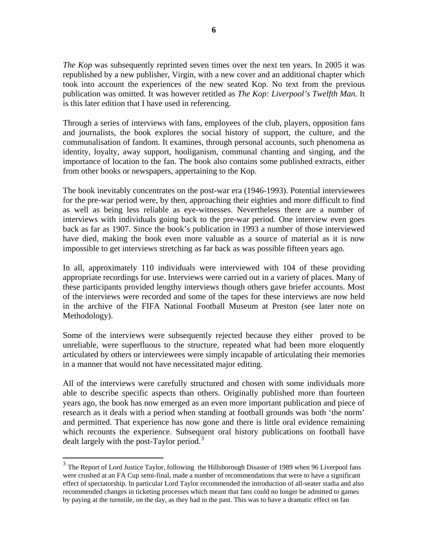*The Kop* was subsequently reprinted seven times over the next ten years. In 2005 it was republished by a new publisher, Virgin, with a new cover and an additional chapter which took into account the experiences of the new seated Kop. No text from the previous publication was omitted. It was however retitled as *The Kop: Liverpool's Twelfth Man.* It is this later edition that I have used in referencing.

Through a series of interviews with fans, employees of the club, players, opposition fans and journalists, the book explores the social history of support, the culture, and the communalisation of fandom. It examines, through personal accounts, such phenomena as identity, loyalty, away support, hooliganism, communal chanting and singing, and the importance of location to the fan. The book also contains some published extracts, either from other books or newspapers, appertaining to the Kop.

The book inevitably concentrates on the post-war era (1946-1993). Potential interviewees for the pre-war period were, by then, approaching their eighties and more difficult to find as well as being less reliable as eye-witnesses. Nevertheless there are a number of interviews with individuals going back to the pre-war period. One interview even goes back as far as 1907. Since the book's publication in 1993 a number of those interviewed have died, making the book even more valuable as a source of material as it is now impossible to get interviews stretching as far back as was possible fifteen years ago.

In all, approximately 110 individuals were interviewed with 104 of these providing appropriate recordings for use. Interviews were carried out in a variety of places. Many of these participants provided lengthy interviews though others gave briefer accounts. Most of the interviews were recorded and some of the tapes for these interviews are now held in the archive of the FIFA National Football Museum at Preston (see later note on Methodology).

Some of the interviews were subsequently rejected because they either proved to be unreliable, were superfluous to the structure, repeated what had been more eloquently articulated by others or interviewees were simply incapable of articulating their memories in a manner that would not have necessitated major editing.

All of the interviews were carefully structured and chosen with some individuals more able to describe specific aspects than others. Originally published more than fourteen years ago, the book has now emerged as an even more important publication and piece of research as it deals with a period when standing at football grounds was both 'the norm' and permitted. That experience has now gone and there is little oral evidence remaining which recounts the experience. Subsequent oral history publications on football have dealt largely with the post-Taylor period.<sup>[3](#page-6-0)</sup>

<span id="page-6-0"></span><sup>&</sup>lt;sup>3</sup> The Report of Lord Justice Taylor, following the Hillsborough Disaster of 1989 when 96 Liverpool fans were crushed at an FA Cup semi-final, made a number of recommendations that were to have a significant effect of spectatorship. In particular Lord Taylor recommended the introduction of all-seater stadia and also recommended changes in ticketing processes which meant that fans could no longer be admitted to games by paying at the turnstile, on the day, as they had in the past. This was to have a dramatic effect on fan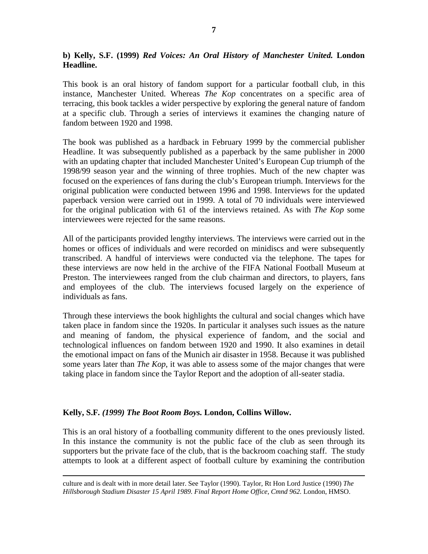### **b) Kelly, S.F. (1999)** *Red Voices: An Oral History of Manchester United.* **London Headline.**

This book is an oral history of fandom support for a particular football club, in this instance, Manchester United. Whereas *The Kop* concentrates on a specific area of terracing, this book tackles a wider perspective by exploring the general nature of fandom at a specific club. Through a series of interviews it examines the changing nature of fandom between 1920 and 1998.

The book was published as a hardback in February 1999 by the commercial publisher Headline. It was subsequently published as a paperback by the same publisher in 2000 with an updating chapter that included Manchester United's European Cup triumph of the 1998/99 season year and the winning of three trophies. Much of the new chapter was focused on the experiences of fans during the club's European triumph. Interviews for the original publication were conducted between 1996 and 1998. Interviews for the updated paperback version were carried out in 1999. A total of 70 individuals were interviewed for the original publication with 61 of the interviews retained. As with *The Kop* some interviewees were rejected for the same reasons.

All of the participants provided lengthy interviews. The interviews were carried out in the homes or offices of individuals and were recorded on minidiscs and were subsequently transcribed. A handful of interviews were conducted via the telephone. The tapes for these interviews are now held in the archive of the FIFA National Football Museum at Preston. The interviewees ranged from the club chairman and directors, to players, fans and employees of the club. The interviews focused largely on the experience of individuals as fans.

Through these interviews the book highlights the cultural and social changes which have taken place in fandom since the 1920s. In particular it analyses such issues as the nature and meaning of fandom, the physical experience of fandom, and the social and technological influences on fandom between 1920 and 1990. It also examines in detail the emotional impact on fans of the Munich air disaster in 1958. Because it was published some years later than *The Kop*, it was able to assess some of the major changes that were taking place in fandom since the Taylor Report and the adoption of all-seater stadia.

#### **Kelly, S.F***. (1999) The Boot Room Boys.* **London, Collins Willow.**

This is an oral history of a footballing community different to the ones previously listed. In this instance the community is not the public face of the club as seen through its supporters but the private face of the club, that is the backroom coaching staff. The study attempts to look at a different aspect of football culture by examining the contribution

culture and is dealt with in more detail later. See Taylor (1990). Taylor, Rt Hon Lord Justice (1990) *The Hillsborough Stadium Disaster 15 April 1989. Final Report Home Office*, *Cmnd 962.* London, HMSO.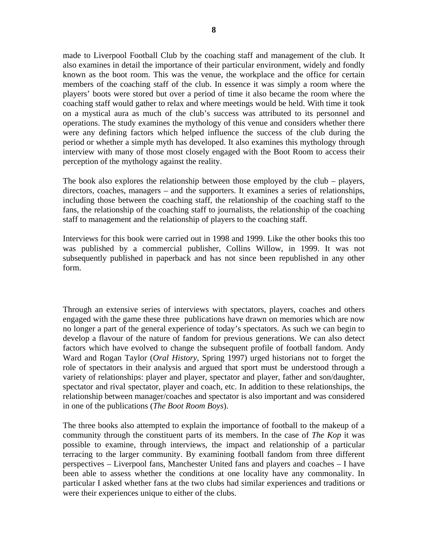made to Liverpool Football Club by the coaching staff and management of the club. It also examines in detail the importance of their particular environment, widely and fondly known as the boot room. This was the venue, the workplace and the office for certain members of the coaching staff of the club. In essence it was simply a room where the players' boots were stored but over a period of time it also became the room where the coaching staff would gather to relax and where meetings would be held. With time it took on a mystical aura as much of the club's success was attributed to its personnel and operations. The study examines the mythology of this venue and considers whether there were any defining factors which helped influence the success of the club during the period or whether a simple myth has developed. It also examines this mythology through interview with many of those most closely engaged with the Boot Room to access their perception of the mythology against the reality.

The book also explores the relationship between those employed by the club – players, directors, coaches, managers – and the supporters. It examines a series of relationships, including those between the coaching staff, the relationship of the coaching staff to the fans, the relationship of the coaching staff to journalists, the relationship of the coaching staff to management and the relationship of players to the coaching staff.

Interviews for this book were carried out in 1998 and 1999. Like the other books this too was published by a commercial publisher, Collins Willow, in 1999. It was not subsequently published in paperback and has not since been republished in any other form.

Through an extensive series of interviews with spectators, players, coaches and others engaged with the game these three publications have drawn on memories which are now no longer a part of the general experience of today's spectators. As such we can begin to develop a flavour of the nature of fandom for previous generations. We can also detect factors which have evolved to change the subsequent profile of football fandom. Andy Ward and Rogan Taylor (*Oral History*, Spring 1997) urged historians not to forget the role of spectators in their analysis and argued that sport must be understood through a variety of relationships: player and player, spectator and player, father and son/daughter, spectator and rival spectator, player and coach, etc. In addition to these relationships, the relationship between manager/coaches and spectator is also important and was considered in one of the publications (*The Boot Room Boys*).

The three books also attempted to explain the importance of football to the makeup of a community through the constituent parts of its members. In the case of *The Kop* it was possible to examine, through interviews, the impact and relationship of a particular terracing to the larger community. By examining football fandom from three different perspectives – Liverpool fans, Manchester United fans and players and coaches – I have been able to assess whether the conditions at one locality have any commonality. In particular I asked whether fans at the two clubs had similar experiences and traditions or were their experiences unique to either of the clubs.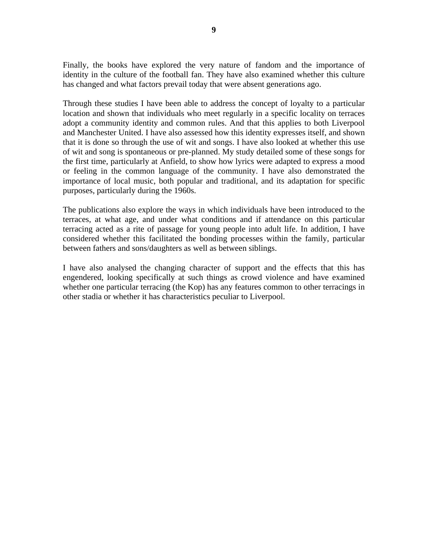Finally, the books have explored the very nature of fandom and the importance of identity in the culture of the football fan. They have also examined whether this culture has changed and what factors prevail today that were absent generations ago.

Through these studies I have been able to address the concept of loyalty to a particular location and shown that individuals who meet regularly in a specific locality on terraces adopt a community identity and common rules. And that this applies to both Liverpool and Manchester United. I have also assessed how this identity expresses itself, and shown that it is done so through the use of wit and songs. I have also looked at whether this use of wit and song is spontaneous or pre-planned. My study detailed some of these songs for the first time, particularly at Anfield, to show how lyrics were adapted to express a mood or feeling in the common language of the community. I have also demonstrated the importance of local music, both popular and traditional, and its adaptation for specific purposes, particularly during the 1960s.

The publications also explore the ways in which individuals have been introduced to the terraces, at what age, and under what conditions and if attendance on this particular terracing acted as a rite of passage for young people into adult life. In addition, I have considered whether this facilitated the bonding processes within the family, particular between fathers and sons/daughters as well as between siblings.

I have also analysed the changing character of support and the effects that this has engendered, looking specifically at such things as crowd violence and have examined whether one particular terracing (the Kop) has any features common to other terracings in other stadia or whether it has characteristics peculiar to Liverpool.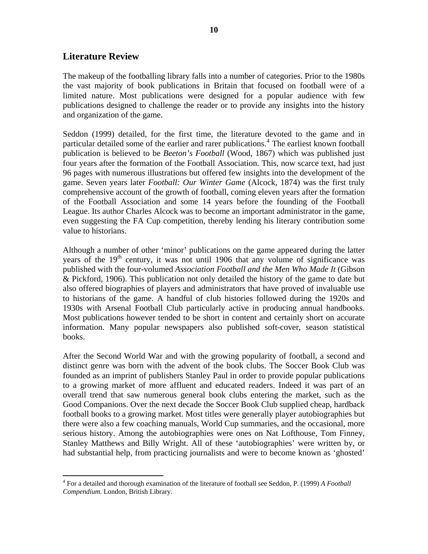## **Literature Review**

The makeup of the footballing library falls into a number of categories. Prior to the 1980s the vast majority of book publications in Britain that focused on football were of a limited nature. Most publications were designed for a popular audience with few publications designed to challenge the reader or to provide any insights into the history and organization of the game.

Seddon (1999) detailed, for the first time, the literature devoted to the game and in particular detailed some of the earlier and rarer publications.<sup>[4](#page-10-0)</sup> The earliest known football publication is believed to be *Beeton's Football* (Wood, 1867) which was published just four years after the formation of the Football Association. This, now scarce text, had just 96 pages with numerous illustrations but offered few insights into the development of the game. Seven years later *Football: Our Winter Game* (Alcock, 1874) was the first truly comprehensive account of the growth of football, coming eleven years after the formation of the Football Association and some 14 years before the founding of the Football League. Its author Charles Alcock was to become an important administrator in the game, even suggesting the FA Cup competition, thereby lending his literary contribution some value to historians.

Although a number of other 'minor' publications on the game appeared during the latter years of the  $19<sup>th</sup>$  century, it was not until 1906 that any volume of significance was published with the four-volumed *Association Football and the Men Who Made It* (Gibson & Pickford, 1906). This publication not only detailed the history of the game to date but also offered biographies of players and administrators that have proved of invaluable use to historians of the game. A handful of club histories followed during the 1920s and 1930s with Arsenal Football Club particularly active in producing annual handbooks. Most publications however tended to be short in content and certainly short on accurate information. Many popular newspapers also published soft-cover, season statistical books.

After the Second World War and with the growing popularity of football, a second and distinct genre was born with the advent of the book clubs. The Soccer Book Club was founded as an imprint of publishers Stanley Paul in order to provide popular publications to a growing market of more affluent and educated readers. Indeed it was part of an overall trend that saw numerous general book clubs entering the market, such as the Good Companions. Over the next decade the Soccer Book Club supplied cheap, hardback football books to a growing market. Most titles were generally player autobiographies but there were also a few coaching manuals, World Cup summaries, and the occasional, more serious history. Among the autobiographies were ones on Nat Lofthouse, Tom Finney, Stanley Matthews and Billy Wright. All of these 'autobiographies' were written by, or had substantial help, from practicing journalists and were to become known as 'ghosted'

<span id="page-10-0"></span><sup>4</sup> For a detailed and thorough examination of the literature of football see Seddon, P. (1999) *A Football Compendium*. London, British Library.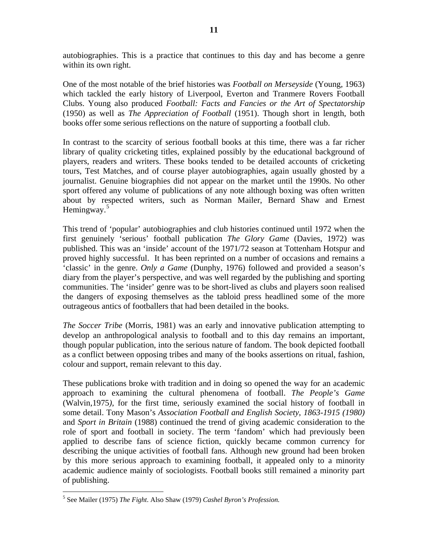autobiographies. This is a practice that continues to this day and has become a genre within its own right.

One of the most notable of the brief histories was *Football on Merseyside* (Young, 1963) which tackled the early history of Liverpool, Everton and Tranmere Rovers Football Clubs. Young also produced *Football: Facts and Fancies or the Art of Spectatorship* (1950) as well as *The Appreciation of Football* (1951). Though short in length, both books offer some serious reflections on the nature of supporting a football club.

In contrast to the scarcity of serious football books at this time, there was a far richer library of quality cricketing titles, explained possibly by the educational background of players, readers and writers. These books tended to be detailed accounts of cricketing tours, Test Matches, and of course player autobiographies, again usually ghosted by a journalist. Genuine biographies did not appear on the market until the 1990s. No other sport offered any volume of publications of any note although boxing was often written about by respected writers, such as Norman Mailer, Bernard Shaw and Ernest Hemingway.<sup>[5](#page-11-0)</sup>

This trend of 'popular' autobiographies and club histories continued until 1972 when the first genuinely 'serious' football publication *The Glory Game* (Davies, 1972) was published. This was an 'inside' account of the 1971/72 season at Tottenham Hotspur and proved highly successful. It has been reprinted on a number of occasions and remains a 'classic' in the genre. *Only a Game* (Dunphy, 1976) followed and provided a season's diary from the player's perspective, and was well regarded by the publishing and sporting communities. The 'insider' genre was to be short-lived as clubs and players soon realised the dangers of exposing themselves as the tabloid press headlined some of the more outrageous antics of footballers that had been detailed in the books.

*The Soccer Tribe* (Morris, 1981) was an early and innovative publication attempting to develop an anthropological analysis to football and to this day remains an important, though popular publication, into the serious nature of fandom. The book depicted football as a conflict between opposing tribes and many of the books assertions on ritual, fashion, colour and support, remain relevant to this day.

These publications broke with tradition and in doing so opened the way for an academic approach to examining the cultural phenomena of football. *The People's Game*  (Walvin,1975*)*, for the first time, seriously examined the social history of football in some detail. Tony Mason's *Association Football and English Society*, *1863-1915 (1980)*  and *Sport in Britain* (1988) continued the trend of giving academic consideration to the role of sport and football in society. The term 'fandom' which had previously been applied to describe fans of science fiction, quickly became common currency for describing the unique activities of football fans. Although new ground had been broken by this more serious approach to examining football, it appealed only to a minority academic audience mainly of sociologists. Football books still remained a minority part of publishing.

<span id="page-11-0"></span> 5 See Mailer (1975) *The Fight*. Also Shaw (1979) *Cashel Byron's Profession.*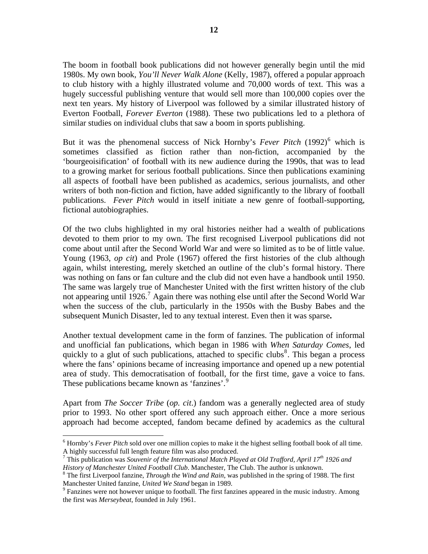The boom in football book publications did not however generally begin until the mid 1980s. My own book, *You'll Never Walk Alone* (Kelly, 1987), offered a popular approach to club history with a highly illustrated volume and 70,000 words of text. This was a hugely successful publishing venture that would sell more than 100,000 copies over the next ten years. My history of Liverpool was followed by a similar illustrated history of Everton Football, *Forever Everton* (1988). These two publications led to a plethora of similar studies on individual clubs that saw a boom in sports publishing.

But it was the phenomenal success of Nick Hornby's *Fever Pitch* (1992)<sup>[6](#page-12-0)</sup> which is sometimes classified as fiction rather than non-fiction, accompanied by the 'bourgeoisification' of football with its new audience during the 1990s, that was to lead to a growing market for serious football publications. Since then publications examining all aspects of football have been published as academics, serious journalists, and other writers of both non-fiction and fiction, have added significantly to the library of football publications. *Fever Pitch* would in itself initiate a new genre of football-supporting, fictional autobiographies.

Of the two clubs highlighted in my oral histories neither had a wealth of publications devoted to them prior to my own. The first recognised Liverpool publications did not come about until after the Second World War and were so limited as to be of little value. Young (1963, *op cit*) and Prole (1967) offered the first histories of the club although again, whilst interesting, merely sketched an outline of the club's formal history. There was nothing on fans or fan culture and the club did not even have a handbook until 1950. The same was largely true of Manchester United with the first written history of the club not appearing until 1926.<sup>[7](#page-12-1)</sup> Again there was nothing else until after the Second World War when the success of the club, particularly in the 1950s with the Busby Babes and the subsequent Munich Disaster, led to any textual interest. Even then it was sparse**.** 

Another textual development came in the form of fanzines. The publication of informal and unofficial fan publications, which began in 1986 with *When Saturday Comes*, led quickly to a glut of such publications, attached to specific clubs<sup>[8](#page-12-2)</sup>. This began a process where the fans' opinions became of increasing importance and opened up a new potential area of study. This democratisation of football, for the first time, gave a voice to fans. These publications became known as 'fanzines'.<sup>[9](#page-12-3)</sup>

Apart from *The Soccer Tribe* (*op. cit*.) fandom was a generally neglected area of study prior to 1993. No other sport offered any such approach either. Once a more serious approach had become accepted, fandom became defined by academics as the cultural

<span id="page-12-0"></span><sup>&</sup>lt;sup>6</sup> Hornby's *Fever Pitch* sold over one million copies to make it the highest selling football book of all time. A highly successful full length feature film was also produced.

<span id="page-12-1"></span><sup>7</sup> This publication was *Souvenir of the International Match Played at Old Trafford, April 17th 1926 and*  History of Manchester United Football Club. Manchester, The Club. The author is unknown.

<span id="page-12-2"></span>The first Liverpool fanzine, *Through the Wind and Rain*, was published in the spring of 1988. The first Manchester United fanzine, *United We Stand* began in 1989.

<span id="page-12-3"></span><sup>&</sup>lt;sup>9</sup> Fanzines were not however unique to football. The first fanzines appeared in the music industry. Among the first was *Merseybeat*, founded in July 1961.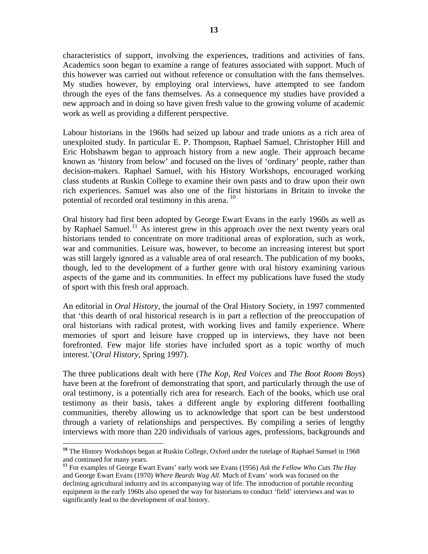characteristics of support, involving the experiences, traditions and activities of fans. Academics soon began to examine a range of features associated with support. Much of this however was carried out without reference or consultation with the fans themselves. My studies however, by employing oral interviews, have attempted to see fandom through the eyes of the fans themselves. As a consequence my studies have provided a new approach and in doing so have given fresh value to the growing volume of academic work as well as providing a different perspective.

Labour historians in the 1960s had seized up labour and trade unions as a rich area of unexploited study. In particular E. P. Thompson, Raphael Samuel, Christopher Hill and Eric Hobsbawm began to approach history from a new angle. Their approach became known as 'history from below' and focused on the lives of 'ordinary' people, rather than decision-makers. Raphael Samuel, with his History Workshops, encouraged working class students at Ruskin College to examine their own pasts and to draw upon their own rich experiences. Samuel was also one of the first historians in Britain to invoke the potential of recorded oral testimony in this arena.<sup>[10](#page-13-0)</sup>

Oral history had first been adopted by George Ewart Evans in the early 1960s as well as by Raphael Samuel.<sup>[11](#page-13-1)</sup> As interest grew in this approach over the next twenty years oral historians tended to concentrate on more traditional areas of exploration, such as work, war and communities. Leisure was, however, to become an increasing interest but sport was still largely ignored as a valuable area of oral research. The publication of my books, though, led to the development of a further genre with oral history examining various aspects of the game and its communities. In effect my publications have fused the study of sport with this fresh oral approach.

An editorial in *Oral History*, the journal of the Oral History Society, in 1997 commented that 'this dearth of oral historical research is in part a reflection of the preoccupation of oral historians with radical protest, with working lives and family experience. Where memories of sport and leisure have cropped up in interviews, they have not been forefronted. Few major life stories have included sport as a topic worthy of much interest.'(*Oral History*, Spring 1997).

The three publications dealt with here (*The Kop, Red Voices* and *The Boot Room Boys*) have been at the forefront of demonstrating that sport, and particularly through the use of oral testimony, is a potentially rich area for research. Each of the books, which use oral testimony as their basis, takes a different angle by exploring different footballing communities, thereby allowing us to acknowledge that sport can be best understood through a variety of relationships and perspectives. By compiling a series of lengthy interviews with more than 220 individuals of various ages, professions, backgrounds and

<span id="page-13-0"></span>**<sup>10</sup>** The History Workshops began at Ruskin College, Oxford under the tutelage of Raphael Samuel in 1968 and continued for many years.

<span id="page-13-1"></span>**<sup>11</sup>** For examples of George Ewart Evans' early work see Evans (1956) *Ask the Fellow Who Cuts The Hay* and George Ewart Evans (1970) *Where Beards Wag All.* Much of Evans' work was focused on the declining agricultural industry and its accompanying way of life. The introduction of portable recording equipment in the early 1960s also opened the way for historians to conduct 'field' interviews and was to significantly lead to the development of oral history.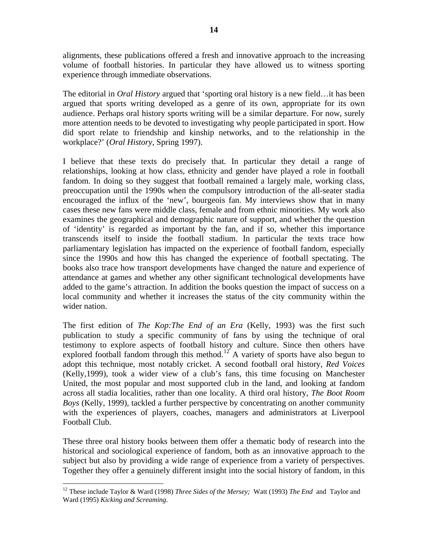alignments, these publications offered a fresh and innovative approach to the increasing volume of football histories. In particular they have allowed us to witness sporting experience through immediate observations.

The editorial in *Oral History* argued that 'sporting oral history is a new field…it has been argued that sports writing developed as a genre of its own, appropriate for its own audience. Perhaps oral history sports writing will be a similar departure. For now, surely more attention needs to be devoted to investigating why people participated in sport. How did sport relate to friendship and kinship networks, and to the relationship in the workplace?' (*Oral History*, Spring 1997).

I believe that these texts do precisely that. In particular they detail a range of relationships, looking at how class, ethnicity and gender have played a role in football fandom. In doing so they suggest that football remained a largely male, working class, preoccupation until the 1990s when the compulsory introduction of the all-seater stadia encouraged the influx of the 'new', bourgeois fan. My interviews show that in many cases these new fans were middle class, female and from ethnic minorities. My work also examines the geographical and demographic nature of support, and whether the question of 'identity' is regarded as important by the fan, and if so, whether this importance transcends itself to inside the football stadium. In particular the texts trace how parliamentary legislation has impacted on the experience of football fandom, especially since the 1990s and how this has changed the experience of football spectating. The books also trace how transport developments have changed the nature and experience of attendance at games and whether any other significant technological developments have added to the game's attraction. In addition the books question the impact of success on a local community and whether it increases the status of the city community within the wider nation.

The first edition of *The Kop:The End of an Era* (Kelly, 1993) was the first such publication to study a specific community of fans by using the technique of oral testimony to explore aspects of football history and culture. Since then others have explored football fandom through this method.<sup>[12](#page-14-0)</sup> A variety of sports have also begun to adopt this technique, most notably cricket. A second football oral history, *Red Voices*  (Kelly,1999), took a wider view of a club's fans, this time focusing on Manchester United, the most popular and most supported club in the land, and looking at fandom across all stadia localities, rather than one locality. A third oral history, *The Boot Room Boys* (Kelly, 1999), tackled a further perspective by concentrating on another community with the experiences of players, coaches, managers and administrators at Liverpool Football Club.

These three oral history books between them offer a thematic body of research into the historical and sociological experience of fandom, both as an innovative approach to the subject but also by providing a wide range of experience from a variety of perspectives. Together they offer a genuinely different insight into the social history of fandom, in this

<span id="page-14-0"></span><sup>12</sup> These include Taylor & Ward (1998) *Three Sides of the Mersey;* Watt (1993) *The End* and Taylor and Ward (1995) *Kicking and Screaming*.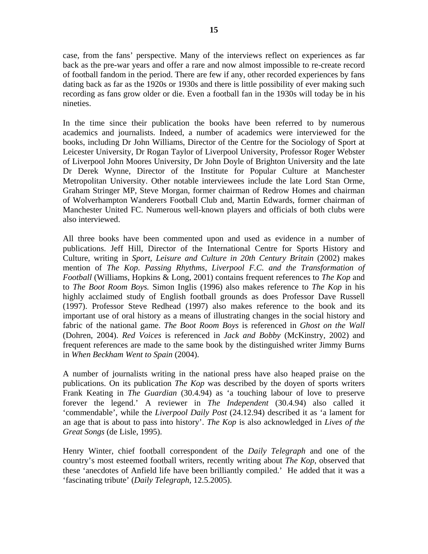case, from the fans' perspective. Many of the interviews reflect on experiences as far back as the pre-war years and offer a rare and now almost impossible to re-create record of football fandom in the period. There are few if any, other recorded experiences by fans dating back as far as the 1920s or 1930s and there is little possibility of ever making such recording as fans grow older or die. Even a football fan in the 1930s will today be in his nineties.

In the time since their publication the books have been referred to by numerous academics and journalists. Indeed, a number of academics were interviewed for the books, including Dr John Williams, Director of the Centre for the Sociology of Sport at Leicester University, Dr Rogan Taylor of Liverpool University, Professor Roger Webster of Liverpool John Moores University, Dr John Doyle of Brighton University and the late Dr Derek Wynne, Director of the Institute for Popular Culture at Manchester Metropolitan University. Other notable interviewees include the late Lord Stan Orme, Graham Stringer MP, Steve Morgan, former chairman of Redrow Homes and chairman of Wolverhampton Wanderers Football Club and, Martin Edwards, former chairman of Manchester United FC. Numerous well-known players and officials of both clubs were also interviewed.

All three books have been commented upon and used as evidence in a number of publications. Jeff Hill, Director of the International Centre for Sports History and Culture, writing in *Sport, Leisure and Culture in 20th Century Britain* (2002) makes mention of *The Kop*. *Passing Rhythms, Liverpool F.C. and the Transformation of Football* (Williams, Hopkins & Long, 2001) contains frequent references to *The Kop* and to *The Boot Room Boys.* Simon Inglis (1996) also makes reference to *The Kop* in his highly acclaimed study of English football grounds as does Professor Dave Russell (1997). Professor Steve Redhead (1997) also makes reference to the book and its important use of oral history as a means of illustrating changes in the social history and fabric of the national game. *The Boot Room Boys* is referenced in *Ghost on the Wall* (Dohren, 2004). *Red Voices* is referenced in *Jack and Bobby* (McKinstry, 2002) and frequent references are made to the same book by the distinguished writer Jimmy Burns in *When Beckham Went to Spain* (2004).

A number of journalists writing in the national press have also heaped praise on the publications. On its publication *The Kop* was described by the doyen of sports writers Frank Keating in *The Guardian* (30.4.94) as 'a touching labour of love to preserve forever the legend.' A reviewer in *The Independent* (30.4.94) also called it 'commendable', while the *Liverpool Daily Post* (24.12.94) described it as 'a lament for an age that is about to pass into history'. *The Kop* is also acknowledged in *Lives of the Great Songs* (de Lisle, 1995).

Henry Winter, chief football correspondent of the *Daily Telegraph* and one of the country's most esteemed football writers, recently writing about *The Kop*, observed that these 'anecdotes of Anfield life have been brilliantly compiled.' He added that it was a 'fascinating tribute' (*Daily Telegraph,* 12.5.2005).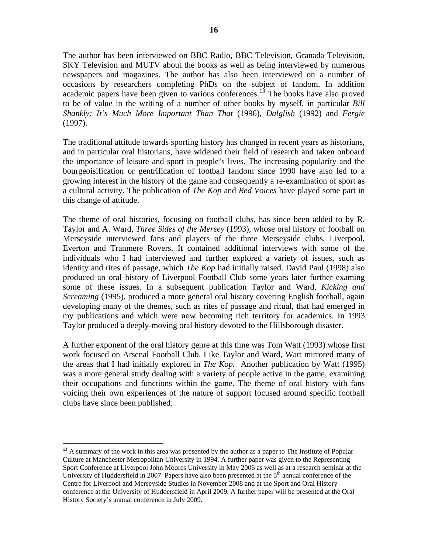The author has been interviewed on BBC Radio, BBC Television, Granada Television, SKY Television and MUTV about the books as well as being interviewed by numerous newspapers and magazines. The author has also been interviewed on a number of occasions by researchers completing PhDs on the subject of fandom. In addition academic papers have been given to various conferences.<sup>[13](#page-16-0)</sup> The books have also proved to be of value in the writing of a number of other books by myself, in particular *Bill Shankly: It's Much More Important Than That* (1996), *Dalglish* (1992) and *Fergie* (1997).

The traditional attitude towards sporting history has changed in recent years as historians, and in particular oral historians, have widened their field of research and taken onboard the importance of leisure and sport in people's lives. The increasing popularity and the bourgeoisification or gentrification of football fandom since 1990 have also led to a growing interest in the history of the game and consequently a re-examination of sport as a cultural activity. The publication of *The Kop* and *Red Voices* have played some part in this change of attitude.

The theme of oral histories, focusing on football clubs, has since been added to by R. Taylor and A. Ward, *Three Sides of the Mersey* (1993), whose oral history of football on Merseyside interviewed fans and players of the three Merseyside clubs, Liverpool, Everton and Tranmere Rovers. It contained additional interviews with some of the individuals who I had interviewed and further explored a variety of issues, such as identity and rites of passage, which *The Kop* had initially raised. David Paul (1998) also produced an oral history of Liverpool Football Club some years later further examing some of these issues. In a subsequent publication Taylor and Ward, *Kicking and Screaming* (1995), produced a more general oral history covering English football, again developing many of the themes, such as rites of passage and ritual, that had emerged in my publications and which were now becoming rich territory for academics. In 1993 Taylor produced a deeply-moving oral history devoted to the Hillsborough disaster.

A further exponent of the oral history genre at this time was Tom Watt (1993) whose first work focused on Arsenal Football Club. Like Taylor and Ward, Watt mirrored many of the areas that I had initially explored in *The Kop.* Another publication by Watt (1995) was a more general study dealing with a variety of people active in the game, examining their occupations and functions within the game. The theme of oral history with fans voicing their own experiences of the nature of support focused around specific football clubs have since been published.

<span id="page-16-0"></span><sup>&</sup>lt;sup>13</sup> A summary of the work in this area was presented by the author as a paper to The Institute of Popular Culture at Manchester Metropolitan University in 1994. A further paper was given to the Representing Sport Conference at Liverpool John Moores University in May 2006 as well as at a research seminar at the University of Huddersfield in 2007. Papers have also been presented at the  $5<sup>th</sup>$  annual conference of the Centre for Liverpool and Merseyside Studies in November 2008 and at the Sport and Oral History conference at the University of Huddersfield in April 2009. A further paper will be presented at the Oral History Society's annual conference in July 2009.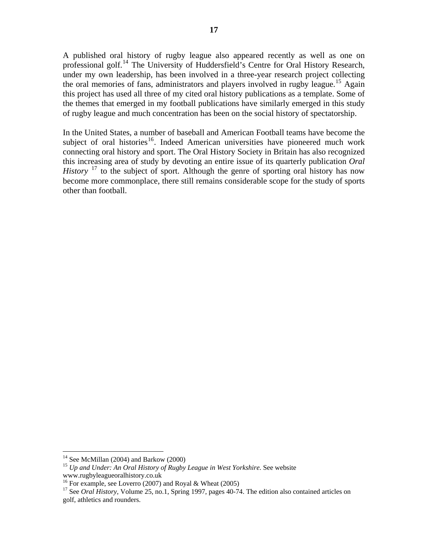A published oral history of rugby league also appeared recently as well as one on professional golf.<sup>[14](#page-17-0)</sup> The University of Huddersfield's Centre for Oral History Research, under my own leadership, has been involved in a three-year research project collecting the oral memories of fans, administrators and players involved in rugby league.<sup>[15](#page-17-1)</sup> Again this project has used all three of my cited oral history publications as a template. Some of the themes that emerged in my football publications have similarly emerged in this study of rugby league and much concentration has been on the social history of spectatorship.

In the United States, a number of baseball and American Football teams have become the subject of oral histories<sup>[16](#page-17-2)</sup>. Indeed American universities have pioneered much work connecting oral history and sport. The Oral History Society in Britain has also recognized this increasing area of study by devoting an entire issue of its quarterly publication *Oral History* <sup>[17](#page-17-3)</sup> to the subject of sport. Although the genre of sporting oral history has now become more commonplace, there still remains considerable scope for the study of sports other than football.

 $14$  See McMillan (2004) and Barkow (2000)

<span id="page-17-1"></span><span id="page-17-0"></span><sup>15</sup> *Up and Under: An Oral History of Rugby League in West Yorkshire.* See website www.rugbyleagueoralhistory.co.uk

<span id="page-17-2"></span><sup>&</sup>lt;sup>16</sup> For example, see Loverro (2007) and Royal & Wheat (2005)

<span id="page-17-3"></span><sup>&</sup>lt;sup>17</sup> See *Oral History*, Volume 25, no.1, Spring 1997, pages 40-74. The edition also contained articles on golf, athletics and rounders.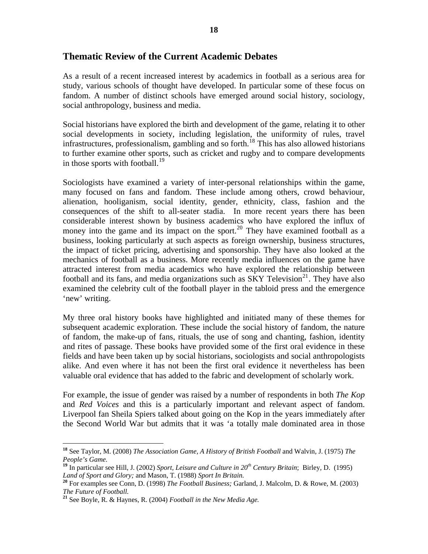## **Thematic Review of the Current Academic Debates**

As a result of a recent increased interest by academics in football as a serious area for study, various schools of thought have developed. In particular some of these focus on fandom. A number of distinct schools have emerged around social history, sociology, social anthropology, business and media.

Social historians have explored the birth and development of the game, relating it to other social developments in society, including legislation, the uniformity of rules, travel infrastructures, professionalism, gambling and so forth.<sup>[18](#page-18-0)</sup> This has also allowed historians to further examine other sports, such as cricket and rugby and to compare developments in those sports with football.<sup>[19](#page-18-1)</sup>

Sociologists have examined a variety of inter-personal relationships within the game, many focused on fans and fandom. These include among others, crowd behaviour, alienation, hooliganism, social identity, gender, ethnicity, class, fashion and the consequences of the shift to all-seater stadia. In more recent years there has been considerable interest shown by business academics who have explored the influx of money into the game and its impact on the sport.<sup>[20](#page-18-2)</sup> They have examined football as a business, looking particularly at such aspects as foreign ownership, business structures, the impact of ticket pricing, advertising and sponsorship. They have also looked at the mechanics of football as a business. More recently media influences on the game have attracted interest from media academics who have explored the relationship between football and its fans, and media organizations such as  $SKY$  Television<sup>[21](#page-18-3)</sup>. They have also examined the celebrity cult of the football player in the tabloid press and the emergence 'new' writing.

My three oral history books have highlighted and initiated many of these themes for subsequent academic exploration. These include the social history of fandom, the nature of fandom, the make-up of fans, rituals, the use of song and chanting, fashion, identity and rites of passage. These books have provided some of the first oral evidence in these fields and have been taken up by social historians, sociologists and social anthropologists alike. And even where it has not been the first oral evidence it nevertheless has been valuable oral evidence that has added to the fabric and development of scholarly work.

For example, the issue of gender was raised by a number of respondents in both *The Kop* and *Red Voices* and this is a particularly important and relevant aspect of fandom. Liverpool fan Sheila Spiers talked about going on the Kop in the years immediately after the Second World War but admits that it was 'a totally male dominated area in those

<span id="page-18-0"></span>**<sup>18</sup>** See Taylor, M. (2008) *The Association Game, A History of British Football* and Walvin, J. (1975) *The People's Game.* 

<span id="page-18-1"></span>**<sup>19</sup>** In particular see Hill, J. (2002) *Sport, Leisure and Culture in 20th Century Britain*; Birley, D. (1995) *Land of Sport and Glory;* and Mason, T. (1988) *Sport In Britain.*

<span id="page-18-2"></span>**<sup>20</sup>** For examples see Conn, D. (1998) *The Football Business;* Garland, J. Malcolm, D. & Rowe, M. (2003) *The Future of Football.*

<span id="page-18-3"></span>**<sup>21</sup>** See Boyle, R. & Haynes, R. (2004) *[Football in the New Media Age](http://www.amazon.co.uk/Football-New-Media-Raymond-Boyle/dp/0415317916/ref=sr_1_1?ie=UTF8&s=books&qid=1242214510&sr=1-1).*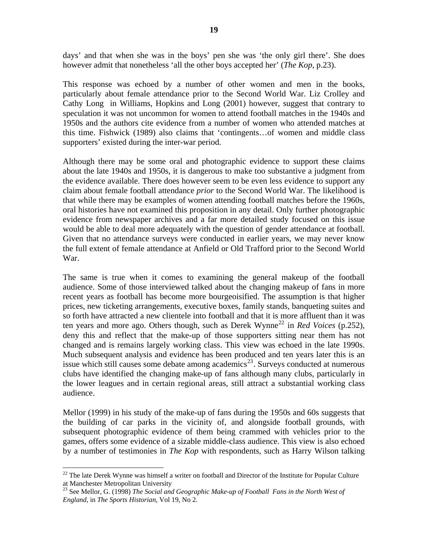days' and that when she was in the boys' pen she was 'the only girl there'. She does however admit that nonetheless 'all the other boys accepted her' (*The Kop*, p.23).

This response was echoed by a number of other women and men in the books, particularly about female attendance prior to the Second World War. Liz Crolley and Cathy Long in Williams, Hopkins and Long (2001) however, suggest that contrary to speculation it was not uncommon for women to attend football matches in the 1940s and 1950s and the authors cite evidence from a number of women who attended matches at this time. Fishwick (1989) also claims that 'contingents…of women and middle class supporters' existed during the inter-war period.

Although there may be some oral and photographic evidence to support these claims about the late 1940s and 1950s, it is dangerous to make too substantive a judgment from the evidence available. There does however seem to be even less evidence to support any claim about female football attendance *prior* to the Second World War. The likelihood is that while there may be examples of women attending football matches before the 1960s, oral histories have not examined this proposition in any detail. Only further photographic evidence from newspaper archives and a far more detailed study focused on this issue would be able to deal more adequately with the question of gender attendance at football. Given that no attendance surveys were conducted in earlier years, we may never know the full extent of female attendance at Anfield or Old Trafford prior to the Second World War.

The same is true when it comes to examining the general makeup of the football audience. Some of those interviewed talked about the changing makeup of fans in more recent years as football has become more bourgeoisified. The assumption is that higher prices, new ticketing arrangements, executive boxes, family stands, banqueting suites and so forth have attracted a new clientele into football and that it is more affluent than it was ten years and more ago. Others though, such as Derek Wynne<sup>[22](#page-19-0)</sup> in *Red Voices* (p.252), deny this and reflect that the make-up of those supporters sitting near them has not changed and is remains largely working class. This view was echoed in the late 1990s. Much subsequent analysis and evidence has been produced and ten years later this is an issue which still causes some debate among academics<sup>[23](#page-19-1)</sup>. Surveys conducted at numerous clubs have identified the changing make-up of fans although many clubs, particularly in the lower leagues and in certain regional areas, still attract a substantial working class audience.

Mellor (1999) in his study of the make-up of fans during the 1950s and 60s suggests that the building of car parks in the vicinity of, and alongside football grounds, with subsequent photographic evidence of them being crammed with vehicles prior to the games, offers some evidence of a sizable middle-class audience. This view is also echoed by a number of testimonies in *The Kop* with respondents, such as Harry Wilson talking

<span id="page-19-0"></span> $^{22}$  The late Derek Wynne was himself a writer on football and Director of the Institute for Popular Culture at Manchester Metropolitan University

<span id="page-19-1"></span><sup>23</sup> See Mellor, G. (1998) *The Social and Geographic Make-up of Football Fans in the North West of England*, in *The Sports Historian*, Vol 19, No 2.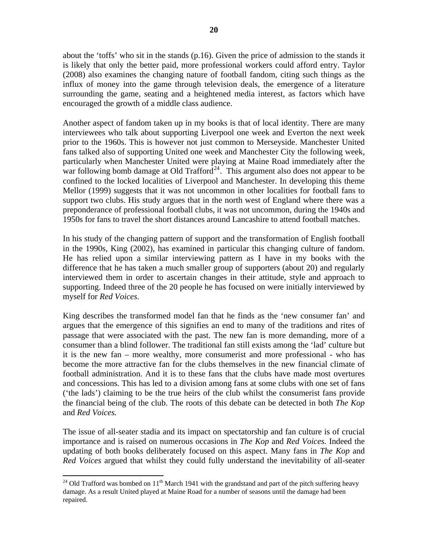about the 'toffs' who sit in the stands (p.16). Given the price of admission to the stands it is likely that only the better paid, more professional workers could afford entry. Taylor (2008) also examines the changing nature of football fandom, citing such things as the influx of money into the game through television deals, the emergence of a literature surrounding the game, seating and a heightened media interest, as factors which have encouraged the growth of a middle class audience.

Another aspect of fandom taken up in my books is that of local identity. There are many interviewees who talk about supporting Liverpool one week and Everton the next week prior to the 1960s. This is however not just common to Merseyside. Manchester United fans talked also of supporting United one week and Manchester City the following week, particularly when Manchester United were playing at Maine Road immediately after the war following bomb damage at Old Trafford<sup>[24](#page-20-0)</sup>. This argument also does not appear to be confined to the locked localities of Liverpool and Manchester. In developing this theme Mellor (1999) suggests that it was not uncommon in other localities for football fans to support two clubs. His study argues that in the north west of England where there was a preponderance of professional football clubs, it was not uncommon, during the 1940s and 1950s for fans to travel the short distances around Lancashire to attend football matches.

In his study of the changing pattern of support and the transformation of English football in the 1990s, King (2002), has examined in particular this changing culture of fandom. He has relied upon a similar interviewing pattern as I have in my books with the difference that he has taken a much smaller group of supporters (about 20) and regularly interviewed them in order to ascertain changes in their attitude, style and approach to supporting. Indeed three of the 20 people he has focused on were initially interviewed by myself for *Red Voices*.

King describes the transformed model fan that he finds as the 'new consumer fan' and argues that the emergence of this signifies an end to many of the traditions and rites of passage that were associated with the past. The new fan is more demanding, more of a consumer than a blind follower. The traditional fan still exists among the 'lad' culture but it is the new fan – more wealthy, more consumerist and more professional - who has become the more attractive fan for the clubs themselves in the new financial climate of football administration. And it is to these fans that the clubs have made most overtures and concessions. This has led to a division among fans at some clubs with one set of fans ('the lads') claiming to be the true heirs of the club whilst the consumerist fans provide the financial being of the club. The roots of this debate can be detected in both *The Kop* and *Red Voices.*

The issue of all-seater stadia and its impact on spectatorship and fan culture is of crucial importance and is raised on numerous occasions in *The Kop* and *Red Voices.* Indeed the updating of both books deliberately focused on this aspect. Many fans in *The Kop* and *Red Voices* argued that whilst they could fully understand the inevitability of all-seater

<span id="page-20-0"></span> <sup>24</sup> Old Trafford was bombed on  $11<sup>th</sup>$  March 1941 with the grandstand and part of the pitch suffering heavy damage. As a result United played at Maine Road for a number of seasons until the damage had been repaired.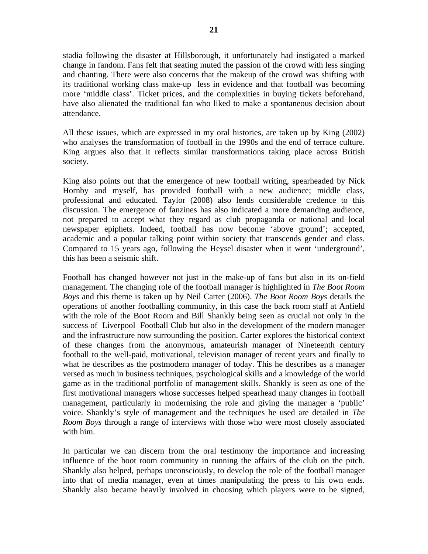stadia following the disaster at Hillsborough, it unfortunately had instigated a marked change in fandom. Fans felt that seating muted the passion of the crowd with less singing and chanting. There were also concerns that the makeup of the crowd was shifting with its traditional working class make-up less in evidence and that football was becoming more 'middle class'. Ticket prices, and the complexities in buying tickets beforehand, have also alienated the traditional fan who liked to make a spontaneous decision about attendance.

All these issues, which are expressed in my oral histories, are taken up by King (2002) who analyses the transformation of football in the 1990s and the end of terrace culture. King argues also that it reflects similar transformations taking place across British society.

King also points out that the emergence of new football writing, spearheaded by Nick Hornby and myself, has provided football with a new audience; middle class, professional and educated. Taylor (2008) also lends considerable credence to this discussion. The emergence of fanzines has also indicated a more demanding audience, not prepared to accept what they regard as club propaganda or national and local newspaper epiphets. Indeed, football has now become 'above ground'; accepted, academic and a popular talking point within society that transcends gender and class. Compared to 15 years ago, following the Heysel disaster when it went 'underground', this has been a seismic shift.

Football has changed however not just in the make-up of fans but also in its on-field management. The changing role of the football manager is highlighted in *The Boot Room Boys* and this theme is taken up by Neil Carter (2006). *The Boot Room Boys* details the operations of another footballing community, in this case the back room staff at Anfield with the role of the Boot Room and Bill Shankly being seen as crucial not only in the success of Liverpool Football Club but also in the development of the modern manager and the infrastructure now surrounding the position. Carter explores the historical context of these changes from the anonymous, amateurish manager of Nineteenth century football to the well-paid, motivational, television manager of recent years and finally to what he describes as the postmodern manager of today. This he describes as a manager versed as much in business techniques, psychological skills and a knowledge of the world game as in the traditional portfolio of management skills. Shankly is seen as one of the first motivational managers whose successes helped spearhead many changes in football management, particularly in modernising the role and giving the manager a 'public' voice. Shankly's style of management and the techniques he used are detailed in *The Room Boys* through a range of interviews with those who were most closely associated with him.

In particular we can discern from the oral testimony the importance and increasing influence of the boot room community in running the affairs of the club on the pitch. Shankly also helped, perhaps unconsciously, to develop the role of the football manager into that of media manager, even at times manipulating the press to his own ends. Shankly also became heavily involved in choosing which players were to be signed,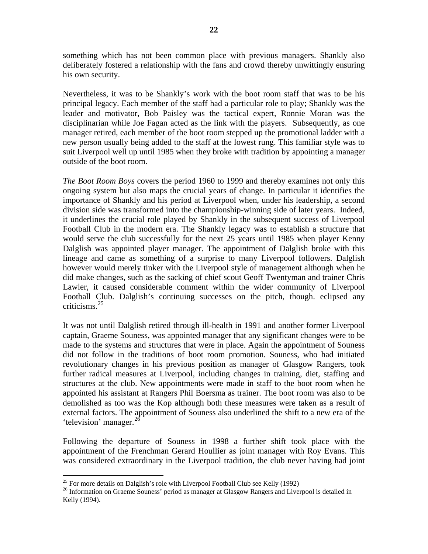something which has not been common place with previous managers. Shankly also deliberately fostered a relationship with the fans and crowd thereby unwittingly ensuring his own security.

Nevertheless, it was to be Shankly's work with the boot room staff that was to be his principal legacy. Each member of the staff had a particular role to play; Shankly was the leader and motivator, Bob Paisley was the tactical expert, Ronnie Moran was the disciplinarian while Joe Fagan acted as the link with the players. Subsequently, as one manager retired, each member of the boot room stepped up the promotional ladder with a new person usually being added to the staff at the lowest rung. This familiar style was to suit Liverpool well up until 1985 when they broke with tradition by appointing a manager outside of the boot room.

*The Boot Room Boys* covers the period 1960 to 1999 and thereby examines not only this ongoing system but also maps the crucial years of change. In particular it identifies the importance of Shankly and his period at Liverpool when, under his leadership, a second division side was transformed into the championship-winning side of later years. Indeed, it underlines the crucial role played by Shankly in the subsequent success of Liverpool Football Club in the modern era. The Shankly legacy was to establish a structure that would serve the club successfully for the next 25 years until 1985 when player Kenny Dalglish was appointed player manager. The appointment of Dalglish broke with this lineage and came as something of a surprise to many Liverpool followers. Dalglish however would merely tinker with the Liverpool style of management although when he did make changes, such as the sacking of chief scout Geoff Twentyman and trainer Chris Lawler, it caused considerable comment within the wider community of Liverpool Football Club. Dalglish's continuing successes on the pitch, though. eclipsed any criticisms.[25](#page-22-0)

It was not until Dalglish retired through ill-health in 1991 and another former Liverpool captain, Graeme Souness, was appointed manager that any significant changes were to be made to the systems and structures that were in place. Again the appointment of Souness did not follow in the traditions of boot room promotion. Souness, who had initiated revolutionary changes in his previous position as manager of Glasgow Rangers, took further radical measures at Liverpool, including changes in training, diet, staffing and structures at the club. New appointments were made in staff to the boot room when he appointed his assistant at Rangers Phil Boersma as trainer. The boot room was also to be demolished as too was the Kop although both these measures were taken as a result of external factors. The appointment of Souness also underlined the shift to a new era of the 'television' manager.<sup>[26](#page-22-1)</sup>

Following the departure of Souness in 1998 a further shift took place with the appointment of the Frenchman Gerard Houllier as joint manager with Roy Evans. This was considered extraordinary in the Liverpool tradition, the club never having had joint

<sup>&</sup>lt;sup>25</sup> For more details on Dalglish's role with Liverpool Football Club see Kelly (1992)

<span id="page-22-1"></span><span id="page-22-0"></span><sup>&</sup>lt;sup>26</sup> Information on Graeme Souness' period as manager at Glasgow Rangers and Liverpool is detailed in Kelly (1994).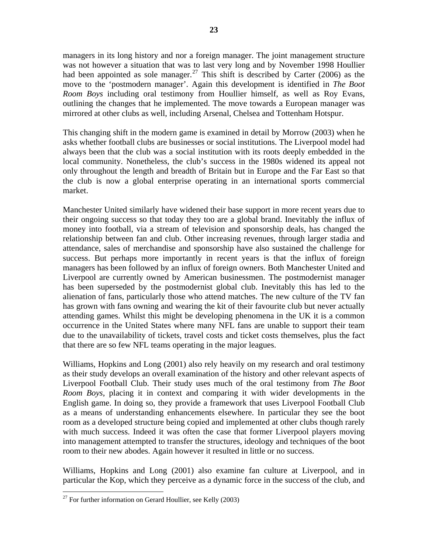managers in its long history and nor a foreign manager. The joint management structure was not however a situation that was to last very long and by November 1998 Houllier had been appointed as sole manager.<sup>[27](#page-23-0)</sup> This shift is described by Carter (2006) as the move to the 'postmodern manager'. Again this development is identified in *The Boot Room Boys* including oral testimony from Houllier himself, as well as Roy Evans, outlining the changes that he implemented. The move towards a European manager was mirrored at other clubs as well, including Arsenal, Chelsea and Tottenham Hotspur.

This changing shift in the modern game is examined in detail by Morrow (2003) when he asks whether football clubs are businesses or social institutions. The Liverpool model had always been that the club was a social institution with its roots deeply embedded in the local community. Nonetheless, the club's success in the 1980s widened its appeal not only throughout the length and breadth of Britain but in Europe and the Far East so that the club is now a global enterprise operating in an international sports commercial market.

Manchester United similarly have widened their base support in more recent years due to their ongoing success so that today they too are a global brand. Inevitably the influx of money into football, via a stream of television and sponsorship deals, has changed the relationship between fan and club. Other increasing revenues, through larger stadia and attendance, sales of merchandise and sponsorship have also sustained the challenge for success. But perhaps more importantly in recent years is that the influx of foreign managers has been followed by an influx of foreign owners. Both Manchester United and Liverpool are currently owned by American businessmen. The postmodernist manager has been superseded by the postmodernist global club. Inevitably this has led to the alienation of fans, particularly those who attend matches. The new culture of the TV fan has grown with fans owning and wearing the kit of their favourite club but never actually attending games. Whilst this might be developing phenomena in the UK it is a common occurrence in the United States where many NFL fans are unable to support their team due to the unavailability of tickets, travel costs and ticket costs themselves, plus the fact that there are so few NFL teams operating in the major leagues.

Williams, Hopkins and Long (2001) also rely heavily on my research and oral testimony as their study develops an overall examination of the history and other relevant aspects of Liverpool Football Club. Their study uses much of the oral testimony from *The Boot Room Boys*, placing it in context and comparing it with wider developments in the English game. In doing so, they provide a framework that uses Liverpool Football Club as a means of understanding enhancements elsewhere. In particular they see the boot room as a developed structure being copied and implemented at other clubs though rarely with much success. Indeed it was often the case that former Liverpool players moving into management attempted to transfer the structures, ideology and techniques of the boot room to their new abodes. Again however it resulted in little or no success.

Williams, Hopkins and Long (2001) also examine fan culture at Liverpool, and in particular the Kop, which they perceive as a dynamic force in the success of the club, and

<span id="page-23-0"></span> <sup>27</sup> For further information on Gerard Houllier, see Kelly (2003)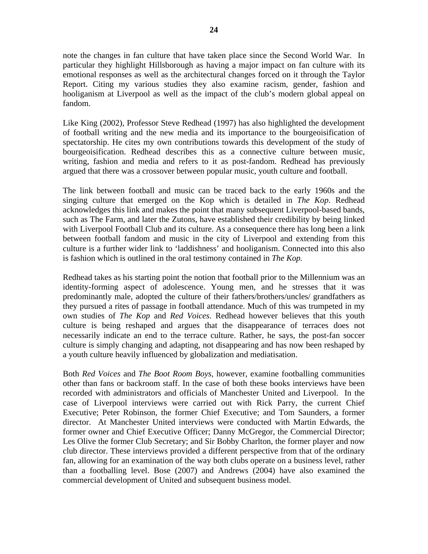note the changes in fan culture that have taken place since the Second World War. In particular they highlight Hillsborough as having a major impact on fan culture with its emotional responses as well as the architectural changes forced on it through the Taylor Report. Citing my various studies they also examine racism, gender, fashion and hooliganism at Liverpool as well as the impact of the club's modern global appeal on fandom.

Like King (2002), Professor Steve Redhead (1997) has also highlighted the development of football writing and the new media and its importance to the bourgeoisification of spectatorship. He cites my own contributions towards this development of the study of bourgeoisification. Redhead describes this as a connective culture between music, writing, fashion and media and refers to it as post-fandom. Redhead has previously argued that there was a crossover between popular music, youth culture and football.

The link between football and music can be traced back to the early 1960s and the singing culture that emerged on the Kop which is detailed in *The Kop*. Redhead acknowledges this link and makes the point that many subsequent Liverpool-based bands, such as The Farm, and later the Zutons, have established their credibility by being linked with Liverpool Football Club and its culture. As a consequence there has long been a link between football fandom and music in the city of Liverpool and extending from this culture is a further wider link to 'laddishness' and hooliganism. Connected into this also is fashion which is outlined in the oral testimony contained in *The Kop.* 

Redhead takes as his starting point the notion that football prior to the Millennium was an identity-forming aspect of adolescence. Young men, and he stresses that it was predominantly male, adopted the culture of their fathers/brothers/uncles/ grandfathers as they pursued a rites of passage in football attendance. Much of this was trumpeted in my own studies of *The Kop* and *Red Voices*. Redhead however believes that this youth culture is being reshaped and argues that the disappearance of terraces does not necessarily indicate an end to the terrace culture. Rather, he says, the post-fan soccer culture is simply changing and adapting, not disappearing and has now been reshaped by a youth culture heavily influenced by globalization and mediatisation.

Both *Red Voices* and *The Boot Room Boys,* however, examine footballing communities other than fans or backroom staff. In the case of both these books interviews have been recorded with administrators and officials of Manchester United and Liverpool. In the case of Liverpool interviews were carried out with Rick Parry, the current Chief Executive; Peter Robinson, the former Chief Executive; and Tom Saunders, a former director. At Manchester United interviews were conducted with Martin Edwards, the former owner and Chief Executive Officer; Danny McGregor, the Commercial Director; Les Olive the former Club Secretary; and Sir Bobby Charlton, the former player and now club director. These interviews provided a different perspective from that of the ordinary fan, allowing for an examination of the way both clubs operate on a business level, rather than a footballing level. Bose (2007) and Andrews (2004) have also examined the commercial development of United and subsequent business model.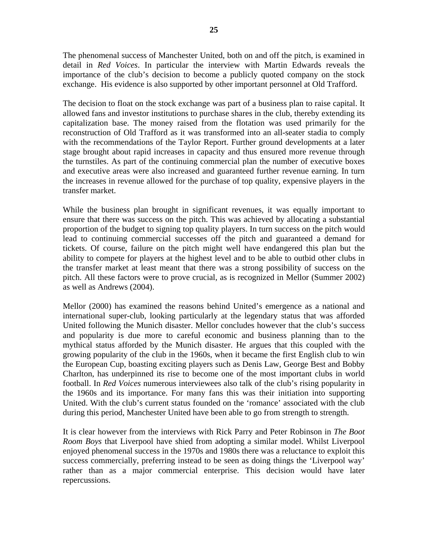The phenomenal success of Manchester United, both on and off the pitch, is examined in detail in *Red Voices*. In particular the interview with Martin Edwards reveals the importance of the club's decision to become a publicly quoted company on the stock exchange. His evidence is also supported by other important personnel at Old Trafford.

The decision to float on the stock exchange was part of a business plan to raise capital. It allowed fans and investor institutions to purchase shares in the club, thereby extending its capitalization base. The money raised from the flotation was used primarily for the reconstruction of Old Trafford as it was transformed into an all-seater stadia to comply with the recommendations of the Taylor Report. Further ground developments at a later stage brought about rapid increases in capacity and thus ensured more revenue through the turnstiles. As part of the continuing commercial plan the number of executive boxes and executive areas were also increased and guaranteed further revenue earning. In turn the increases in revenue allowed for the purchase of top quality, expensive players in the transfer market.

While the business plan brought in significant revenues, it was equally important to ensure that there was success on the pitch. This was achieved by allocating a substantial proportion of the budget to signing top quality players. In turn success on the pitch would lead to continuing commercial successes off the pitch and guaranteed a demand for tickets. Of course, failure on the pitch might well have endangered this plan but the ability to compete for players at the highest level and to be able to outbid other clubs in the transfer market at least meant that there was a strong possibility of success on the pitch. All these factors were to prove crucial, as is recognized in Mellor (Summer 2002) as well as Andrews (2004).

Mellor (2000) has examined the reasons behind United's emergence as a national and international super-club, looking particularly at the legendary status that was afforded United following the Munich disaster. Mellor concludes however that the club's success and popularity is due more to careful economic and business planning than to the mythical status afforded by the Munich disaster. He argues that this coupled with the growing popularity of the club in the 1960s, when it became the first English club to win the European Cup, boasting exciting players such as Denis Law, George Best and Bobby Charlton, has underpinned its rise to become one of the most important clubs in world football. In *Red Voices* numerous interviewees also talk of the club's rising popularity in the 1960s and its importance. For many fans this was their initiation into supporting United. With the club's current status founded on the 'romance' associated with the club during this period, Manchester United have been able to go from strength to strength.

It is clear however from the interviews with Rick Parry and Peter Robinson in *The Boot Room Boys* that Liverpool have shied from adopting a similar model. Whilst Liverpool enjoyed phenomenal success in the 1970s and 1980s there was a reluctance to exploit this success commercially, preferring instead to be seen as doing things the 'Liverpool way' rather than as a major commercial enterprise. This decision would have later repercussions.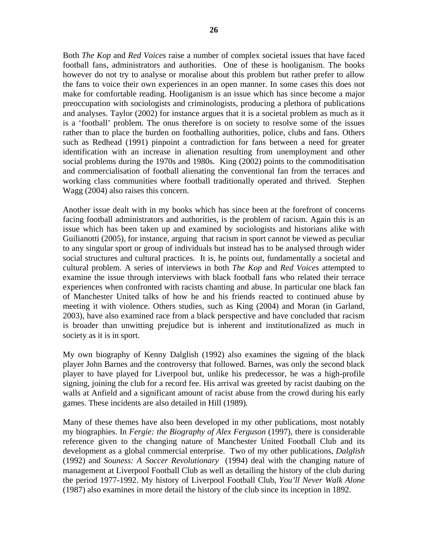Both *The Kop* and *Red Voices* raise a number of complex societal issues that have faced football fans, administrators and authorities. One of these is hooliganism. The books however do not try to analyse or moralise about this problem but rather prefer to allow the fans to voice their own experiences in an open manner. In some cases this does not make for comfortable reading. Hooliganism is an issue which has since become a major preoccupation with sociologists and criminologists, producing a plethora of publications and analyses. Taylor (2002) for instance argues that it is a societal problem as much as it is a 'football' problem. The onus therefore is on society to resolve some of the issues rather than to place the burden on footballing authorities, police, clubs and fans. Others such as Redhead (1991) pinpoint a contradiction for fans between a need for greater identification with an increase in alienation resulting from unemployment and other social problems during the 1970s and 1980s. King (2002) points to the commoditisation and commercialisation of football alienating the conventional fan from the terraces and working class communities where football traditionally operated and thrived. Stephen Wagg (2004) also raises this concern.

Another issue dealt with in my books which has since been at the forefront of concerns facing football administrators and authorities, is the problem of racism. Again this is an issue which has been taken up and examined by sociologists and historians alike with Guilianotti (2005), for instance, arguing that racism in sport cannot be viewed as peculiar to any singular sport or group of individuals but instead has to be analysed through wider social structures and cultural practices. It is, he points out, fundamentally a societal and cultural problem. A series of interviews in both *The Kop* and *Red Voices* attempted to examine the issue through interviews with black football fans who related their terrace experiences when confronted with racists chanting and abuse. In particular one black fan of Manchester United talks of how he and his friends reacted to continued abuse by meeting it with violence. Others studies, such as King (2004) and Moran (in Garland, 2003), have also examined race from a black perspective and have concluded that racism is broader than unwitting prejudice but is inherent and institutionalized as much in society as it is in sport.

My own biography of Kenny Dalglish (1992) also examines the signing of the black player John Barnes and the controversy that followed. Barnes, was only the second black player to have played for Liverpool but, unlike his predecessor, he was a high-profile signing, joining the club for a record fee. His arrival was greeted by racist daubing on the walls at Anfield and a significant amount of racist abuse from the crowd during his early games. These incidents are also detailed in Hill (1989).

Many of these themes have also been developed in my other publications, most notably my biographies. In *Fergie: the Biography of Alex Ferguson* (1997), there is considerable reference given to the changing nature of Manchester United Football Club and its development as a global commercial enterprise. Two of my other publications, *Dalglish* (1992) and *Souness: A Soccer Revolutionary* (1994) deal with the changing nature of management at Liverpool Football Club as well as detailing the history of the club during the period 1977-1992. My history of Liverpool Football Club, *You'll Never Walk Alone* (1987) also examines in more detail the history of the club since its inception in 1892.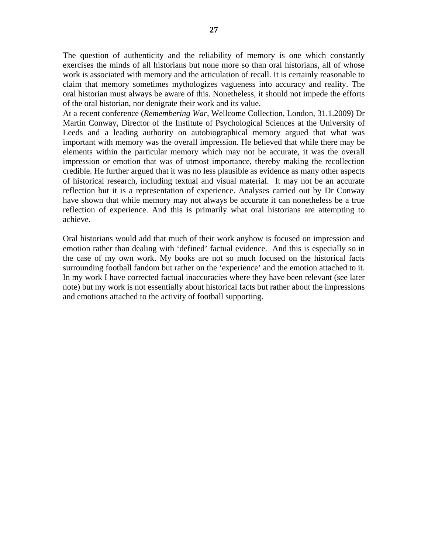The question of authenticity and the reliability of memory is one which constantly exercises the minds of all historians but none more so than oral historians, all of whose work is associated with memory and the articulation of recall. It is certainly reasonable to claim that memory sometimes mythologizes vagueness into accuracy and reality. The oral historian must always be aware of this. Nonetheless, it should not impede the efforts of the oral historian, nor denigrate their work and its value.

At a recent conference (*Remembering War,* Wellcome Collection, London, 31.1.2009) Dr Martin Conway, Director of the Institute of Psychological Sciences at the University of Leeds and a leading authority on autobiographical memory argued that what was important with memory was the overall impression. He believed that while there may be elements within the particular memory which may not be accurate, it was the overall impression or emotion that was of utmost importance, thereby making the recollection credible. He further argued that it was no less plausible as evidence as many other aspects of historical research, including textual and visual material. It may not be an accurate reflection but it is a representation of experience. Analyses carried out by Dr Conway have shown that while memory may not always be accurate it can nonetheless be a true reflection of experience. And this is primarily what oral historians are attempting to achieve.

Oral historians would add that much of their work anyhow is focused on impression and emotion rather than dealing with 'defined' factual evidence. And this is especially so in the case of my own work. My books are not so much focused on the historical facts surrounding football fandom but rather on the 'experience' and the emotion attached to it. In my work I have corrected factual inaccuracies where they have been relevant (see later note) but my work is not essentially about historical facts but rather about the impressions and emotions attached to the activity of football supporting.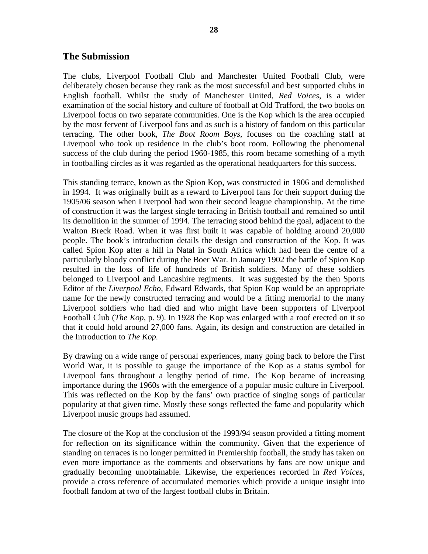#### **The Submission**

The clubs, Liverpool Football Club and Manchester United Football Club, were deliberately chosen because they rank as the most successful and best supported clubs in English football. Whilst the study of Manchester United, *Red Voices*, is a wider examination of the social history and culture of football at Old Trafford, the two books on Liverpool focus on two separate communities. One is the Kop which is the area occupied by the most fervent of Liverpool fans and as such is a history of fandom on this particular terracing. The other book, *The Boot Room Boys*, focuses on the coaching staff at Liverpool who took up residence in the club's boot room. Following the phenomenal success of the club during the period 1960-1985, this room became something of a myth in footballing circles as it was regarded as the operational headquarters for this success.

This standing terrace, known as the Spion Kop, was constructed in 1906 and demolished in 1994. It was originally built as a reward to Liverpool fans for their support during the 1905/06 season when Liverpool had won their second league championship. At the time of construction it was the largest single terracing in British football and remained so until its demolition in the summer of 1994. The terracing stood behind the goal, adjacent to the Walton Breck Road. When it was first built it was capable of holding around 20,000 people. The book's introduction details the design and construction of the Kop. It was called Spion Kop after a hill in Natal in South Africa which had been the centre of a particularly bloody conflict during the Boer War. In January 1902 the battle of Spion Kop resulted in the loss of life of hundreds of British soldiers. Many of these soldiers belonged to Liverpool and Lancashire regiments. It was suggested by the then Sports Editor of the *Liverpool Echo*, Edward Edwards, that Spion Kop would be an appropriate name for the newly constructed terracing and would be a fitting memorial to the many Liverpool soldiers who had died and who might have been supporters of Liverpool Football Club (*The Kop*, p. 9). In 1928 the Kop was enlarged with a roof erected on it so that it could hold around 27,000 fans. Again, its design and construction are detailed in the Introduction to *The Kop.* 

By drawing on a wide range of personal experiences, many going back to before the First World War, it is possible to gauge the importance of the Kop as a status symbol for Liverpool fans throughout a lengthy period of time. The Kop became of increasing importance during the 1960s with the emergence of a popular music culture in Liverpool. This was reflected on the Kop by the fans' own practice of singing songs of particular popularity at that given time. Mostly these songs reflected the fame and popularity which Liverpool music groups had assumed.

The closure of the Kop at the conclusion of the 1993/94 season provided a fitting moment for reflection on its significance within the community. Given that the experience of standing on terraces is no longer permitted in Premiership football, the study has taken on even more importance as the comments and observations by fans are now unique and gradually becoming unobtainable. Likewise, the experiences recorded in *Red Voices,*  provide a cross reference of accumulated memories which provide a unique insight into football fandom at two of the largest football clubs in Britain.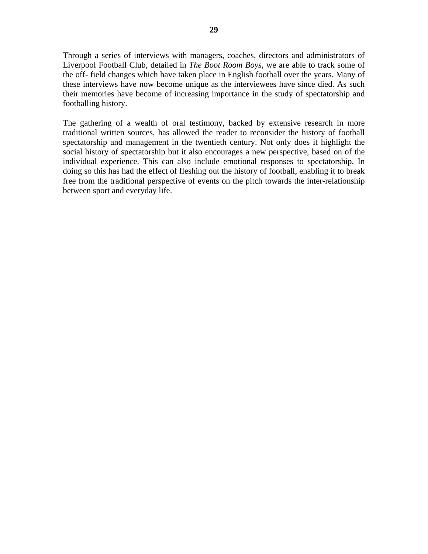Through a series of interviews with managers, coaches, directors and administrators of Liverpool Football Club, detailed in *The Boot Room Boys,* we are able to track some of the off- field changes which have taken place in English football over the years. Many of these interviews have now become unique as the interviewees have since died. As such their memories have become of increasing importance in the study of spectatorship and footballing history.

The gathering of a wealth of oral testimony, backed by extensive research in more traditional written sources, has allowed the reader to reconsider the history of football spectatorship and management in the twentieth century. Not only does it highlight the social history of spectatorship but it also encourages a new perspective, based on of the individual experience. This can also include emotional responses to spectatorship. In doing so this has had the effect of fleshing out the history of football, enabling it to break free from the traditional perspective of events on the pitch towards the inter-relationship between sport and everyday life.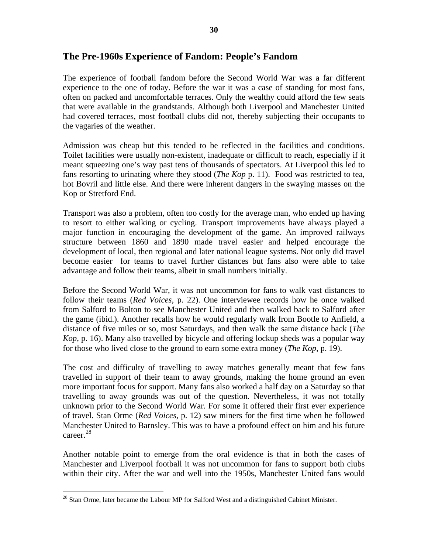## **The Pre-1960s Experience of Fandom: People's Fandom**

The experience of football fandom before the Second World War was a far different experience to the one of today. Before the war it was a case of standing for most fans, often on packed and uncomfortable terraces. Only the wealthy could afford the few seats that were available in the grandstands. Although both Liverpool and Manchester United had covered terraces, most football clubs did not, thereby subjecting their occupants to the vagaries of the weather.

Admission was cheap but this tended to be reflected in the facilities and conditions. Toilet facilities were usually non-existent, inadequate or difficult to reach, especially if it meant squeezing one's way past tens of thousands of spectators. At Liverpool this led to fans resorting to urinating where they stood (*The Kop* p. 11). Food was restricted to tea, hot Bovril and little else. And there were inherent dangers in the swaying masses on the Kop or Stretford End.

Transport was also a problem, often too costly for the average man, who ended up having to resort to either walking or cycling. Transport improvements have always played a major function in encouraging the development of the game. An improved railways structure between 1860 and 1890 made travel easier and helped encourage the development of local, then regional and later national league systems. Not only did travel become easier for teams to travel further distances but fans also were able to take advantage and follow their teams, albeit in small numbers initially.

Before the Second World War, it was not uncommon for fans to walk vast distances to follow their teams (*Red Voices*, p. 22). One interviewee records how he once walked from Salford to Bolton to see Manchester United and then walked back to Salford after the game (ibid.). Another recalls how he would regularly walk from Bootle to Anfield, a distance of five miles or so, most Saturdays, and then walk the same distance back (*The Kop*, p. 16). Many also travelled by bicycle and offering lockup sheds was a popular way for those who lived close to the ground to earn some extra money (*The Kop*, p. 19).

The cost and difficulty of travelling to away matches generally meant that few fans travelled in support of their team to away grounds, making the home ground an even more important focus for support. Many fans also worked a half day on a Saturday so that travelling to away grounds was out of the question. Nevertheless, it was not totally unknown prior to the Second World War. For some it offered their first ever experience of travel. Stan Orme (*Red Voices*, p. 12) saw miners for the first time when he followed Manchester United to Barnsley. This was to have a profound effect on him and his future career.<sup>[28](#page-30-0)</sup>

Another notable point to emerge from the oral evidence is that in both the cases of Manchester and Liverpool football it was not uncommon for fans to support both clubs within their city. After the war and well into the 1950s, Manchester United fans would

<span id="page-30-0"></span><sup>&</sup>lt;sup>28</sup> Stan Orme, later became the Labour MP for Salford West and a distinguished Cabinet Minister.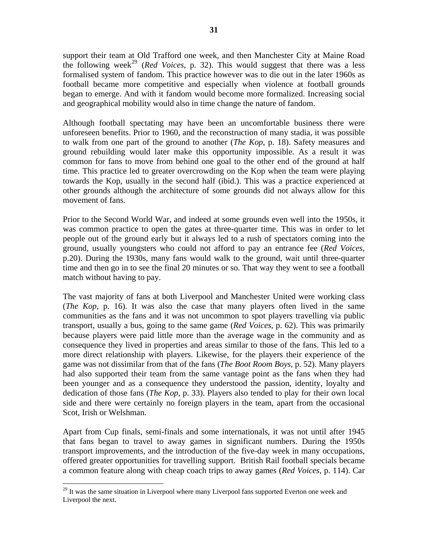support their team at Old Trafford one week, and then Manchester City at Maine Road the following week<sup>[29](#page-31-0)</sup> (*Red Voices*, p. 32). This would suggest that there was a less formalised system of fandom. This practice however was to die out in the later 1960s as football became more competitive and especially when violence at football grounds began to emerge. And with it fandom would become more formalized. Increasing social and geographical mobility would also in time change the nature of fandom.

Although football spectating may have been an uncomfortable business there were unforeseen benefits. Prior to 1960, and the reconstruction of many stadia, it was possible to walk from one part of the ground to another (*The Kop*, p. 18). Safety measures and ground rebuilding would later make this opportunity impossible. As a result it was common for fans to move from behind one goal to the other end of the ground at half time. This practice led to greater overcrowding on the Kop when the team were playing towards the Kop, usually in the second half (ibid.). This was a practice experienced at other grounds although the architecture of some grounds did not always allow for this movement of fans.

Prior to the Second World War, and indeed at some grounds even well into the 1950s, it was common practice to open the gates at three-quarter time. This was in order to let people out of the ground early but it always led to a rush of spectators coming into the ground, usually youngsters who could not afford to pay an entrance fee (*Red Voices*, p.20). During the 1930s, many fans would walk to the ground, wait until three-quarter time and then go in to see the final 20 minutes or so. That way they went to see a football match without having to pay.

The vast majority of fans at both Liverpool and Manchester United were working class (*The Kop*, p. 16). It was also the case that many players often lived in the same communities as the fans and it was not uncommon to spot players travelling via public transport, usually a bus, going to the same game (*Red Voices*, p. 62). This was primarily because players were paid little more than the average wage in the community and as consequence they lived in properties and areas similar to those of the fans. This led to a more direct relationship with players. Likewise, for the players their experience of the game was not dissimilar from that of the fans (*The Boot Room Boys*, p. 52). Many players had also supported their team from the same vantage point as the fans when they had been younger and as a consequence they understood the passion, identity, loyalty and dedication of those fans (*The Kop*, p. 33). Players also tended to play for their own local side and there were certainly no foreign players in the team, apart from the occasional Scot, Irish or Welshman.

Apart from Cup finals, semi-finals and some internationals, it was not until after 1945 that fans began to travel to away games in significant numbers. During the 1950s transport improvements, and the introduction of the five-day week in many occupations, offered greater opportunities for travelling support. British Rail football specials became a common feature along with cheap coach trips to away games (*Red Voices*, p. 114). Car

<span id="page-31-0"></span> $29$  It was the same situation in Liverpool where many Liverpool fans supported Everton one week and Liverpool the next.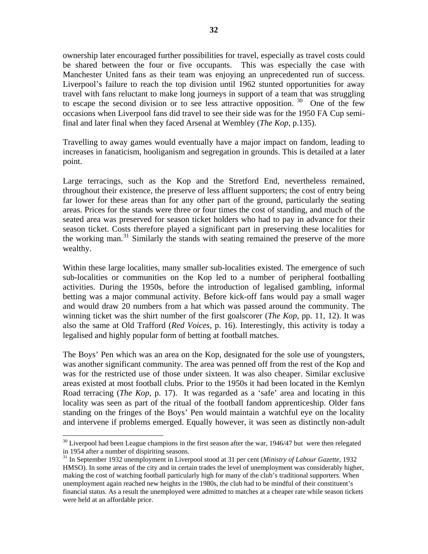ownership later encouraged further possibilities for travel, especially as travel costs could be shared between the four or five occupants. This was especially the case with Manchester United fans as their team was enjoying an unprecedented run of success. Liverpool's failure to reach the top division until 1962 stunted opportunities for away travel with fans reluctant to make long journeys in support of a team that was struggling to escape the second division or to see less attractive opposition.  $30$  One of the few occasions when Liverpool fans did travel to see their side was for the 1950 FA Cup semifinal and later final when they faced Arsenal at Wembley (*The Kop*, p.135).

Travelling to away games would eventually have a major impact on fandom, leading to increases in fanaticism, hooliganism and segregation in grounds. This is detailed at a later point.

Large terracings, such as the Kop and the Stretford End, nevertheless remained, throughout their existence, the preserve of less affluent supporters; the cost of entry being far lower for these areas than for any other part of the ground, particularly the seating areas. Prices for the stands were three or four times the cost of standing, and much of the seated area was preserved for season ticket holders who had to pay in advance for their season ticket. Costs therefore played a significant part in preserving these localities for the working man.<sup>[31](#page-32-1)</sup> Similarly the stands with seating remained the preserve of the more wealthy.

Within these large localities, many smaller sub-localities existed. The emergence of such sub-localities or communities on the Kop led to a number of peripheral footballing activities. During the 1950s, before the introduction of legalised gambling, informal betting was a major communal activity. Before kick-off fans would pay a small wager and would draw 20 numbers from a hat which was passed around the community. The winning ticket was the shirt number of the first goalscorer (*The Kop*, pp. 11, 12). It was also the same at Old Trafford (*Red Voices*, p. 16). Interestingly, this activity is today a legalised and highly popular form of betting at football matches.

The Boys' Pen which was an area on the Kop, designated for the sole use of youngsters, was another significant community. The area was penned off from the rest of the Kop and was for the restricted use of those under sixteen. It was also cheaper. Similar exclusive areas existed at most football clubs. Prior to the 1950s it had been located in the Kemlyn Road terracing (*The Kop*, p. 17). It was regarded as a 'safe' area and locating in this locality was seen as part of the ritual of the football fandom apprenticeship. Older fans standing on the fringes of the Boys' Pen would maintain a watchful eye on the locality and intervene if problems emerged. Equally however, it was seen as distinctly non-adult

<span id="page-32-0"></span> $30$  Liverpool had been League champions in the first season after the war, 1946/47 but were then relegated in 1954 after a number of dispiriting seasons.

<span id="page-32-1"></span><sup>31</sup> In September 1932 unemployment in Liverpool stood at 31 per cent (*Ministry of Labour Gazette*, 1932 HMSO). In some areas of the city and in certain trades the level of unemployment was considerably higher, making the cost of watching football particularly high for many of the club's traditional supporters. When unemployment again reached new heights in the 1980s, the club had to be mindful of their constituent's financial status. As a result the unemployed were admitted to matches at a cheaper rate while season tickets were held at an affordable price.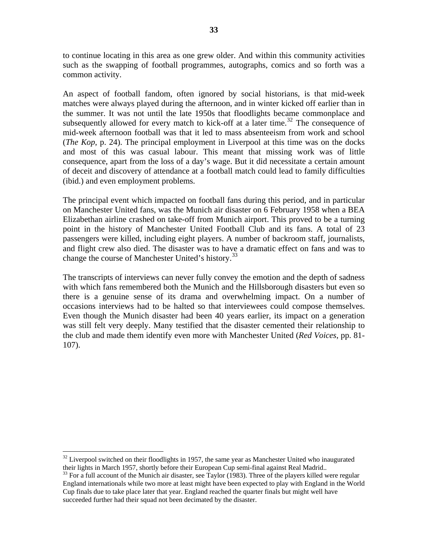to continue locating in this area as one grew older. And within this community activities such as the swapping of football programmes, autographs, comics and so forth was a common activity.

An aspect of football fandom, often ignored by social historians, is that mid-week matches were always played during the afternoon, and in winter kicked off earlier than in the summer. It was not until the late 1950s that floodlights became commonplace and subsequently allowed for every match to kick-off at a later time.<sup>[32](#page-33-0)</sup> The consequence of mid-week afternoon football was that it led to mass absenteeism from work and school (*The Kop*, p. 24). The principal employment in Liverpool at this time was on the docks and most of this was casual labour. This meant that missing work was of little consequence, apart from the loss of a day's wage. But it did necessitate a certain amount of deceit and discovery of attendance at a football match could lead to family difficulties (ibid.) and even employment problems.

The principal event which impacted on football fans during this period, and in particular on Manchester United fans, was the Munich air disaster on 6 February 1958 when a BEA Elizabethan airline crashed on take-off from Munich airport. This proved to be a turning point in the history of Manchester United Football Club and its fans. A total of 23 passengers were killed, including eight players. A number of backroom staff, journalists, and flight crew also died. The disaster was to have a dramatic effect on fans and was to change the course of Manchester United's history.<sup>[33](#page-33-1)</sup>

The transcripts of interviews can never fully convey the emotion and the depth of sadness with which fans remembered both the Munich and the Hillsborough disasters but even so there is a genuine sense of its drama and overwhelming impact. On a number of occasions interviews had to be halted so that interviewees could compose themselves. Even though the Munich disaster had been 40 years earlier, its impact on a generation was still felt very deeply. Many testified that the disaster cemented their relationship to the club and made them identify even more with Manchester United (*Red Voices*, pp. 81- 107).

<span id="page-33-0"></span> $32$  Liverpool switched on their floodlights in 1957, the same year as Manchester United who inaugurated their lights in March 1957, shortly before their European Cup semi-final against Real Madrid..

<span id="page-33-1"></span><sup>&</sup>lt;sup>33</sup> For a full account of the Munich air disaster, see Taylor (1983). Three of the players killed were regular England internationals while two more at least might have been expected to play with England in the World Cup finals due to take place later that year. England reached the quarter finals but might well have succeeded further had their squad not been decimated by the disaster.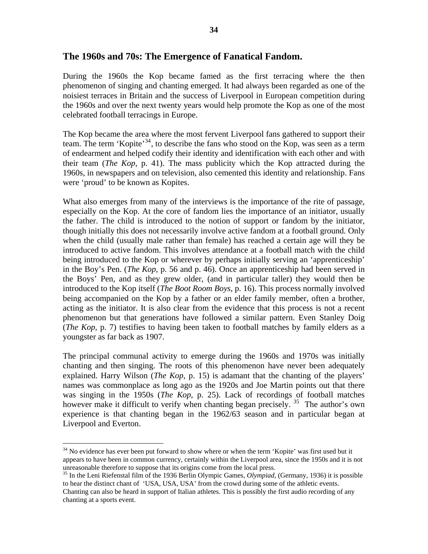#### **The 1960s and 70s: The Emergence of Fanatical Fandom.**

During the 1960s the Kop became famed as the first terracing where the then phenomenon of singing and chanting emerged. It had always been regarded as one of the noisiest terraces in Britain and the success of Liverpool in European competition during the 1960s and over the next twenty years would help promote the Kop as one of the most celebrated football terracings in Europe.

The Kop became the area where the most fervent Liverpool fans gathered to support their team. The term 'Kopite'[34](#page-34-0), to describe the fans who stood on the Kop, was seen as a term of endearment and helped codify their identity and identification with each other and with their team (*The Kop*, p. 41). The mass publicity which the Kop attracted during the 1960s, in newspapers and on television, also cemented this identity and relationship. Fans were 'proud' to be known as Kopites.

What also emerges from many of the interviews is the importance of the rite of passage, especially on the Kop. At the core of fandom lies the importance of an initiator, usually the father. The child is introduced to the notion of support or fandom by the initiator, though initially this does not necessarily involve active fandom at a football ground. Only when the child (usually male rather than female) has reached a certain age will they be introduced to active fandom. This involves attendance at a football match with the child being introduced to the Kop or wherever by perhaps initially serving an 'apprenticeship' in the Boy's Pen. (*The Kop*, p. 56 and p. 46). Once an apprenticeship had been served in the Boys' Pen, and as they grew older, (and in particular taller) they would then be introduced to the Kop itself (*The Boot Room Boys*, p. 16). This process normally involved being accompanied on the Kop by a father or an elder family member, often a brother, acting as the initiator. It is also clear from the evidence that this process is not a recent phenomenon but that generations have followed a similar pattern. Even Stanley Doig (*The Kop*, p. 7) testifies to having been taken to football matches by family elders as a youngster as far back as 1907.

The principal communal activity to emerge during the 1960s and 1970s was initially chanting and then singing. The roots of this phenomenon have never been adequately explained. Harry Wilson (*The Kop*, p. 15) is adamant that the chanting of the players' names was commonplace as long ago as the 1920s and Joe Martin points out that there was singing in the 1950s (*The Kop*, p. 25). Lack of recordings of football matches however make it difficult to verify when chanting began precisely.  $35$  The author's own experience is that chanting began in the 1962/63 season and in particular began at Liverpool and Everton.

<span id="page-34-0"></span><sup>&</sup>lt;sup>34</sup> No evidence has ever been put forward to show where or when the term 'Kopite' was first used but it appears to have been in common currency, certainly within the Liverpool area, since the 1950s and it is not unreasonable therefore to suppose that its origins come from the local press. 35 In the Leni Riefenstal film of the 1936 Berlin Olympic Games, *Olympiad,* (Germany, 1936) it is possible

<span id="page-34-1"></span>to hear the distinct chant of 'USA, USA, USA' from the crowd during some of the athletic events. Chanting can also be heard in support of Italian athletes. This is possibly the first audio recording of any chanting at a sports event.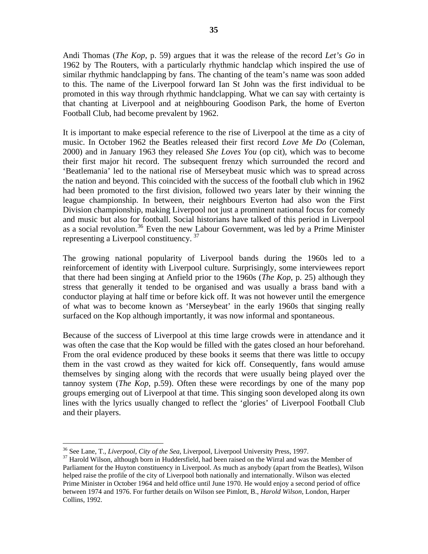Andi Thomas (*The Kop*, p. 59) argues that it was the release of the record *Let's Go* in 1962 by The Routers, with a particularly rhythmic handclap which inspired the use of similar rhythmic handclapping by fans. The chanting of the team's name was soon added to this. The name of the Liverpool forward Ian St John was the first individual to be promoted in this way through rhythmic handclapping. What we can say with certainty is that chanting at Liverpool and at neighbouring Goodison Park, the home of Everton Football Club, had become prevalent by 1962.

It is important to make especial reference to the rise of Liverpool at the time as a city of music. In October 1962 the Beatles released their first record *Love Me Do* (Coleman, 2000) and in January 1963 they released *She Loves You* (op cit), which was to become their first major hit record. The subsequent frenzy which surrounded the record and 'Beatlemania' led to the national rise of Merseybeat music which was to spread across the nation and beyond. This coincided with the success of the football club which in 1962 had been promoted to the first division, followed two years later by their winning the league championship. In between, their neighbours Everton had also won the First Division championship, making Liverpool not just a prominent national focus for comedy and music but also for football. Social historians have talked of this period in Liverpool as a social revolution.<sup>[36](#page-35-0)</sup> Even the new Labour Government, was led by a Prime Minister representing a Liverpool constituency.<sup>[37](#page-35-1)</sup>

The growing national popularity of Liverpool bands during the 1960s led to a reinforcement of identity with Liverpool culture. Surprisingly, some interviewees report that there had been singing at Anfield prior to the 1960s (*The Kop*, p. 25) although they stress that generally it tended to be organised and was usually a brass band with a conductor playing at half time or before kick off. It was not however until the emergence of what was to become known as 'Merseybeat' in the early 1960s that singing really surfaced on the Kop although importantly, it was now informal and spontaneous.

Because of the success of Liverpool at this time large crowds were in attendance and it was often the case that the Kop would be filled with the gates closed an hour beforehand. From the oral evidence produced by these books it seems that there was little to occupy them in the vast crowd as they waited for kick off. Consequently, fans would amuse themselves by singing along with the records that were usually being played over the tannoy system (*The Kop*, p.59). Often these were recordings by one of the many pop groups emerging out of Liverpool at that time. This singing soon developed along its own lines with the lyrics usually changed to reflect the 'glories' of Liverpool Football Club and their players.

<span id="page-35-0"></span><sup>&</sup>lt;sup>36</sup> See Lane, T., *Liverpool, City of the Sea*, Liverpool, Liverpool University Press, 1997.

<span id="page-35-1"></span><sup>&</sup>lt;sup>37</sup> Harold Wilson, although born in Huddersfield, had been raised on the Wirral and was the Member of Parliament for the Huyton constituency in Liverpool. As much as anybody (apart from the Beatles), Wilson helped raise the profile of the city of Liverpool both nationally and internationally. Wilson was elected Prime Minister in October 1964 and held office until June 1970. He would enjoy a second period of office between 1974 and 1976. For further details on Wilson see Pimlott, B., *Harold Wilson*, London, Harper Collins, 1992.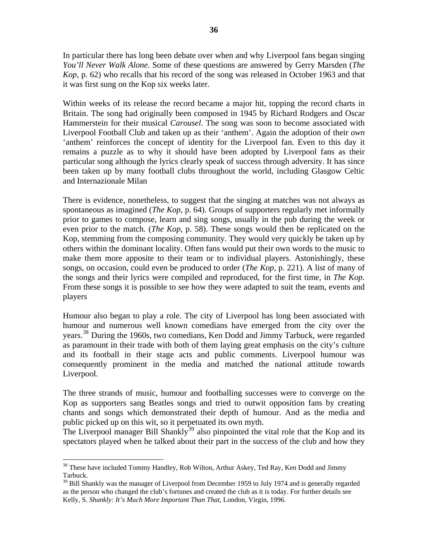In particular there has long been debate over when and why Liverpool fans began singing *You'll Never Walk Alone*. Some of these questions are answered by Gerry Marsden (*The Kop*, p. 62) who recalls that his record of the song was released in October 1963 and that it was first sung on the Kop six weeks later.

Within weeks of its release the record became a major hit, topping the record charts in Britain. The song had originally been composed in 1945 by Richard Rodgers and Oscar Hammerstein for their musical *Carousel*. The song was soon to become associated with Liverpool Football Club and taken up as their 'anthem'. Again the adoption of their *own* 'anthem' reinforces the concept of identity for the Liverpool fan. Even to this day it remains a puzzle as to why it should have been adopted by Liverpool fans as their particular song although the lyrics clearly speak of success through adversity. It has since been taken up by many football clubs throughout the world, including Glasgow Celtic and Internazionale Milan

There is evidence, nonetheless, to suggest that the singing at matches was not always as spontaneous as imagined (*The Kop*, p. 64). Groups of supporters regularly met informally prior to games to compose, learn and sing songs, usually in the pub during the week or even prior to the match. (*The Kop*, p. 58). These songs would then be replicated on the Kop, stemming from the composing community. They would very quickly be taken up by others within the dominant locality. Often fans would put their own words to the music to make them more apposite to their team or to individual players. Astonishingly, these songs, on occasion, could even be produced to order (*The Kop*, p. 221). A list of many of the songs and their lyrics were compiled and reproduced, for the first time, in *The Kop.* From these songs it is possible to see how they were adapted to suit the team, events and players

Humour also began to play a role. The city of Liverpool has long been associated with humour and numerous well known comedians have emerged from the city over the years.<sup>[38](#page-36-0)</sup> During the 1960s, two comedians, Ken Dodd and Jimmy Tarbuck, were regarded as paramount in their trade with both of them laying great emphasis on the city's culture and its football in their stage acts and public comments. Liverpool humour was consequently prominent in the media and matched the national attitude towards Liverpool.

The three strands of music, humour and footballing successes were to converge on the Kop as supporters sang Beatles songs and tried to outwit opposition fans by creating chants and songs which demonstrated their depth of humour. And as the media and public picked up on this wit, so it perpetuated its own myth.

The Liverpool manager Bill Shankly<sup>[39](#page-36-1)</sup> also pinpointed the vital role that the Kop and its spectators played when he talked about their part in the success of the club and how they

<span id="page-36-0"></span> <sup>38</sup> These have included Tommy Handley, Rob Wilton, Arthur Askey, Ted Ray, Ken Dodd and Jimmy Tarbuck.

<span id="page-36-1"></span><sup>&</sup>lt;sup>39</sup> Bill Shankly was the manager of Liverpool from December 1959 to July 1974 and is generally regarded as the person who changed the club's fortunes and created the club as it is today. For further details see Kelly, S. *Shankly: It's Much More Important Than That,* London, Virgin, 1996.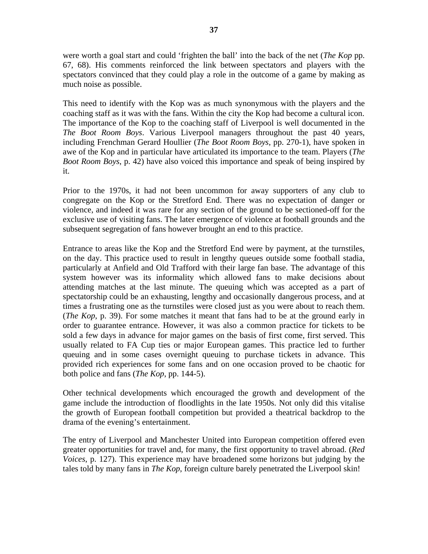were worth a goal start and could 'frighten the ball' into the back of the net (*The Kop* pp. 67, 68). His comments reinforced the link between spectators and players with the spectators convinced that they could play a role in the outcome of a game by making as much noise as possible.

This need to identify with the Kop was as much synonymous with the players and the coaching staff as it was with the fans. Within the city the Kop had become a cultural icon. The importance of the Kop to the coaching staff of Liverpool is well documented in the *The Boot Room Boys*. Various Liverpool managers throughout the past 40 years, including Frenchman Gerard Houllier (*The Boot Room Boys*, pp. 270-1), have spoken in awe of the Kop and in particular have articulated its importance to the team. Players (*The Boot Room Boys*, p. 42) have also voiced this importance and speak of being inspired by it.

Prior to the 1970s, it had not been uncommon for away supporters of any club to congregate on the Kop or the Stretford End. There was no expectation of danger or violence, and indeed it was rare for any section of the ground to be sectioned-off for the exclusive use of visiting fans. The later emergence of violence at football grounds and the subsequent segregation of fans however brought an end to this practice.

Entrance to areas like the Kop and the Stretford End were by payment, at the turnstiles, on the day. This practice used to result in lengthy queues outside some football stadia, particularly at Anfield and Old Trafford with their large fan base. The advantage of this system however was its informality which allowed fans to make decisions about attending matches at the last minute. The queuing which was accepted as a part of spectatorship could be an exhausting, lengthy and occasionally dangerous process, and at times a frustrating one as the turnstiles were closed just as you were about to reach them. (*The Kop*, p. 39). For some matches it meant that fans had to be at the ground early in order to guarantee entrance. However, it was also a common practice for tickets to be sold a few days in advance for major games on the basis of first come, first served. This usually related to FA Cup ties or major European games. This practice led to further queuing and in some cases overnight queuing to purchase tickets in advance. This provided rich experiences for some fans and on one occasion proved to be chaotic for both police and fans (*The Kop*, pp. 144-5).

Other technical developments which encouraged the growth and development of the game include the introduction of floodlights in the late 1950s. Not only did this vitalise the growth of European football competition but provided a theatrical backdrop to the drama of the evening's entertainment.

The entry of Liverpool and Manchester United into European competition offered even greater opportunities for travel and, for many, the first opportunity to travel abroad. (*Red Voices*, p. 127). This experience may have broadened some horizons but judging by the tales told by many fans in *The Kop*, foreign culture barely penetrated the Liverpool skin!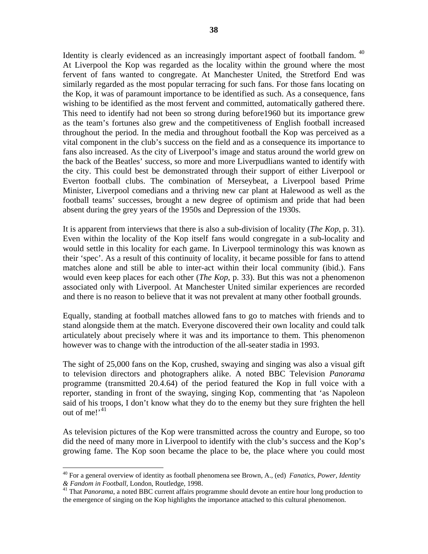Identity is clearly evidenced as an increasingly important aspect of football fandom.<sup>40</sup> At Liverpool the Kop was regarded as the locality within the ground where the most fervent of fans wanted to congregate. At Manchester United, the Stretford End was similarly regarded as the most popular terracing for such fans. For those fans locating on the Kop, it was of paramount importance to be identified as such. As a consequence, fans wishing to be identified as the most fervent and committed, automatically gathered there. This need to identify had not been so strong during before1960 but its importance grew as the team's fortunes also grew and the competitiveness of English football increased throughout the period. In the media and throughout football the Kop was perceived as a vital component in the club's success on the field and as a consequence its importance to fans also increased. As the city of Liverpool's image and status around the world grew on the back of the Beatles' success, so more and more Liverpudlians wanted to identify with the city. This could best be demonstrated through their support of either Liverpool or Everton football clubs. The combination of Merseybeat, a Liverpool based Prime Minister, Liverpool comedians and a thriving new car plant at Halewood as well as the football teams' successes, brought a new degree of optimism and pride that had been absent during the grey years of the 1950s and Depression of the 1930s.

It is apparent from interviews that there is also a sub-division of locality (*The Kop*, p. 31). Even within the locality of the Kop itself fans would congregate in a sub-locality and would settle in this locality for each game. In Liverpool terminology this was known as their 'spec'. As a result of this continuity of locality, it became possible for fans to attend matches alone and still be able to inter-act within their local community (ibid.). Fans would even keep places for each other (*The Kop*, p. 33). But this was not a phenomenon associated only with Liverpool. At Manchester United similar experiences are recorded and there is no reason to believe that it was not prevalent at many other football grounds.

Equally, standing at football matches allowed fans to go to matches with friends and to stand alongside them at the match. Everyone discovered their own locality and could talk articulately about precisely where it was and its importance to them. This phenomenon however was to change with the introduction of the all-seater stadia in 1993.

The sight of 25,000 fans on the Kop, crushed, swaying and singing was also a visual gift to television directors and photographers alike. A noted BBC Television *Panorama*  programme (transmitted 20.4.64) of the period featured the Kop in full voice with a reporter, standing in front of the swaying, singing Kop, commenting that 'as Napoleon said of his troops, I don't know what they do to the enemy but they sure frighten the hell out of me!'<sup>[41](#page-38-1)</sup>

As television pictures of the Kop were transmitted across the country and Europe, so too did the need of many more in Liverpool to identify with the club's success and the Kop's growing fame. The Kop soon became the place to be, the place where you could most

<span id="page-38-0"></span><sup>40</sup> For a general overview of identity as football phenomena see Brown, A., (ed) *Fanatics, Power, Identity & Fandom in Football,* London, Routledge, 1998. 41 That *Panorama*, a noted BBC current affairs programme should devote an entire hour long production to

<span id="page-38-1"></span>the emergence of singing on the Kop highlights the importance attached to this cultural phenomenon.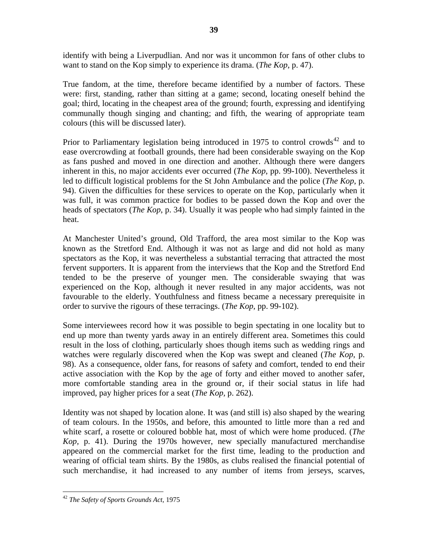identify with being a Liverpudlian. And nor was it uncommon for fans of other clubs to want to stand on the Kop simply to experience its drama. (*The Kop*, p. 47).

True fandom, at the time, therefore became identified by a number of factors. These were: first, standing, rather than sitting at a game; second, locating oneself behind the goal; third, locating in the cheapest area of the ground; fourth, expressing and identifying communally though singing and chanting; and fifth, the wearing of appropriate team colours (this will be discussed later).

Prior to Parliamentary legislation being introduced in 1975 to control crowds<sup>[42](#page-39-0)</sup> and to ease overcrowding at football grounds, there had been considerable swaying on the Kop as fans pushed and moved in one direction and another. Although there were dangers inherent in this, no major accidents ever occurred (*The Kop*, pp. 99-100). Nevertheless it led to difficult logistical problems for the St John Ambulance and the police (*The Kop*, p. 94). Given the difficulties for these services to operate on the Kop, particularly when it was full, it was common practice for bodies to be passed down the Kop and over the heads of spectators (*The Kop*, p. 34). Usually it was people who had simply fainted in the heat.

At Manchester United's ground, Old Trafford, the area most similar to the Kop was known as the Stretford End. Although it was not as large and did not hold as many spectators as the Kop, it was nevertheless a substantial terracing that attracted the most fervent supporters. It is apparent from the interviews that the Kop and the Stretford End tended to be the preserve of younger men. The considerable swaying that was experienced on the Kop, although it never resulted in any major accidents, was not favourable to the elderly. Youthfulness and fitness became a necessary prerequisite in order to survive the rigours of these terracings. (*The Kop*, pp. 99-102).

Some interviewees record how it was possible to begin spectating in one locality but to end up more than twenty yards away in an entirely different area. Sometimes this could result in the loss of clothing, particularly shoes though items such as wedding rings and watches were regularly discovered when the Kop was swept and cleaned (*The Kop*, p. 98). As a consequence, older fans, for reasons of safety and comfort, tended to end their active association with the Kop by the age of forty and either moved to another safer, more comfortable standing area in the ground or, if their social status in life had improved, pay higher prices for a seat (*The Kop,* p. 262).

Identity was not shaped by location alone. It was (and still is) also shaped by the wearing of team colours. In the 1950s, and before, this amounted to little more than a red and white scarf, a rosette or coloured bobble hat, most of which were home produced. (*The Kop,* p. 41). During the 1970s however, new specially manufactured merchandise appeared on the commercial market for the first time, leading to the production and wearing of official team shirts. By the 1980s, as clubs realised the financial potential of such merchandise, it had increased to any number of items from jerseys, scarves,

<span id="page-39-0"></span> <sup>42</sup> *The Safety of Sports Grounds Act,* 1975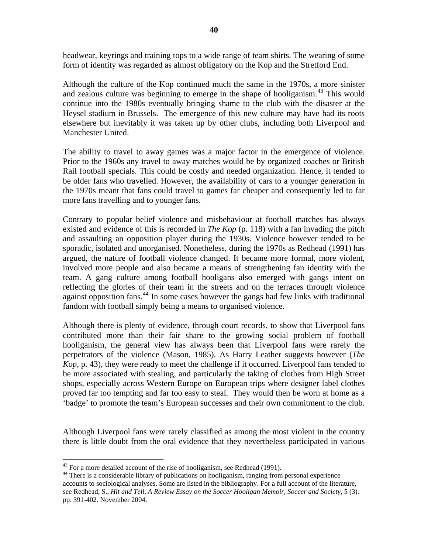headwear, keyrings and training tops to a wide range of team shirts. The wearing of some form of identity was regarded as almost obligatory on the Kop and the Stretford End.

Although the culture of the Kop continued much the same in the 1970s, a more sinister and zealous culture was beginning to emerge in the shape of hooliganism.<sup>[43](#page-40-0)</sup> This would continue into the 1980s eventually bringing shame to the club with the disaster at the Heysel stadium in Brussels. The emergence of this new culture may have had its roots elsewhere but inevitably it was taken up by other clubs, including both Liverpool and Manchester United.

The ability to travel to away games was a major factor in the emergence of violence. Prior to the 1960s any travel to away matches would be by organized coaches or British Rail football specials. This could be costly and needed organization. Hence, it tended to be older fans who travelled. However, the availability of cars to a younger generation in the 1970s meant that fans could travel to games far cheaper and consequently led to far more fans travelling and to younger fans.

Contrary to popular belief violence and misbehaviour at football matches has always existed and evidence of this is recorded in *The Kop* (p. 118) with a fan invading the pitch and assaulting an opposition player during the 1930s. Violence however tended to be sporadic, isolated and unorganised. Nonetheless, during the 1970s as Redhead (1991) has argued, the nature of football violence changed. It became more formal, more violent, involved more people and also became a means of strengthening fan identity with the team. A gang culture among football hooligans also emerged with gangs intent on reflecting the glories of their team in the streets and on the terraces through violence against opposition fans.<sup>[44](#page-40-1)</sup> In some cases however the gangs had few links with traditional fandom with football simply being a means to organised violence.

Although there is plenty of evidence, through court records, to show that Liverpool fans contributed more than their fair share to the growing social problem of football hooliganism, the general view has always been that Liverpool fans were rarely the perpetrators of the violence (Mason, 1985). As Harry Leather suggests however (*The Kop*, p. 43), they were ready to meet the challenge if it occurred. Liverpool fans tended to be more associated with stealing, and particularly the taking of clothes from High Street shops, especially across Western Europe on European trips where designer label clothes proved far too tempting and far too easy to steal. They would then be worn at home as a 'badge' to promote the team's European successes and their own commitment to the club.

Although Liverpool fans were rarely classified as among the most violent in the country there is little doubt from the oral evidence that they nevertheless participated in various

 $43$  For a more detailed account of the rise of hooliganism, see Redhead (1991).

<span id="page-40-1"></span><span id="page-40-0"></span><sup>&</sup>lt;sup>44</sup> There is a considerable library of publications on hooliganism, ranging from personal experience accounts to sociological analyses. Some are listed in the bibliography. For a full account of the literature, see Redhead, S., *Hit and Tell, A Review Essay on the Soccer Hooligan Memoir, Soccer and Society*, 5 (3). pp. 391-402. November 2004.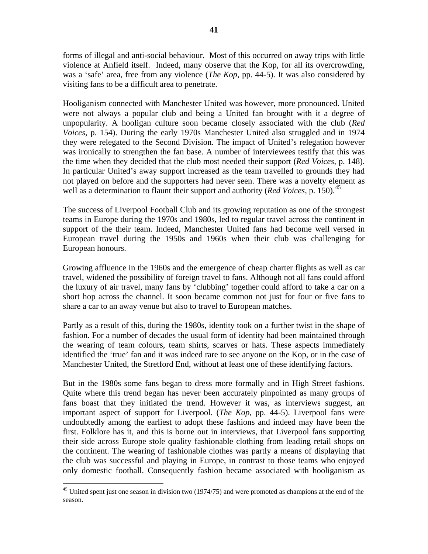forms of illegal and anti-social behaviour. Most of this occurred on away trips with little violence at Anfield itself. Indeed, many observe that the Kop, for all its overcrowding, was a 'safe' area, free from any violence (*The Kop*, pp. 44-5). It was also considered by visiting fans to be a difficult area to penetrate.

Hooliganism connected with Manchester United was however, more pronounced. United were not always a popular club and being a United fan brought with it a degree of unpopularity. A hooligan culture soon became closely associated with the club (*Red Voices,* p. 154). During the early 1970s Manchester United also struggled and in 1974 they were relegated to the Second Division. The impact of United's relegation however was ironically to strengthen the fan base. A number of interviewees testify that this was the time when they decided that the club most needed their support (*Red Voices*, p. 148). In particular United's away support increased as the team travelled to grounds they had not played on before and the supporters had never seen. There was a novelty element as well as a determination to flaunt their support and authority (*Red Voices*, p. 150).<sup>[45](#page-41-0)</sup>

The success of Liverpool Football Club and its growing reputation as one of the strongest teams in Europe during the 1970s and 1980s, led to regular travel across the continent in support of the their team. Indeed, Manchester United fans had become well versed in European travel during the 1950s and 1960s when their club was challenging for European honours.

Growing affluence in the 1960s and the emergence of cheap charter flights as well as car travel, widened the possibility of foreign travel to fans. Although not all fans could afford the luxury of air travel, many fans by 'clubbing' together could afford to take a car on a short hop across the channel. It soon became common not just for four or five fans to share a car to an away venue but also to travel to European matches.

Partly as a result of this, during the 1980s, identity took on a further twist in the shape of fashion. For a number of decades the usual form of identity had been maintained through the wearing of team colours, team shirts, scarves or hats. These aspects immediately identified the 'true' fan and it was indeed rare to see anyone on the Kop, or in the case of Manchester United, the Stretford End, without at least one of these identifying factors.

But in the 1980s some fans began to dress more formally and in High Street fashions. Quite where this trend began has never been accurately pinpointed as many groups of fans boast that they initiated the trend. However it was, as interviews suggest, an important aspect of support for Liverpool. (*The Kop*, pp. 44-5). Liverpool fans were undoubtedly among the earliest to adopt these fashions and indeed may have been the first. Folklore has it, and this is borne out in interviews, that Liverpool fans supporting their side across Europe stole quality fashionable clothing from leading retail shops on the continent. The wearing of fashionable clothes was partly a means of displaying that the club was successful and playing in Europe, in contrast to those teams who enjoyed only domestic football. Consequently fashion became associated with hooliganism as

<span id="page-41-0"></span><sup>&</sup>lt;sup>45</sup> United spent just one season in division two (1974/75) and were promoted as champions at the end of the season.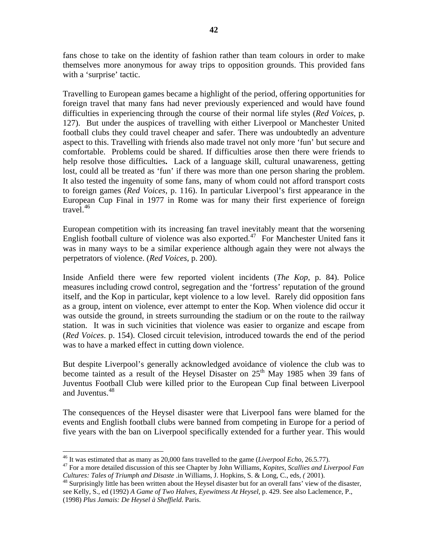fans chose to take on the identity of fashion rather than team colours in order to make themselves more anonymous for away trips to opposition grounds. This provided fans with a 'surprise' tactic.

Travelling to European games became a highlight of the period, offering opportunities for foreign travel that many fans had never previously experienced and would have found difficulties in experiencing through the course of their normal life styles (*Red Voices*, p. 127). But under the auspices of travelling with either Liverpool or Manchester United football clubs they could travel cheaper and safer. There was undoubtedly an adventure aspect to this. Travelling with friends also made travel not only more 'fun' but secure and comfortable. Problems could be shared. If difficulties arose then there were friends to help resolve those difficulties**.** Lack of a language skill, cultural unawareness, getting lost, could all be treated as 'fun' if there was more than one person sharing the problem. It also tested the ingenuity of some fans, many of whom could not afford transport costs to foreign games (*Red Voices*, p. 116). In particular Liverpool's first appearance in the European Cup Final in 1977 in Rome was for many their first experience of foreign travel. $46$ 

European competition with its increasing fan travel inevitably meant that the worsening English football culture of violence was also exported.<sup>[47](#page-42-1)</sup> For Manchester United fans it was in many ways to be a similar experience although again they were not always the perpetrators of violence. (*Red Voices*, p. 200).

Inside Anfield there were few reported violent incidents (*The Kop*, p. 84). Police measures including crowd control, segregation and the 'fortress' reputation of the ground itself, and the Kop in particular, kept violence to a low level. Rarely did opposition fans as a group, intent on violence, ever attempt to enter the Kop. When violence did occur it was outside the ground, in streets surrounding the stadium or on the route to the railway station. It was in such vicinities that violence was easier to organize and escape from (*Red Voices*. p. 154). Closed circuit television, introduced towards the end of the period was to have a marked effect in cutting down violence.

But despite Liverpool's generally acknowledged avoidance of violence the club was to become tainted as a result of the Heysel Disaster on  $25<sup>th</sup>$  May 1985 when 39 fans of Juventus Football Club were killed prior to the European Cup final between Liverpool and Juventus.<sup>[48](#page-42-2)</sup>

The consequences of the Heysel disaster were that Liverpool fans were blamed for the events and English football clubs were banned from competing in Europe for a period of five years with the ban on Liverpool specifically extended for a further year. This would

<span id="page-42-2"></span>see Kelly, S., ed (1992) *A Game of Two Halves, Eyewitness At Heysel,* p. 429. See also Laclemence, P., (1998) *Plus Jamais: De Heysel à Sheffield.* Paris.

 $46$  It was estimated that as many as 20,000 fans travelled to the game (*Liverpool Echo*, 26.5.77).

<span id="page-42-1"></span><span id="page-42-0"></span><sup>&</sup>lt;sup>47</sup> For a more detailed discussion of this see Chapter by John Williams, *Kopites, Scallies and Liverpool Fan Cultures: Tales of Triumph and Disaste .in Williams, J. Hopkins, S. & Long, C., eds, <i>(* 2001).<br><sup>48</sup> Surprisingly little has been written about the Heysel disaster but for an overall fans' view of the disaster,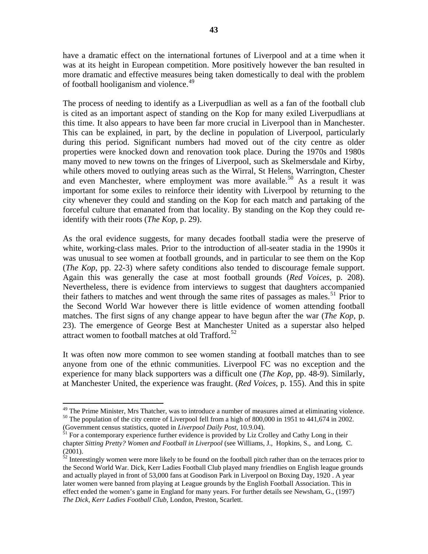have a dramatic effect on the international fortunes of Liverpool and at a time when it was at its height in European competition. More positively however the ban resulted in more dramatic and effective measures being taken domestically to deal with the problem of football hooliganism and violence.<sup>[49](#page-43-0)</sup>

The process of needing to identify as a Liverpudlian as well as a fan of the football club is cited as an important aspect of standing on the Kop for many exiled Liverpudlians at this time. It also appears to have been far more crucial in Liverpool than in Manchester. This can be explained, in part, by the decline in population of Liverpool, particularly during this period. Significant numbers had moved out of the city centre as older properties were knocked down and renovation took place. During the 1970s and 1980s many moved to new towns on the fringes of Liverpool, such as Skelmersdale and Kirby, while others moved to outlying areas such as the Wirral, St Helens, Warrington, Chester and even Manchester, where employment was more available.<sup>[50](#page-43-1)</sup> As a result it was important for some exiles to reinforce their identity with Liverpool by returning to the city whenever they could and standing on the Kop for each match and partaking of the forceful culture that emanated from that locality. By standing on the Kop they could reidentify with their roots (*The Kop*, p. 29).

As the oral evidence suggests, for many decades football stadia were the preserve of white, working-class males. Prior to the introduction of all-seater stadia in the 1990s it was unusual to see women at football grounds, and in particular to see them on the Kop (*The Kop*, pp. 22-3) where safety conditions also tended to discourage female support. Again this was generally the case at most football grounds (*Red Voices*, p. 208). Nevertheless, there is evidence from interviews to suggest that daughters accompanied their fathers to matches and went through the same rites of passages as males.<sup>[51](#page-43-2)</sup> Prior to the Second World War however there is little evidence of women attending football matches. The first signs of any change appear to have begun after the war (*The Kop*, p. 23). The emergence of George Best at Manchester United as a superstar also helped attract women to football matches at old Trafford.<sup>[52](#page-43-3)</sup>

It was often now more common to see women standing at football matches than to see anyone from one of the ethnic communities. Liverpool FC was no exception and the experience for many black supporters was a difficult one (*The Kop*, pp. 48-9). Similarly, at Manchester United, the experience was fraught. (*Red Voices*, p. 155). And this in spite

<span id="page-43-0"></span><sup>&</sup>lt;sup>49</sup> The Prime Minister, Mrs Thatcher, was to introduce a number of measures aimed at eliminating violence. <sup>50</sup> The population of the city centre of Liverpool fell from a high of 800,000 in 1951 to 441,674 in 2002.

<span id="page-43-2"></span><span id="page-43-1"></span><sup>(</sup>Government census statistics, quoted in *Liverpool Daily Post*, 10.9.04). 51 For a contemporary experience further evidence is provided by Liz Crolley and Cathy Long in their chapter *Sitting Pretty? Women and Football in Liverpool* (see Williams, J., Hopkins, S., and Long, C. (2001).

<span id="page-43-3"></span> $52$  Interestingly women were more likely to be found on the football pitch rather than on the terraces prior to the Second World War. Dick, Kerr Ladies Football Club played many friendlies on English league grounds and actually played in front of 53,000 fans at Goodison Park in Liverpool on Boxing Day, 1920 . A year later women were banned from playing at League grounds by the English Football Association. This in effect ended the women's game in England for many years. For further details see Newsham, G., (1997) *The Dick, Kerr Ladies Football Club*, London, Preston, Scarlett.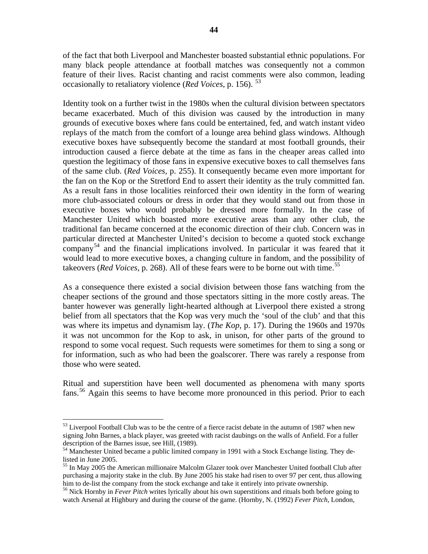of the fact that both Liverpool and Manchester boasted substantial ethnic populations. For many black people attendance at football matches was consequently not a common feature of their lives. Racist chanting and racist comments were also common, leading occasionally to retaliatory violence (*Red Voices*, p. 156). [53](#page-44-0)

Identity took on a further twist in the 1980s when the cultural division between spectators became exacerbated. Much of this division was caused by the introduction in many grounds of executive boxes where fans could be entertained, fed, and watch instant video replays of the match from the comfort of a lounge area behind glass windows. Although executive boxes have subsequently become the standard at most football grounds, their introduction caused a fierce debate at the time as fans in the cheaper areas called into question the legitimacy of those fans in expensive executive boxes to call themselves fans of the same club. (*Red Voices*, p. 255). It consequently became even more important for the fan on the Kop or the Stretford End to assert their identity as the truly committed fan. As a result fans in those localities reinforced their own identity in the form of wearing more club-associated colours or dress in order that they would stand out from those in executive boxes who would probably be dressed more formally. In the case of Manchester United which boasted more executive areas than any other club, the traditional fan became concerned at the economic direction of their club. Concern was in particular directed at Manchester United's decision to become a quoted stock exchange company<sup>[54](#page-44-1)</sup> and the financial implications involved. In particular it was feared that it would lead to more executive boxes, a changing culture in fandom, and the possibility of takeovers (*Red Voices*, p. 268). All of these fears were to be borne out with time.<sup>[55](#page-44-2)</sup>

As a consequence there existed a social division between those fans watching from the cheaper sections of the ground and those spectators sitting in the more costly areas. The banter however was generally light-hearted although at Liverpool there existed a strong belief from all spectators that the Kop was very much the 'soul of the club' and that this was where its impetus and dynamism lay. (*The Kop*, p. 17). During the 1960s and 1970s it was not uncommon for the Kop to ask, in unison, for other parts of the ground to respond to some vocal request. Such requests were sometimes for them to sing a song or for information, such as who had been the goalscorer. There was rarely a response from those who were seated.

Ritual and superstition have been well documented as phenomena with many sports fans.<sup>[56](#page-44-3)</sup> Again this seems to have become more pronounced in this period. Prior to each

<span id="page-44-0"></span> $53$  Liverpool Football Club was to be the centre of a fierce racist debate in the autumn of 1987 when new signing John Barnes, a black player, was greeted with racist daubings on the walls of Anfield. For a fuller description of the Barnes issue, see Hill, (1989).

<span id="page-44-1"></span><sup>&</sup>lt;sup>54</sup> Manchester United became a public limited company in 1991 with a Stock Exchange listing. They delisted in June 2005.

<span id="page-44-2"></span><sup>55</sup> In May 2005 the American millionaire Malcolm Glazer took over Manchester United football Club after purchasing a majority stake in the club. By June 2005 his stake had risen to over 97 per cent, thus allowing him to de-list the company from the stock exchange and take it entirely into private ownership.

<span id="page-44-3"></span><sup>&</sup>lt;sup>56</sup> Nick Hornby in *Fever Pitch* writes lyrically about his own superstitions and rituals both before going to watch Arsenal at Highbury and during the course of the game. (Hornby, N. (1992) *Fever Pitch*, London,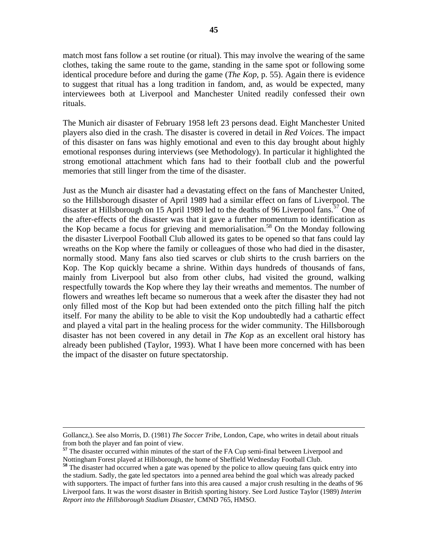match most fans follow a set routine (or ritual). This may involve the wearing of the same clothes, taking the same route to the game, standing in the same spot or following some identical procedure before and during the game (*The Kop*, p. 55). Again there is evidence to suggest that ritual has a long tradition in fandom, and, as would be expected, many interviewees both at Liverpool and Manchester United readily confessed their own rituals.

The Munich air disaster of February 1958 left 23 persons dead. Eight Manchester United players also died in the crash. The disaster is covered in detail in *Red Voices*. The impact of this disaster on fans was highly emotional and even to this day brought about highly emotional responses during interviews (see Methodology). In particular it highlighted the strong emotional attachment which fans had to their football club and the powerful memories that still linger from the time of the disaster.

Just as the Munch air disaster had a devastating effect on the fans of Manchester United, so the Hillsborough disaster of April 1989 had a similar effect on fans of Liverpool. The disaster at Hillsborough on 15 April 1989 led to the deaths of 96 Liverpool fans.<sup>[57](#page-45-0)</sup> One of the after-effects of the disaster was that it gave a further momentum to identification as the Kop became a focus for grieving and memorialisation.<sup>[58](#page-45-1)</sup> On the Monday following the disaster Liverpool Football Club allowed its gates to be opened so that fans could lay wreaths on the Kop where the family or colleagues of those who had died in the disaster, normally stood. Many fans also tied scarves or club shirts to the crush barriers on the Kop. The Kop quickly became a shrine. Within days hundreds of thousands of fans, mainly from Liverpool but also from other clubs, had visited the ground, walking respectfully towards the Kop where they lay their wreaths and mementos. The number of flowers and wreathes left became so numerous that a week after the disaster they had not only filled most of the Kop but had been extended onto the pitch filling half the pitch itself. For many the ability to be able to visit the Kop undoubtedly had a cathartic effect and played a vital part in the healing process for the wider community. The Hillsborough disaster has not been covered in any detail in *The Kop* as an excellent oral history has already been published (Taylor, 1993). What I have been more concerned with has been the impact of the disaster on future spectatorship.

Gollancz,). See also Morris, D. (1981) *The Soccer Tribe*, London, Cape, who writes in detail about rituals from both the player and fan point of view.

<span id="page-45-0"></span><sup>&</sup>lt;sup>57</sup> The disaster occurred within minutes of the start of the FA Cup semi-final between Liverpool and Nottingham Forest played at Hillsborough, the home of Sheffield Wednesday Football Club.

<span id="page-45-1"></span>**<sup>58</sup>** The disaster had occurred when a gate was opened by the police to allow queuing fans quick entry into the stadium. Sadly, the gate led spectators into a penned area behind the goal which was already packed with supporters. The impact of further fans into this area caused a major crush resulting in the deaths of 96 Liverpool fans. It was the worst disaster in British sporting history. See Lord Justice Taylor (1989) *Interim Report into the Hillsborough Stadium Disaster,* CMND 765, HMSO.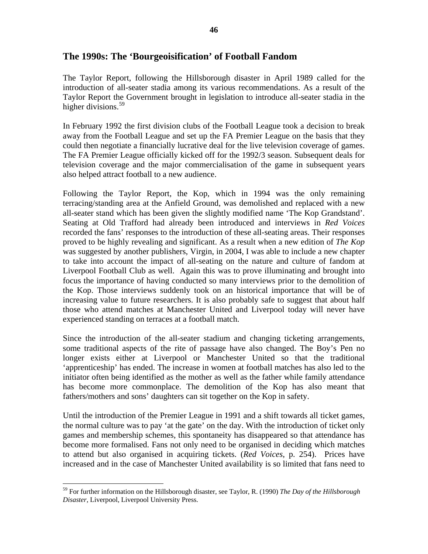# **The 1990s: The 'Bourgeoisification' of Football Fandom**

The Taylor Report, following the Hillsborough disaster in April 1989 called for the introduction of all-seater stadia among its various recommendations. As a result of the Taylor Report the Government brought in legislation to introduce all-seater stadia in the higher divisions.<sup>[59](#page-46-0)</sup>

In February 1992 the first division clubs of the Football League took a decision to break away from the Football League and set up the FA Premier League on the basis that they could then negotiate a financially lucrative deal for the live television coverage of games. The FA Premier League officially kicked off for the 1992/3 season. Subsequent deals for television coverage and the major commercialisation of the game in subsequent years also helped attract football to a new audience.

Following the Taylor Report, the Kop, which in 1994 was the only remaining terracing/standing area at the Anfield Ground, was demolished and replaced with a new all-seater stand which has been given the slightly modified name 'The Kop Grandstand'. Seating at Old Trafford had already been introduced and interviews in *Red Voices* recorded the fans' responses to the introduction of these all-seating areas. Their responses proved to be highly revealing and significant. As a result when a new edition of *The Kop* was suggested by another publishers, Virgin, in 2004, I was able to include a new chapter to take into account the impact of all-seating on the nature and culture of fandom at Liverpool Football Club as well. Again this was to prove illuminating and brought into focus the importance of having conducted so many interviews prior to the demolition of the Kop. Those interviews suddenly took on an historical importance that will be of increasing value to future researchers. It is also probably safe to suggest that about half those who attend matches at Manchester United and Liverpool today will never have experienced standing on terraces at a football match.

Since the introduction of the all-seater stadium and changing ticketing arrangements, some traditional aspects of the rite of passage have also changed. The Boy's Pen no longer exists either at Liverpool or Manchester United so that the traditional 'apprenticeship' has ended. The increase in women at football matches has also led to the initiator often being identified as the mother as well as the father while family attendance has become more commonplace. The demolition of the Kop has also meant that fathers/mothers and sons' daughters can sit together on the Kop in safety.

Until the introduction of the Premier League in 1991 and a shift towards all ticket games, the normal culture was to pay 'at the gate' on the day. With the introduction of ticket only games and membership schemes, this spontaneity has disappeared so that attendance has become more formalised. Fans not only need to be organised in deciding which matches to attend but also organised in acquiring tickets. (*Red Voices*, p. 254). Prices have increased and in the case of Manchester United availability is so limited that fans need to

<span id="page-46-0"></span><sup>59</sup> For further information on the Hillsborough disaster, see Taylor, R. (1990) *The Day of the Hillsborough Disaster*, Liverpool, Liverpool University Press.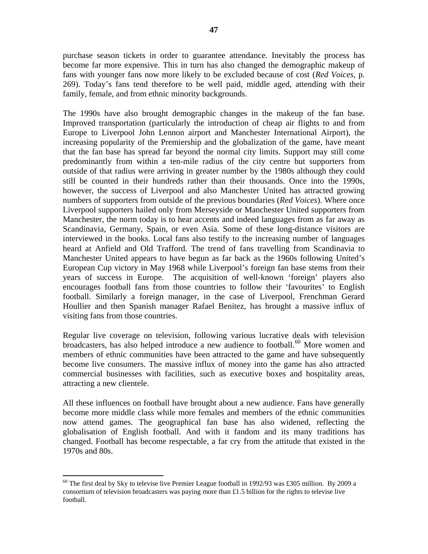purchase season tickets in order to guarantee attendance. Inevitably the process has become far more expensive. This in turn has also changed the demographic makeup of fans with younger fans now more likely to be excluded because of cost (*Red Voices,* p. 269). Today's fans tend therefore to be well paid, middle aged, attending with their family, female, and from ethnic minority backgrounds.

The 1990s have also brought demographic changes in the makeup of the fan base. Improved transportation (particularly the introduction of cheap air flights to and from Europe to Liverpool John Lennon airport and Manchester International Airport), the increasing popularity of the Premiership and the globalization of the game, have meant that the fan base has spread far beyond the normal city limits. Support may still come predominantly from within a ten-mile radius of the city centre but supporters from outside of that radius were arriving in greater number by the 1980s although they could still be counted in their hundreds rather than their thousands. Once into the 1990s, however, the success of Liverpool and also Manchester United has attracted growing numbers of supporters from outside of the previous boundaries (*Red Voices*). Where once Liverpool supporters hailed only from Merseyside or Manchester United supporters from Manchester, the norm today is to hear accents and indeed languages from as far away as Scandinavia, Germany, Spain, or even Asia. Some of these long-distance visitors are interviewed in the books. Local fans also testify to the increasing number of languages heard at Anfield and Old Trafford. The trend of fans travelling from Scandinavia to Manchester United appears to have begun as far back as the 1960s following United's European Cup victory in May 1968 while Liverpool's foreign fan base stems from their years of success in Europe. The acquisition of well-known 'foreign' players also encourages football fans from those countries to follow their 'favourites' to English football. Similarly a foreign manager, in the case of Liverpool, Frenchman Gerard Houllier and then Spanish manager Rafael Benitez, has brought a massive influx of visiting fans from those countries.

Regular live coverage on television, following various lucrative deals with television broadcasters, has also helped introduce a new audience to football.<sup>[60](#page-47-0)</sup> More women and members of ethnic communities have been attracted to the game and have subsequently become live consumers. The massive influx of money into the game has also attracted commercial businesses with facilities, such as executive boxes and hospitality areas, attracting a new clientele.

All these influences on football have brought about a new audience. Fans have generally become more middle class while more females and members of the ethnic communities now attend games. The geographical fan base has also widened, reflecting the globalisation of English football. And with it fandom and its many traditions has changed. Football has become respectable, a far cry from the attitude that existed in the 1970s and 80s.

<span id="page-47-0"></span> $60$  The first deal by Sky to televise live Premier League football in 1992/93 was £305 million. By 2009 a consortium of television broadcasters was paying more than  $£1.5$  billion for the rights to televise live football.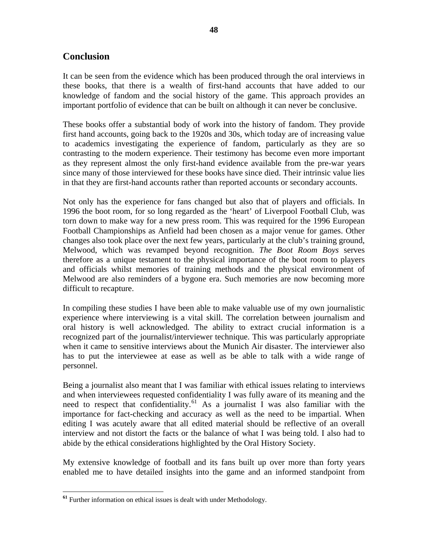# **Conclusion**

It can be seen from the evidence which has been produced through the oral interviews in these books, that there is a wealth of first-hand accounts that have added to our knowledge of fandom and the social history of the game. This approach provides an important portfolio of evidence that can be built on although it can never be conclusive.

These books offer a substantial body of work into the history of fandom. They provide first hand accounts, going back to the 1920s and 30s, which today are of increasing value to academics investigating the experience of fandom, particularly as they are so contrasting to the modern experience. Their testimony has become even more important as they represent almost the only first-hand evidence available from the pre-war years since many of those interviewed for these books have since died. Their intrinsic value lies in that they are first-hand accounts rather than reported accounts or secondary accounts.

Not only has the experience for fans changed but also that of players and officials. In 1996 the boot room, for so long regarded as the 'heart' of Liverpool Football Club, was torn down to make way for a new press room. This was required for the 1996 European Football Championships as Anfield had been chosen as a major venue for games. Other changes also took place over the next few years, particularly at the club's training ground, Melwood, which was revamped beyond recognition. *The Boot Room Boys* serves therefore as a unique testament to the physical importance of the boot room to players and officials whilst memories of training methods and the physical environment of Melwood are also reminders of a bygone era. Such memories are now becoming more difficult to recapture.

In compiling these studies I have been able to make valuable use of my own journalistic experience where interviewing is a vital skill. The correlation between journalism and oral history is well acknowledged. The ability to extract crucial information is a recognized part of the journalist/interviewer technique. This was particularly appropriate when it came to sensitive interviews about the Munich Air disaster. The interviewer also has to put the interviewee at ease as well as be able to talk with a wide range of personnel.

Being a journalist also meant that I was familiar with ethical issues relating to interviews and when interviewees requested confidentiality I was fully aware of its meaning and the need to respect that confidentiality.<sup>[61](#page-48-0)</sup> As a journalist I was also familiar with the importance for fact-checking and accuracy as well as the need to be impartial. When editing I was acutely aware that all edited material should be reflective of an overall interview and not distort the facts or the balance of what I was being told. I also had to abide by the ethical considerations highlighted by the Oral History Society.

My extensive knowledge of football and its fans built up over more than forty years enabled me to have detailed insights into the game and an informed standpoint from

<span id="page-48-0"></span>**<sup>61</sup>** Further information on ethical issues is dealt with under Methodology.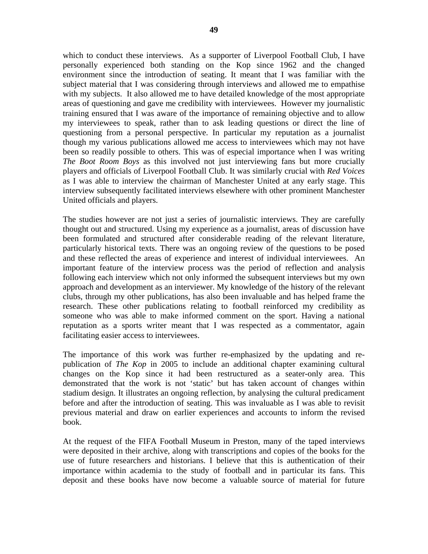which to conduct these interviews. As a supporter of Liverpool Football Club, I have personally experienced both standing on the Kop since 1962 and the changed environment since the introduction of seating. It meant that I was familiar with the subject material that I was considering through interviews and allowed me to empathise with my subjects. It also allowed me to have detailed knowledge of the most appropriate areas of questioning and gave me credibility with interviewees. However my journalistic training ensured that I was aware of the importance of remaining objective and to allow my interviewees to speak, rather than to ask leading questions or direct the line of questioning from a personal perspective. In particular my reputation as a journalist though my various publications allowed me access to interviewees which may not have been so readily possible to others. This was of especial importance when I was writing *The Boot Room Boys* as this involved not just interviewing fans but more crucially players and officials of Liverpool Football Club. It was similarly crucial with *Red Voices* as I was able to interview the chairman of Manchester United at any early stage. This interview subsequently facilitated interviews elsewhere with other prominent Manchester United officials and players.

The studies however are not just a series of journalistic interviews. They are carefully thought out and structured. Using my experience as a journalist, areas of discussion have been formulated and structured after considerable reading of the relevant literature, particularly historical texts. There was an ongoing review of the questions to be posed and these reflected the areas of experience and interest of individual interviewees. An important feature of the interview process was the period of reflection and analysis following each interview which not only informed the subsequent interviews but my own approach and development as an interviewer. My knowledge of the history of the relevant clubs, through my other publications, has also been invaluable and has helped frame the research. These other publications relating to football reinforced my credibility as someone who was able to make informed comment on the sport. Having a national reputation as a sports writer meant that I was respected as a commentator, again facilitating easier access to interviewees.

The importance of this work was further re-emphasized by the updating and republication of *The Kop* in 2005 to include an additional chapter examining cultural changes on the Kop since it had been restructured as a seater-only area. This demonstrated that the work is not 'static' but has taken account of changes within stadium design. It illustrates an ongoing reflection, by analysing the cultural predicament before and after the introduction of seating. This was invaluable as I was able to revisit previous material and draw on earlier experiences and accounts to inform the revised book.

At the request of the FIFA Football Museum in Preston, many of the taped interviews were deposited in their archive, along with transcriptions and copies of the books for the use of future researchers and historians. I believe that this is authentication of their importance within academia to the study of football and in particular its fans. This deposit and these books have now become a valuable source of material for future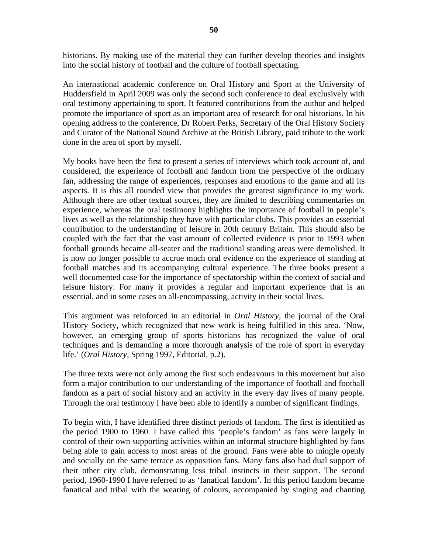historians. By making use of the material they can further develop theories and insights into the social history of football and the culture of football spectating.

An international academic conference on Oral History and Sport at the University of Huddersfield in April 2009 was only the second such conference to deal exclusively with oral testimony appertaining to sport. It featured contributions from the author and helped promote the importance of sport as an important area of research for oral historians. In his opening address to the conference, Dr Robert Perks, Secretary of the Oral History Society and Curator of the National Sound Archive at the British Library, paid tribute to the work done in the area of sport by myself.

My books have been the first to present a series of interviews which took account of, and considered, the experience of football and fandom from the perspective of the ordinary fan, addressing the range of experiences, responses and emotions to the game and all its aspects. It is this all rounded view that provides the greatest significance to my work. Although there are other textual sources, they are limited to describing commentaries on experience, whereas the oral testimony highlights the importance of football in people's lives as well as the relationship they have with particular clubs. This provides an essential contribution to the understanding of leisure in 20th century Britain. This should also be coupled with the fact that the vast amount of collected evidence is prior to 1993 when football grounds became all-seater and the traditional standing areas were demolished. It is now no longer possible to accrue much oral evidence on the experience of standing at football matches and its accompanying cultural experience. The three books present a well documented case for the importance of spectatorship within the context of social and leisure history. For many it provides a regular and important experience that is an essential, and in some cases an all-encompassing, activity in their social lives.

This argument was reinforced in an editorial in *Oral History*, the journal of the Oral History Society, which recognized that new work is being fulfilled in this area. 'Now, however, an emerging group of sports historians has recognized the value of oral techniques and is demanding a more thorough analysis of the role of sport in everyday life.' (*Oral History*, Spring 1997, Editorial, p.2).

The three texts were not only among the first such endeavours in this movement but also form a major contribution to our understanding of the importance of football and football fandom as a part of social history and an activity in the every day lives of many people. Through the oral testimony I have been able to identify a number of significant findings.

To begin with, I have identified three distinct periods of fandom. The first is identified as the period 1900 to 1960. I have called this 'people's fandom' as fans were largely in control of their own supporting activities within an informal structure highlighted by fans being able to gain access to most areas of the ground. Fans were able to mingle openly and socially on the same terrace as opposition fans. Many fans also had dual support of their other city club, demonstrating less tribal instincts in their support. The second period, 1960-1990 I have referred to as 'fanatical fandom'. In this period fandom became fanatical and tribal with the wearing of colours, accompanied by singing and chanting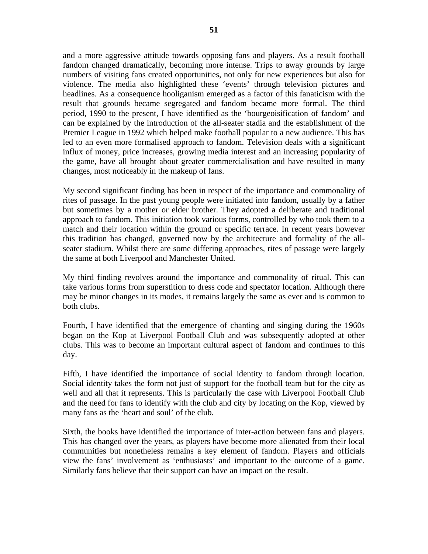and a more aggressive attitude towards opposing fans and players. As a result football fandom changed dramatically, becoming more intense. Trips to away grounds by large numbers of visiting fans created opportunities, not only for new experiences but also for violence. The media also highlighted these 'events' through television pictures and headlines. As a consequence hooliganism emerged as a factor of this fanaticism with the result that grounds became segregated and fandom became more formal. The third period, 1990 to the present, I have identified as the 'bourgeoisification of fandom' and can be explained by the introduction of the all-seater stadia and the establishment of the Premier League in 1992 which helped make football popular to a new audience. This has led to an even more formalised approach to fandom. Television deals with a significant influx of money, price increases, growing media interest and an increasing popularity of the game, have all brought about greater commercialisation and have resulted in many changes, most noticeably in the makeup of fans.

My second significant finding has been in respect of the importance and commonality of rites of passage. In the past young people were initiated into fandom, usually by a father but sometimes by a mother or elder brother. They adopted a deliberate and traditional approach to fandom. This initiation took various forms, controlled by who took them to a match and their location within the ground or specific terrace. In recent years however this tradition has changed, governed now by the architecture and formality of the allseater stadium. Whilst there are some differing approaches, rites of passage were largely the same at both Liverpool and Manchester United.

My third finding revolves around the importance and commonality of ritual. This can take various forms from superstition to dress code and spectator location. Although there may be minor changes in its modes, it remains largely the same as ever and is common to both clubs.

Fourth, I have identified that the emergence of chanting and singing during the 1960s began on the Kop at Liverpool Football Club and was subsequently adopted at other clubs. This was to become an important cultural aspect of fandom and continues to this day.

Fifth, I have identified the importance of social identity to fandom through location. Social identity takes the form not just of support for the football team but for the city as well and all that it represents. This is particularly the case with Liverpool Football Club and the need for fans to identify with the club and city by locating on the Kop, viewed by many fans as the 'heart and soul' of the club.

Sixth, the books have identified the importance of inter-action between fans and players. This has changed over the years, as players have become more alienated from their local communities but nonetheless remains a key element of fandom. Players and officials view the fans' involvement as 'enthusiasts' and important to the outcome of a game. Similarly fans believe that their support can have an impact on the result.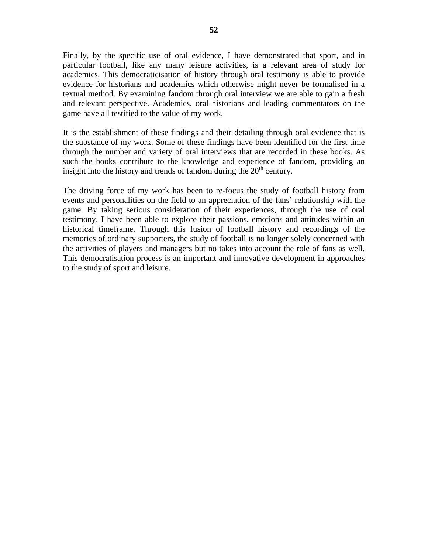Finally, by the specific use of oral evidence, I have demonstrated that sport, and in particular football, like any many leisure activities, is a relevant area of study for academics. This democraticisation of history through oral testimony is able to provide evidence for historians and academics which otherwise might never be formalised in a textual method. By examining fandom through oral interview we are able to gain a fresh and relevant perspective. Academics, oral historians and leading commentators on the game have all testified to the value of my work.

It is the establishment of these findings and their detailing through oral evidence that is the substance of my work. Some of these findings have been identified for the first time through the number and variety of oral interviews that are recorded in these books. As such the books contribute to the knowledge and experience of fandom, providing an insight into the history and trends of fandom during the  $20<sup>th</sup>$  century.

The driving force of my work has been to re-focus the study of football history from events and personalities on the field to an appreciation of the fans' relationship with the game. By taking serious consideration of their experiences, through the use of oral testimony, I have been able to explore their passions, emotions and attitudes within an historical timeframe. Through this fusion of football history and recordings of the memories of ordinary supporters, the study of football is no longer solely concerned with the activities of players and managers but no takes into account the role of fans as well. This democratisation process is an important and innovative development in approaches to the study of sport and leisure.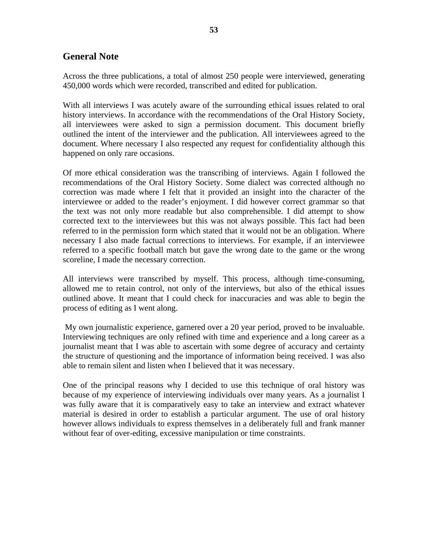# **General Note**

Across the three publications, a total of almost 250 people were interviewed, generating 450,000 words which were recorded, transcribed and edited for publication.

With all interviews I was acutely aware of the surrounding ethical issues related to oral history interviews. In accordance with the recommendations of the Oral History Society, all interviewees were asked to sign a permission document. This document briefly outlined the intent of the interviewer and the publication. All interviewees agreed to the document. Where necessary I also respected any request for confidentiality although this happened on only rare occasions.

Of more ethical consideration was the transcribing of interviews. Again I followed the recommendations of the Oral History Society. Some dialect was corrected although no correction was made where I felt that it provided an insight into the character of the interviewee or added to the reader's enjoyment. I did however correct grammar so that the text was not only more readable but also comprehensible. I did attempt to show corrected text to the interviewees but this was not always possible. This fact had been referred to in the permission form which stated that it would not be an obligation. Where necessary I also made factual corrections to interviews. For example, if an interviewee referred to a specific football match but gave the wrong date to the game or the wrong scoreline, I made the necessary correction.

All interviews were transcribed by myself. This process, although time-consuming, allowed me to retain control, not only of the interviews, but also of the ethical issues outlined above. It meant that I could check for inaccuracies and was able to begin the process of editing as I went along.

 My own journalistic experience, garnered over a 20 year period, proved to be invaluable. Interviewing techniques are only refined with time and experience and a long career as a journalist meant that I was able to ascertain with some degree of accuracy and certainty the structure of questioning and the importance of information being received. I was also able to remain silent and listen when I believed that it was necessary.

One of the principal reasons why I decided to use this technique of oral history was because of my experience of interviewing individuals over many years. As a journalist I was fully aware that it is comparatively easy to take an interview and extract whatever material is desired in order to establish a particular argument. The use of oral history however allows individuals to express themselves in a deliberately full and frank manner without fear of over-editing, excessive manipulation or time constraints.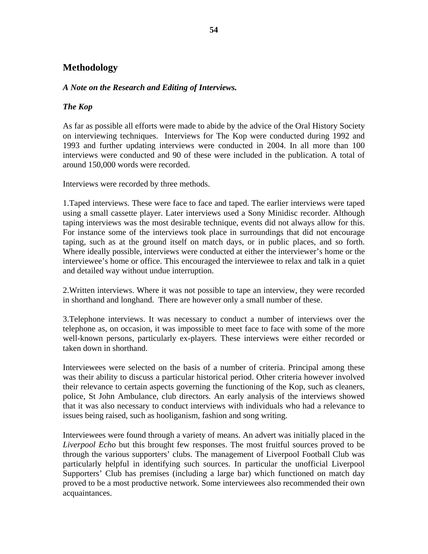# **Methodology**

## *A Note on the Research and Editing of Interviews.*

# *The Kop*

As far as possible all efforts were made to abide by the advice of the Oral History Society on interviewing techniques. Interviews for The Kop were conducted during 1992 and 1993 and further updating interviews were conducted in 2004. In all more than 100 interviews were conducted and 90 of these were included in the publication. A total of around 150,000 words were recorded.

Interviews were recorded by three methods.

1.Taped interviews. These were face to face and taped. The earlier interviews were taped using a small cassette player. Later interviews used a Sony Minidisc recorder. Although taping interviews was the most desirable technique, events did not always allow for this. For instance some of the interviews took place in surroundings that did not encourage taping, such as at the ground itself on match days, or in public places, and so forth. Where ideally possible, interviews were conducted at either the interviewer's home or the interviewee's home or office. This encouraged the interviewee to relax and talk in a quiet and detailed way without undue interruption.

2.Written interviews. Where it was not possible to tape an interview, they were recorded in shorthand and longhand. There are however only a small number of these.

3.Telephone interviews. It was necessary to conduct a number of interviews over the telephone as, on occasion, it was impossible to meet face to face with some of the more well-known persons, particularly ex-players. These interviews were either recorded or taken down in shorthand.

Interviewees were selected on the basis of a number of criteria. Principal among these was their ability to discuss a particular historical period. Other criteria however involved their relevance to certain aspects governing the functioning of the Kop, such as cleaners, police, St John Ambulance, club directors. An early analysis of the interviews showed that it was also necessary to conduct interviews with individuals who had a relevance to issues being raised, such as hooliganism, fashion and song writing.

Interviewees were found through a variety of means. An advert was initially placed in the *Liverpool Echo* but this brought few responses. The most fruitful sources proved to be through the various supporters' clubs. The management of Liverpool Football Club was particularly helpful in identifying such sources. In particular the unofficial Liverpool Supporters' Club has premises (including a large bar) which functioned on match day proved to be a most productive network. Some interviewees also recommended their own acquaintances.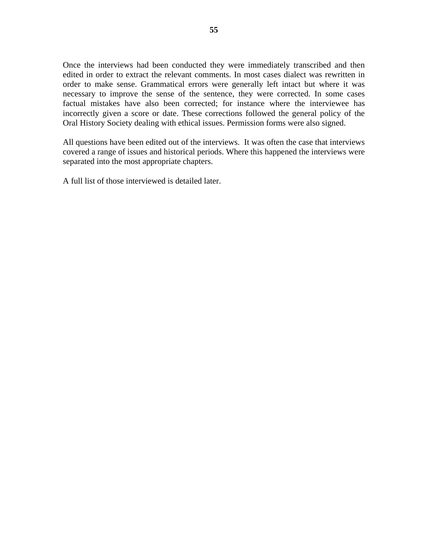Once the interviews had been conducted they were immediately transcribed and then edited in order to extract the relevant comments. In most cases dialect was rewritten in order to make sense. Grammatical errors were generally left intact but where it was necessary to improve the sense of the sentence, they were corrected. In some cases factual mistakes have also been corrected; for instance where the interviewee has incorrectly given a score or date. These corrections followed the general policy of the Oral History Society dealing with ethical issues. Permission forms were also signed.

All questions have been edited out of the interviews. It was often the case that interviews covered a range of issues and historical periods. Where this happened the interviews were separated into the most appropriate chapters.

A full list of those interviewed is detailed later.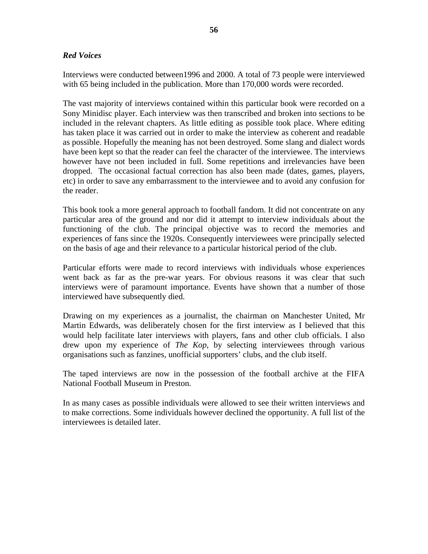## *Red Voices*

Interviews were conducted between1996 and 2000. A total of 73 people were interviewed with 65 being included in the publication. More than 170,000 words were recorded.

The vast majority of interviews contained within this particular book were recorded on a Sony Minidisc player. Each interview was then transcribed and broken into sections to be included in the relevant chapters. As little editing as possible took place. Where editing has taken place it was carried out in order to make the interview as coherent and readable as possible. Hopefully the meaning has not been destroyed. Some slang and dialect words have been kept so that the reader can feel the character of the interviewee. The interviews however have not been included in full. Some repetitions and irrelevancies have been dropped. The occasional factual correction has also been made (dates, games, players, etc) in order to save any embarrassment to the interviewee and to avoid any confusion for the reader.

This book took a more general approach to football fandom. It did not concentrate on any particular area of the ground and nor did it attempt to interview individuals about the functioning of the club. The principal objective was to record the memories and experiences of fans since the 1920s. Consequently interviewees were principally selected on the basis of age and their relevance to a particular historical period of the club.

Particular efforts were made to record interviews with individuals whose experiences went back as far as the pre-war years. For obvious reasons it was clear that such interviews were of paramount importance. Events have shown that a number of those interviewed have subsequently died.

Drawing on my experiences as a journalist, the chairman on Manchester United, Mr Martin Edwards, was deliberately chosen for the first interview as I believed that this would help facilitate later interviews with players, fans and other club officials. I also drew upon my experience of *The Kop*, by selecting interviewees through various organisations such as fanzines, unofficial supporters' clubs, and the club itself.

The taped interviews are now in the possession of the football archive at the FIFA National Football Museum in Preston.

In as many cases as possible individuals were allowed to see their written interviews and to make corrections. Some individuals however declined the opportunity. A full list of the interviewees is detailed later.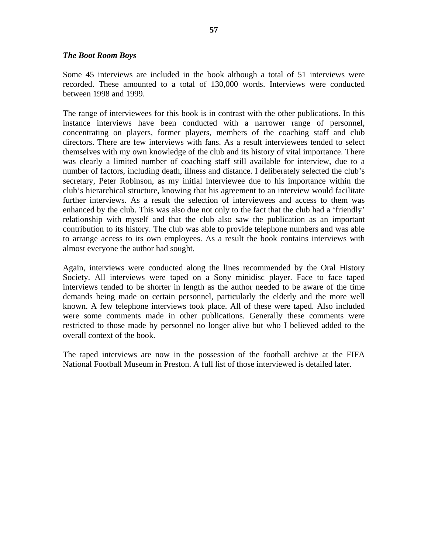#### *The Boot Room Boys*

Some 45 interviews are included in the book although a total of 51 interviews were recorded. These amounted to a total of 130,000 words. Interviews were conducted between 1998 and 1999.

The range of interviewees for this book is in contrast with the other publications. In this instance interviews have been conducted with a narrower range of personnel, concentrating on players, former players, members of the coaching staff and club directors. There are few interviews with fans. As a result interviewees tended to select themselves with my own knowledge of the club and its history of vital importance. There was clearly a limited number of coaching staff still available for interview, due to a number of factors, including death, illness and distance. I deliberately selected the club's secretary, Peter Robinson, as my initial interviewee due to his importance within the club's hierarchical structure, knowing that his agreement to an interview would facilitate further interviews. As a result the selection of interviewees and access to them was enhanced by the club. This was also due not only to the fact that the club had a 'friendly' relationship with myself and that the club also saw the publication as an important contribution to its history. The club was able to provide telephone numbers and was able to arrange access to its own employees. As a result the book contains interviews with almost everyone the author had sought.

Again, interviews were conducted along the lines recommended by the Oral History Society. All interviews were taped on a Sony minidisc player. Face to face taped interviews tended to be shorter in length as the author needed to be aware of the time demands being made on certain personnel, particularly the elderly and the more well known. A few telephone interviews took place. All of these were taped. Also included were some comments made in other publications. Generally these comments were restricted to those made by personnel no longer alive but who I believed added to the overall context of the book.

The taped interviews are now in the possession of the football archive at the FIFA National Football Museum in Preston. A full list of those interviewed is detailed later.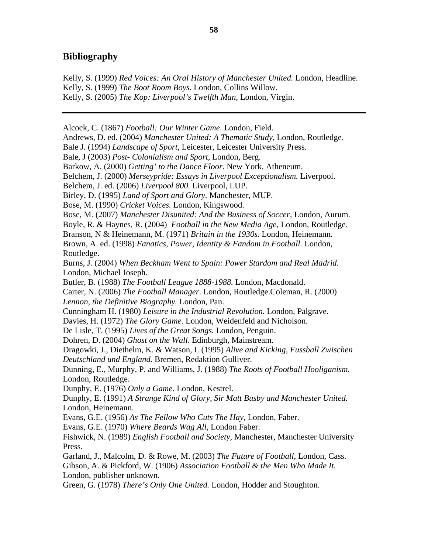# **Bibliography**

Kelly, S. (1999) *Red Voices: An Oral History of Manchester United.* London, Headline. Kelly, S. (1999) *The Boot Room Boys.* London, Collins Willow. Kelly, S. (2005) *The Kop: Liverpool's Twelfth Man,* London, Virgin.

Alcock, C. (1867) *Football: Our Winter Game*. London, Field. Andrews, D. ed. (2004) *Manchester United: A Thematic Study*, London, Routledge. Bale J. (1994) *Landscape of Sport*, Leicester, Leicester University Press. Bale, J (2003) *Post- Colonialism and Sport*, London, Berg. Barkow, A. (2000) *Getting' to the Dance Floor*. New York, Atheneum. Belchem, J. (2000) *Merseypride: Essays in Liverpool Exceptionalism.* Liverpool. Belchem, J. ed. (2006) *Liverpool 800.* Liverpool, LUP. Birley, D. (1995) *Land of Sport and Glory.* Manchester, MUP. Bose, M. (1990) *Cricket Voices.* London, Kingswood. Bose, M. (2007) *Manchester Disunited: And the Business of Soccer*, London, Aurum. Boyle, R. & Haynes, R. (2004) *[Football in the New Media Age](http://www.amazon.co.uk/Football-New-Media-Raymond-Boyle/dp/0415317916/ref=sr_1_1?ie=UTF8&s=books&qid=1242214510&sr=1-1)*, London, Routledge. Branson, N & Heinemann, M. (1971) *Britain in the 1930s.* London, Heinemann. Brown, A. ed. (1998) *Fanatics, Power, Identity & Fandom in Football.* London, Routledge. Burns, J. (2004) *When Beckham Went to Spain: Power Stardom and Real Madrid.*  London, Michael Joseph. Butler, B. (1988) *The Football League 1888-1988.* London, Macdonald. Carter, N. (2006) *The Football Manager*. London, Routledge.Coleman, R. (2000) *Lennon, the Definitive Biography.* London, Pan. Cunningham H. (1980) *Leisure in the Industrial Revolution.* London, Palgrave. Davies, H. (1972) *The Glory Game.* London, Weidenfeld and Nicholson. De Lisle, T. (1995) *Lives of the Great Songs.* London, Penguin. Dohren, D. (2004) *Ghost on the Wall*. Edinburgh, Mainstream. Dragowki, J., Diethelm, K. & Watson, I. (1995) *Alive and Kicking, Fussball Zwischen Deutschland und England.* Bremen, Redaktion Gulliver. Dunning, E., Murphy, P. and Williams, J. (1988) *The Roots of Football Hooliganism.* London, Routledge. Dunphy, E. (1976) *Only a Game.* London, Kestrel. Dunphy, E. (1991) *A Strange Kind of Glory, Sir Matt Busby and Manchester United.* London, Heinemann. Evans, G.E. (1956) *As The Fellow Who Cuts The Hay*, London, Faber. Evans, G.E. (1970) *Where Beards Wag All*, London Faber. Fishwick, N. (1989) *English Football and Society*, Manchester, Manchester University Press. Garland, J., Malcolm, D. & Rowe, M. (2003) *The Future of Football*, London, Cass. Gibson, A. & Pickford, W. (1906) *Association Football & the Men Who Made It.*  London, publisher unknown*.* Green, G. (1978) *There's Only One United.* London, Hodder and Stoughton.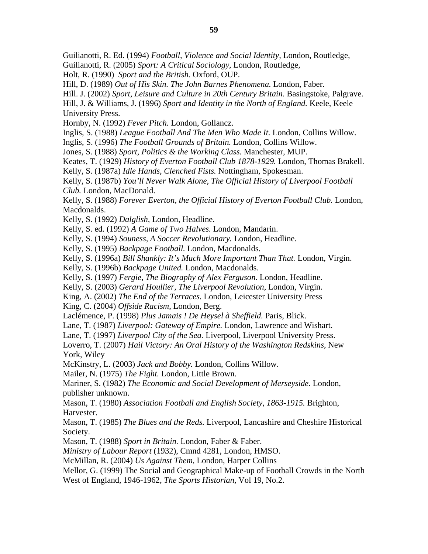Guilianotti, R. Ed. (1994) *Football, Violence and Social Identity,* London, Routledge*,* 

Guilianotti, R. (2005) *Sport: A Critical Sociology*, London, Routledge*,* 

Holt, R. (1990) *Sport and the British.* Oxford, OUP.

Hill, D. (1989) *Out of His Skin. The John Barnes Phenomena.* London, Faber.

Hill. J. (2002) *Sport, Leisure and Culture in 20th Century Britain.* Basingstoke, Palgrave.

Hill, J. & Williams, J. (1996) *Sport and Identity in the North of England.* Keele, Keele University Press.

Hornby, N. (1992) *Fever Pitch.* London, Gollancz.

Inglis, S. (1988) *League Football And The Men Who Made It.* London, Collins Willow.

Inglis, S. (1996) *The Football Grounds of Britain.* London, Collins Willow.

Jones, S. (1988) *Sport, Politics & the Working Class.* Manchester, MUP.

Keates, T. (1929) *History of Everton Football Club 1878-1929.* London, Thomas Brakell.

Kelly, S. (1987a) *Idle Hands, Clenched Fists.* Nottingham, Spokesman.

Kelly, S. (1987b) *You'll Never Walk Alone, The Official History of Liverpool Football Club.* London, MacDonald.

Kelly, S. (1988) *Forever Everton, the Official History of Everton Football Club.* London, Macdonalds.

Kelly, S. (1992) *Dalglish,* London, Headline.

Kelly, S. ed. (1992) *A Game of Two Halves.* London, Mandarin.

Kelly, S. (1994) *Souness, A Soccer Revolutionary.* London, Headline.

Kelly, S. (1995) *Backpage Football.* London, Macdonalds.

Kelly, S. (1996a) *Bill Shankly: It's Much More Important Than That.* London, Virgin.

Kelly, S. (1996b) *Backpage United.* London, Macdonalds.

Kelly, S. (1997) *Fergie, The Biography of Alex Ferguson.* London, Headline.

Kelly, S. (2003) *Gerard Houllier, The Liverpool Revolution*, London, Virgin.

King, A. (2002) *The End of the Terraces.* London, Leicester University Press

King, C. (2004) *Offside Racism*, London, Berg.

[Laclémence,](http://www.amazon.co.uk/exec/obidos/search-handle-url/index=books-uk&field-author=Lacl%E9mence%2C%20Patrick/202-2404730-6567033) P. (1998) *Plus Jamais ! De Heysel à Sheffield.* Paris, Blick.

Lane, T. (1987) *Liverpool: Gateway of Empire.* London, Lawrence and Wishart.

Lane, T. (1997) *Liverpool City of the Sea.* Liverpool, Liverpool University Press.

Loverro, T. (2007) *Hail Victory: An Oral History of the Washington Redskins*, New York, Wiley

McKinstry, L. (2003) *Jack and Bobby.* London, Collins Willow.

Mailer, N. (1975) *The Fight.* London, Little Brown.

Mariner, S. (1982) *The Economic and Social Development of Merseyside.* London, publisher unknown.

Mason, T. (1980) *Association Football and English Society*, *1863-1915.* Brighton, Harvester.

Mason, T. (1985) *The Blues and the Reds.* Liverpool, Lancashire and Cheshire Historical Society.

Mason, T. (1988) *Sport in Britain.* London, Faber & Faber.

*Ministry of Labour Report* (1932), Cmnd 4281, London, HMSO.

McMillan, R. (2004) *Us Against Them*, London, Harper Collins

Mellor, G. (1999) The Social and Geographical Make-up of Football Crowds in the North West of England, 1946-1962, *The Sports Historian,* Vol 19, No.2.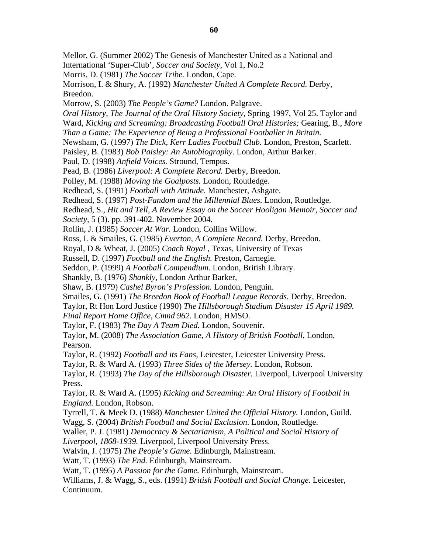Mellor, G. (Summer 2002) The Genesis of Manchester United as a National and International 'Super-Club', *Soccer and Society*, Vol 1, No.2 Morris, D. (1981) *The Soccer Tribe.* London, Cape. Morrison, I. & Shury, A. (1992) *Manchester United A Complete Record.* Derby, Breedon. Morrow, S. (2003) *The People's Game?* London. Palgrave. *Oral History*, *The Journal of the Oral History Society*, Spring 1997, Vol 25. Taylor and Ward, *Kicking and Screaming: Broadcasting Football Oral Histories;* Gearing, B., *More Than a Game: The Experience of Being a Professional Footballer in Britain.* Newsham, G. (1997) *The Dick, Kerr Ladies Football Club.* London, Preston, Scarlett. Paisley, B. (1983) *Bob Paisley: An Autobiography.* London, Arthur Barker. Paul, D. (1998) *Anfield Voices.* Stround, Tempus. Pead, B. (1986) *Liverpool: A Complete Record.* Derby, Breedon. Polley, M. (1988) *Moving the Goalposts.* London, Routledge. Redhead, S. (1991) *Football with Attitude.* Manchester, Ashgate. Redhead, S. (1997) *Post-Fandom and the Millennial Blues.* London, Routledge. Redhead, S., *Hit and Tell, A Review Essay on the Soccer Hooligan Memoir, Soccer and Society,* 5 (3). pp. 391-402. November 2004. Rollin, J. (1985) *Soccer At War.* London, Collins Willow. Ross, I. & Smailes, G. (1985) *Everton, A Complete Record.* Derby, Breedon. Royal, D & Wheat, J. (2005) *Coach Royal* , Texas, University of Texas Russell, D. (1997) *Football and the English.* Preston, Carnegie. Seddon, P. (1999) *A Football Compendium*. London, British Library. Shankly, B. (1976) *Shankly,* London Arthur Barker, Shaw, B. (1979) *Cashel Byron's Profession.* London, Penguin. Smailes, G. (1991) *The Breedon Book of Football League Records.* Derby, Breedon. Taylor, Rt Hon Lord Justice (1990) *The Hillsborough Stadium Disaster 15 April 1989. Final Report Home Office*, *Cmnd 962.* London, HMSO. Taylor, F. (1983) *The Day A Team Died.* London, Souvenir. Taylor, M. (2008) *The Association Game, A History of British Football,* London, Pearson. Taylor, R. (1992) *Football and its Fans*, Leicester, Leicester University Press. Taylor, R. & Ward A. (1993) *Three Sides of the Mersey.* London, Robson. Taylor, R. (1993) *The Day of the Hillsborough Disaster.* Liverpool, Liverpool University Press. Taylor, R. & Ward A. (1995) *Kicking and Screaming: An Oral History of Football in England.* London, Robson. Tyrrell, T. & Meek D. (1988) *Manchester United the Official History.* London, Guild. Wagg, S. (2004) *British Football and Social Exclusion*. London, Routledge. Waller, P. J. (1981) *Democracy & Sectarianism, A Political and Social History of Liverpool, 1868-1939.* Liverpool, Liverpool University Press. Walvin, J. (1975) *The People's Game.* Edinburgh, Mainstream. Watt, T. (1993) *The End.* Edinburgh, Mainstream. Watt, T. (1995) *A Passion for the Game.* Edinburgh, Mainstream. Williams, J. & Wagg, S., eds. (1991) *British Football and Social Change.* Leicester, Continuum.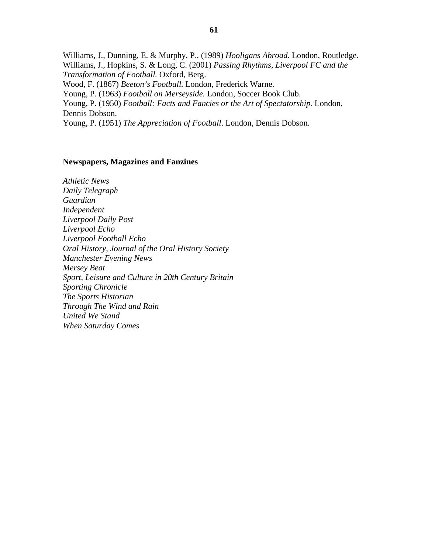Williams, J., Dunning, E. & Murphy, P., (1989) *Hooligans Abroad.* London, Routledge. Williams, J., Hopkins, S. & Long, C. (2001) *Passing Rhythms, Liverpool FC and the Transformation of Football.* Oxford, Berg. Wood, F. (1867) *Beeton's Football.* London, Frederick Warne. Young, P. (1963) *Football on Merseyside.* London, Soccer Book Club. Young, P. (1950) *Football: Facts and Fancies or the Art of Spectatorship.* London, Dennis Dobson. Young, P. (1951) *The Appreciation of Football*. London, Dennis Dobson.

#### **Newspapers, Magazines and Fanzines**

*Athletic News Daily Telegraph Guardian Independent Liverpool Daily Post Liverpool Echo Liverpool Football Echo Oral History, Journal of the Oral History Society Manchester Evening News Mersey Beat Sport, Leisure and Culture in 20th Century Britain Sporting Chronicle The Sports Historian Through The Wind and Rain United We Stand When Saturday Comes*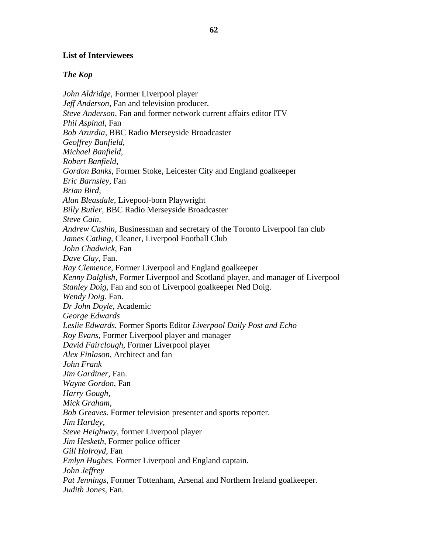### **List of Interviewees**

#### *The Kop*

*John Aldridge,* Former Liverpool player *Jeff Anderson,* Fan and television producer. *Steve Anderson,* Fan and former network current affairs editor ITV *Phil Aspinal,* Fan *Bob Azurdia,* BBC Radio Merseyside Broadcaster *Geoffrey Banfield, Michael Banfield, Robert Banfield*, *Gordon Banks*, Former Stoke, Leicester City and England goalkeeper *Eric Barnsley,* Fan *Brian Bird, Alan Bleasdale,* Livepool-born Playwright *Billy Butler,* BBC Radio Merseyside Broadcaster *Steve Cain, Andrew Cashin,* Businessman and secretary of the Toronto Liverpool fan club *James Catling,* Cleaner, Liverpool Football Club *John Chadwick,* Fan *Dave Clay,* Fan. *Ray Clemence*, Former Liverpool and England goalkeeper *Kenny Dalglish,* Former Liverpool and Scotland player, and manager of Liverpool *Stanley Doig,* Fan and son of Liverpool goalkeeper Ned Doig. *Wendy Doig.* Fan. *Dr John Doyle*, Academic *George Edwards Leslie Edwards.* Former Sports Editor *Liverpool Daily Post and Echo Roy Evans,* Former Liverpool player and manager *David Fairclough,* Former Liverpool player *Alex Finlason,* Architect and fan *John Frank Jim Gardiner,* Fan. *Wayne Gordon*, Fan *Harry Gough, Mick Graham, Bob Greaves.* Former television presenter and sports reporter. *Jim Hartley, Steve Heighway,* former Liverpool player *Jim Hesketh,* Former police officer *Gill Holroyd,* Fan *Emlyn Hughes.* Former Liverpool and England captain. *John Jeffrey Pat Jennings*, Former Tottenham, Arsenal and Northern Ireland goalkeeper. *Judith Jones,* Fan.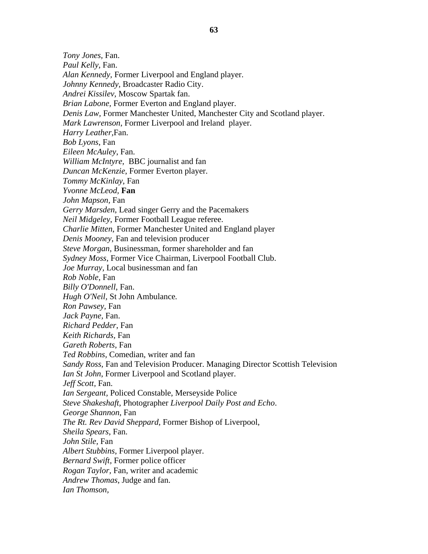*Tony Jones,* Fan. *Paul Kelly,* Fan. *Alan Kennedy,* Former Liverpool and England player. *Johnny Kennedy,* Broadcaster Radio City. *Andrei Kissilev,* Moscow Spartak fan. *Brian Labone,* Former Everton and England player. *Denis Law,* Former Manchester United, Manchester City and Scotland player. *Mark Lawrenson*, Former Liverpool and Ireland player. *Harry Leather,*Fan. *Bob Lyons*, Fan *Eileen McAuley*, Fan. *William McIntyre*, BBC journalist and fan *Duncan McKenzie*, Former Everton player. *Tommy McKinlay*, Fan *Yvonne McLeod,* **Fan** *John Mapson,* Fan *Gerry Marsden*, Lead singer Gerry and the Pacemakers *Neil Midgeley*, Former Football League referee. *Charlie Mitten*, Former Manchester United and England player *Denis Mooney*, Fan and television producer *Steve Morgan*, Businessman, former shareholder and fan *Sydney Moss*, Former Vice Chairman, Liverpool Football Club. *Joe Murray,* Local businessman and fan *Rob Noble,* Fan *Billy O'Donnell*, Fan. *Hugh O'Neil,* St John Ambulance*. Ron Pawsey,* Fan *Jack Payne,* Fan. *Richard Pedder*, Fan *Keith Richards,* Fan *Gareth Roberts*, Fan *Ted Robbins,* Comedian, writer and fan *Sandy Ross,* Fan and Television Producer. Managing Director Scottish Television *Ian St John*, Former Liverpool and Scotland player. *Jeff Scott,* Fan. *Ian Sergeant,* Policed Constable, Merseyside Police *Steve Shakeshaft,* Photographer *Liverpool Daily Post and Echo*. *George Shannon*, Fan *The Rt. Rev David Sheppard,* Former Bishop of Liverpool, *Sheila Spears*, Fan. *John Stile,* Fan *Albert Stubbins*, Former Liverpool player. *Bernard Swift,* Former police officer *Rogan Taylor,* Fan, writer and academic *Andrew Thomas*, Judge and fan. *Ian Thomson,*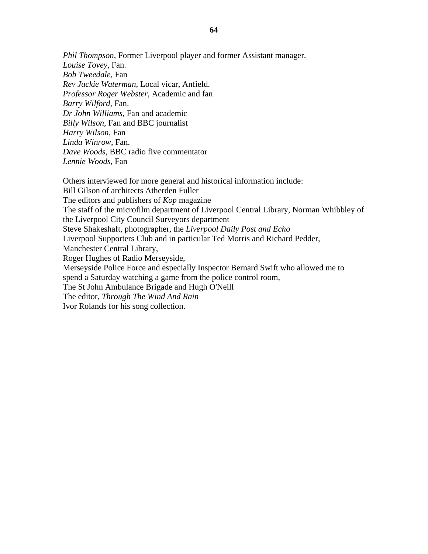*Phil Thompson*, Former Liverpool player and former Assistant manager. *Louise Tovey,* Fan. *Bob Tweedale,* Fan *Rev Jackie Waterman*, Local vicar, Anfield. *Professor Roger Webster*, Academic and fan *Barry Wilford*, Fan. *Dr John Williams,* Fan and academic *Billy Wilson,* Fan and BBC journalist *Harry Wilson*, Fan *Linda Winrow*, Fan. *Dave Woods*, BBC radio five commentator *Lennie Woods,* Fan

Others interviewed for more general and historical information include: Bill Gilson of architects Atherden Fuller The editors and publishers of *Kop* magazine The staff of the microfilm department of Liverpool Central Library, Norman Whibbley of the Liverpool City Council Surveyors department Steve Shakeshaft, photographer, the *Liverpool Daily Post and Echo* Liverpool Supporters Club and in particular Ted Morris and Richard Pedder, Manchester Central Library, Roger Hughes of Radio Merseyside, Merseyside Police Force and especially Inspector Bernard Swift who allowed me to spend a Saturday watching a game from the police control room, The St John Ambulance Brigade and Hugh O'Neill The editor*, Through The Wind And Rain*  Ivor Rolands for his song collection.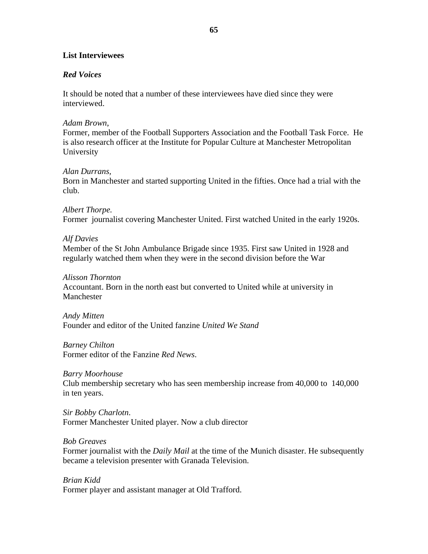### **List Interviewees**

### *Red Voices*

It should be noted that a number of these interviewees have died since they were interviewed.

### *Adam Brown*,

Former*,* member of the Football Supporters Association and the Football Task Force. He is also research officer at the Institute for Popular Culture at Manchester Metropolitan University

#### *Alan Durrans,*

Born in Manchester and started supporting United in the fifties. Once had a trial with the club.

# *Albert Thorpe.*

Former journalist covering Manchester United. First watched United in the early 1920s.

### *Alf Davies*

Member of the St John Ambulance Brigade since 1935. First saw United in 1928 and regularly watched them when they were in the second division before the War

### *Alisson Thornton*

Accountant. Born in the north east but converted to United while at university in Manchester

#### *Andy Mitten*  Founder and editor of the United fanzine *United We Stand*

*Barney Chilton* Former editor of the Fanzine *Red News*.

### *Barry Moorhouse*

Club membership secretary who has seen membership increase from 40,000 to 140,000 in ten years.

## *Sir Bobby Charlotn*. Former Manchester United player. Now a club director

### *Bob Greaves*

Former journalist with the *Daily Mail* at the time of the Munich disaster. He subsequently became a television presenter with Granada Television.

# *Brian Kidd* Former player and assistant manager at Old Trafford.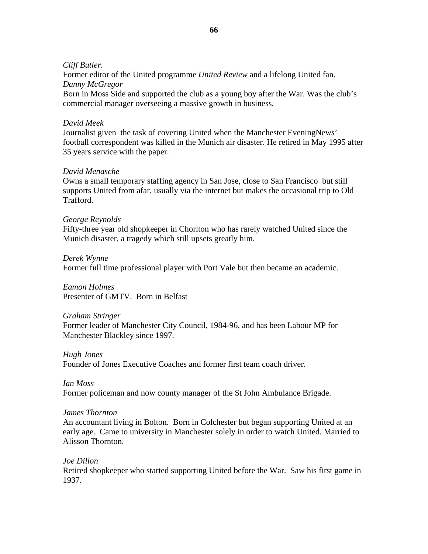#### *Cliff Butler.*

Former editor of the United programme *United Review* and a lifelong United fan. *Danny McGregor*

Born in Moss Side and supported the club as a young boy after the War. Was the club's commercial manager overseeing a massive growth in business.

### *David Meek*

Journalist given the task of covering United when the Manchester EveningNew*s*' football correspondent was killed in the Munich air disaster. He retired in May 1995 after 35 years service with the paper.

### *David Menasche*

Owns a small temporary staffing agency in San Jose, close to San Francisco but still supports United from afar, usually via the internet but makes the occasional trip to Old Trafford.

#### *George Reynolds*

Fifty-three year old shopkeeper in Chorlton who has rarely watched United since the Munich disaster, a tragedy which still upsets greatly him.

*Derek Wynne* Former full time professional player with Port Vale but then became an academic.

*Eamon Holmes*  Presenter of GMTV. Born in Belfast

*Graham Stringer*  Former leader of Manchester City Council, 1984-96, and has been Labour MP for Manchester Blackley since 1997.

*Hugh Jones*  Founder of Jones Executive Coaches and former first team coach driver.

*Ian Moss*  Former policeman and now county manager of the St John Ambulance Brigade.

#### *James Thornton*

An accountant living in Bolton. Born in Colchester but began supporting United at an early age. Came to university in Manchester solely in order to watch United. Married to Alisson Thornton.

#### *Joe Dillon*

Retired shopkeeper who started supporting United before the War. Saw his first game in 1937.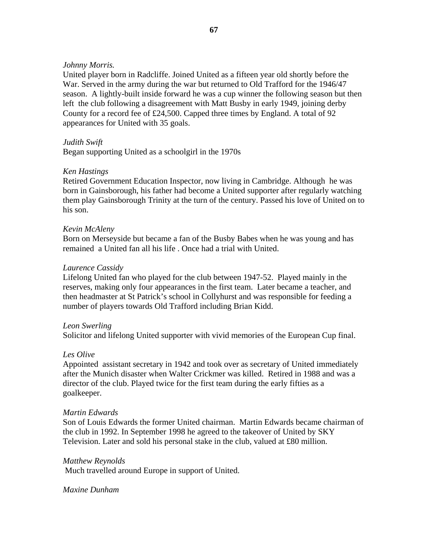### *Johnny Morris.*

United player born in Radcliffe. Joined United as a fifteen year old shortly before the War. Served in the army during the war but returned to Old Trafford for the 1946/47 season. A lightly-built inside forward he was a cup winner the following season but then left the club following a disagreement with Matt Busby in early 1949, joining derby County for a record fee of £24,500. Capped three times by England. A total of 92 appearances for United with 35 goals.

### *Judith Swift*

Began supporting United as a schoolgirl in the 1970s

### *Ken Hastings*

Retired Government Education Inspector, now living in Cambridge. Although he was born in Gainsborough, his father had become a United supporter after regularly watching them play Gainsborough Trinity at the turn of the century. Passed his love of United on to his son.

#### *Kevin McAleny*

Born on Merseyside but became a fan of the Busby Babes when he was young and has remained a United fan all his life . Once had a trial with United.

#### *Laurence Cassidy*

Lifelong United fan who played for the club between 1947-52. Played mainly in the reserves, making only four appearances in the first team. Later became a teacher, and then headmaster at St Patrick's school in Collyhurst and was responsible for feeding a number of players towards Old Trafford including Brian Kidd.

#### *Leon Swerling*

Solicitor and lifelong United supporter with vivid memories of the European Cup final.

### *Les Olive*

Appointed assistant secretary in 1942 and took over as secretary of United immediately after the Munich disaster when Walter Crickmer was killed. Retired in 1988 and was a director of the club. Played twice for the first team during the early fifties as a goalkeeper.

#### *Martin Edwards*

Son of Louis Edwards the former United chairman. Martin Edwards became chairman of the club in 1992. In September 1998 he agreed to the takeover of United by SKY Television. Later and sold his personal stake in the club, valued at £80 million.

#### *Matthew Reynolds*

Much travelled around Europe in support of United.

#### *Maxine Dunham*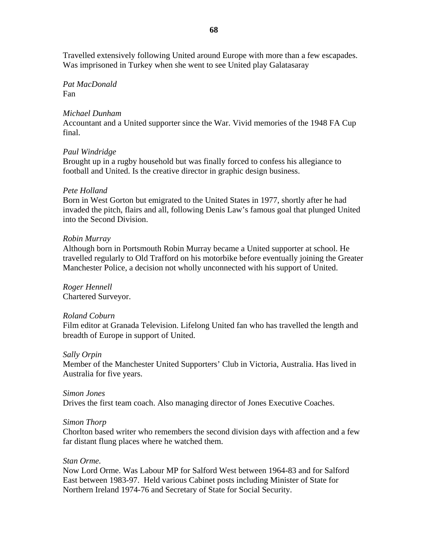Travelled extensively following United around Europe with more than a few escapades. Was imprisoned in Turkey when she went to see United play Galatasaray

*Pat MacDonald*  Fan

### *Michael Dunham*

Accountant and a United supporter since the War. Vivid memories of the 1948 FA Cup final.

#### *Paul Windridge*

Brought up in a rugby household but was finally forced to confess his allegiance to football and United. Is the creative director in graphic design business.

#### *Pete Holland*

Born in West Gorton but emigrated to the United States in 1977, shortly after he had invaded the pitch, flairs and all, following Denis Law's famous goal that plunged United into the Second Division.

#### *Robin Murray*

Although born in Portsmouth Robin Murray became a United supporter at school. He travelled regularly to Old Trafford on his motorbike before eventually joining the Greater Manchester Police, a decision not wholly unconnected with his support of United.

*Roger Hennell*  Chartered Surveyor.

#### *Roland Coburn*

Film editor at Granada Television. Lifelong United fan who has travelled the length and breadth of Europe in support of United.

#### *Sally Orpin*

Member of the Manchester United Supporters' Club in Victoria, Australia. Has lived in Australia for five years.

### *Simon Jones*

Drives the first team coach. Also managing director of Jones Executive Coaches.

#### *Simon Thorp*

Chorlton based writer who remembers the second division days with affection and a few far distant flung places where he watched them.

#### *Stan Orme.*

Now Lord Orme. Was Labour MP for Salford West between 1964-83 and for Salford East between 1983-97. Held various Cabinet posts including Minister of State for Northern Ireland 1974-76 and Secretary of State for Social Security.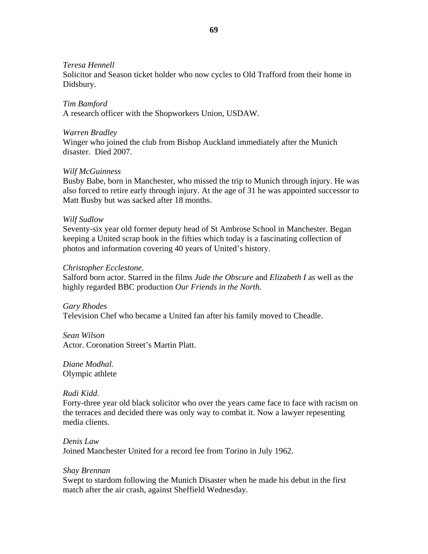#### *Teresa Hennell*

Solicitor and Season ticket holder who now cycles to Old Trafford from their home in Didsbury.

# *Tim Bamford*

A research officer with the Shopworkers Union, USDAW.

#### *Warren Bradley*

Winger who joined the club from Bishop Auckland immediately after the Munich disaster. Died 2007.

#### *Wilf McGuinness*

Busby Babe, born in Manchester, who missed the trip to Munich through injury. He was also forced to retire early through injury. At the age of 31 he was appointed successor to Matt Busby but was sacked after 18 months.

#### *Wilf Sudlow*

Seventy-six year old former deputy head of St Ambrose School in Manchester. Began keeping a United scrap book in the fifties which today is a fascinating collection of photos and information covering 40 years of United's history.

#### *Christopher Ecclestone.*

Salford born actor. Starred in the films *Jude the Obscure* and *Elizabeth I* as well as the highly regarded BBC production *Our Friends in the North.* 

# *Gary Rhodes*  Television Chef who became a United fan after his family moved to Cheadle.

*Sean Wilson*  Actor. Coronation Street's Martin Platt.

*Diane Modhal.*  Olympic athlete

### *Rudi Kidd.*

Forty-three year old black solicitor who over the years came face to face with racism on the terraces and decided there was only way to combat it. Now a lawyer repesenting media clients.

# *Denis Law*  Joined Manchester United for a record fee from Torino in July 1962.

### *Shay Brennan*

Swept to stardom following the Munich Disaster when he made his debut in the first match after the air crash, against Sheffield Wednesday.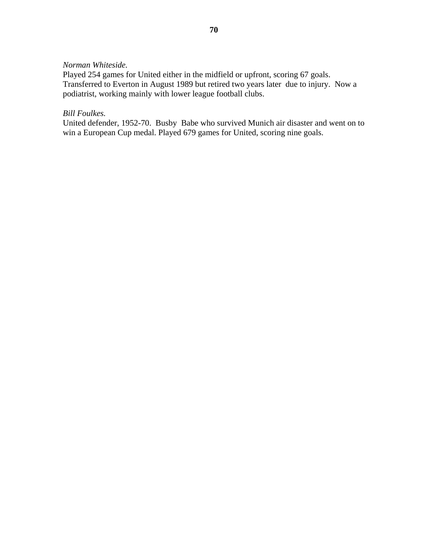#### *Norman Whiteside.*

Played 254 games for United either in the midfield or upfront, scoring 67 goals. Transferred to Everton in August 1989 but retired two years later due to injury. Now a podiatrist, working mainly with lower league football clubs.

## *Bill Foulkes.*

United defender, 1952-70. Busby Babe who survived Munich air disaster and went on to win a European Cup medal. Played 679 games for United, scoring nine goals.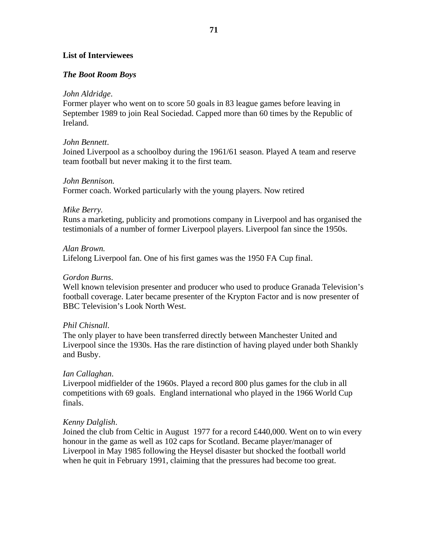### **List of Interviewees**

#### *The Boot Room Boys*

#### *John Aldridge*.

Former player who went on to score 50 goals in 83 league games before leaving in September 1989 to join Real Sociedad. Capped more than 60 times by the Republic of Ireland.

#### *John Bennett*.

Joined Liverpool as a schoolboy during the 1961/61 season. Played A team and reserve team football but never making it to the first team.

#### *John Bennison.*

Former coach. Worked particularly with the young players. Now retired

#### *Mike Berry.*

Runs a marketing, publicity and promotions company in Liverpool and has organised the testimonials of a number of former Liverpool players. Liverpool fan since the 1950s.

#### *Alan Brown.*

Lifelong Liverpool fan. One of his first games was the 1950 FA Cup final.

#### *Gordon Burns*.

Well known television presenter and producer who used to produce Granada Television's football coverage. Later became presenter of the Krypton Factor and is now presenter of BBC Television's Look North West.

### *Phil Chisnall*.

The only player to have been transferred directly between Manchester United and Liverpool since the 1930s. Has the rare distinction of having played under both Shankly and Busby.

#### *Ian Callaghan*.

Liverpool midfielder of the 1960s. Played a record 800 plus games for the club in all competitions with 69 goals. England international who played in the 1966 World Cup finals.

#### *Kenny Dalglish*.

Joined the club from Celtic in August 1977 for a record £440,000. Went on to win every honour in the game as well as 102 caps for Scotland. Became player/manager of Liverpool in May 1985 following the Heysel disaster but shocked the football world when he quit in February 1991, claiming that the pressures had become too great.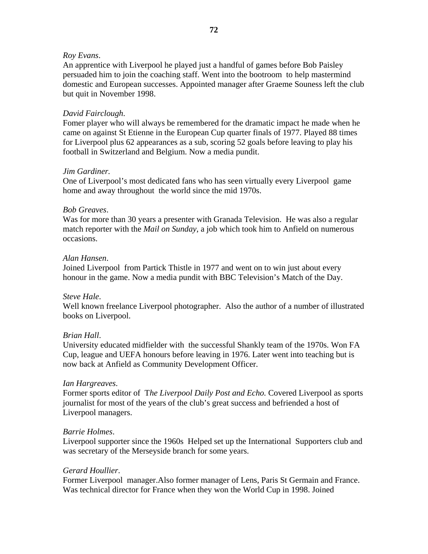# *Roy Evans*.

An apprentice with Liverpool he played just a handful of games before Bob Paisley persuaded him to join the coaching staff. Went into the bootroom to help mastermind domestic and European successes. Appointed manager after Graeme Souness left the club but quit in November 1998.

# *David Fairclough*.

Fomer player who will always be remembered for the dramatic impact he made when he came on against St Etienne in the European Cup quarter finals of 1977. Played 88 times for Liverpool plus 62 appearances as a sub, scoring 52 goals before leaving to play his football in Switzerland and Belgium. Now a media pundit.

## *Jim Gardiner.*

One of Liverpool's most dedicated fans who has seen virtually every Liverpool game home and away throughout the world since the mid 1970s.

## *Bob Greaves*.

Was for more than 30 years a presenter with Granada Television. He was also a regular match reporter with the *Mail on Sunday*, a job which took him to Anfield on numerous occasions.

## *Alan Hansen*.

Joined Liverpool from Partick Thistle in 1977 and went on to win just about every honour in the game. Now a media pundit with BBC Television's Match of the Day.

# *Steve Hale*.

Well known freelance Liverpool photographer. Also the author of a number of illustrated books on Liverpool.

# *Brian Hall*.

University educated midfielder with the successful Shankly team of the 1970s. Won FA Cup, league and UEFA honours before leaving in 1976. Later went into teaching but is now back at Anfield as Community Development Officer.

#### *Ian Hargreaves*.

Former sports editor of T*he Liverpool Daily Post and Echo.* Covered Liverpool as sports journalist for most of the years of the club's great success and befriended a host of Liverpool managers.

#### *Barrie Holmes*.

Liverpool supporter since the 1960s Helped set up the International Supporters club and was secretary of the Merseyside branch for some years.

#### *Gerard Houllier*.

Former Liverpool manager.Also former manager of Lens, Paris St Germain and France. Was technical director for France when they won the World Cup in 1998. Joined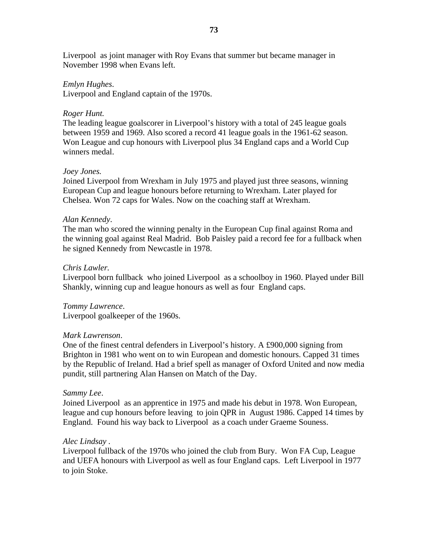Liverpool as joint manager with Roy Evans that summer but became manager in November 1998 when Evans left.

#### *Emlyn Hughes*.

Liverpool and England captain of the 1970s.

#### *Roger Hunt.*

The leading league goalscorer in Liverpool's history with a total of 245 league goals between 1959 and 1969. Also scored a record 41 league goals in the 1961-62 season. Won League and cup honours with Liverpool plus 34 England caps and a World Cup winners medal.

#### *Joey Jones.*

Joined Liverpool from Wrexham in July 1975 and played just three seasons, winning European Cup and league honours before returning to Wrexham. Later played for Chelsea. Won 72 caps for Wales. Now on the coaching staff at Wrexham.

#### *Alan Kennedy*.

The man who scored the winning penalty in the European Cup final against Roma and the winning goal against Real Madrid. Bob Paisley paid a record fee for a fullback when he signed Kennedy from Newcastle in 1978.

#### *Chris Lawler.*

Liverpool born fullback who joined Liverpool as a schoolboy in 1960. Played under Bill Shankly, winning cup and league honours as well as four England caps.

#### *Tommy Lawrence*.

Liverpool goalkeeper of the 1960s.

#### *Mark Lawrenson*.

One of the finest central defenders in Liverpool's history. A £900,000 signing from Brighton in 1981 who went on to win European and domestic honours. Capped 31 times by the Republic of Ireland. Had a brief spell as manager of Oxford United and now media pundit, still partnering Alan Hansen on Match of the Day.

#### *Sammy Lee*.

Joined Liverpool as an apprentice in 1975 and made his debut in 1978. Won European, league and cup honours before leaving to join QPR in August 1986. Capped 14 times by England. Found his way back to Liverpool as a coach under Graeme Souness.

#### *Alec Lindsay .*

Liverpool fullback of the 1970s who joined the club from Bury. Won FA Cup, League and UEFA honours with Liverpool as well as four England caps. Left Liverpool in 1977 to join Stoke.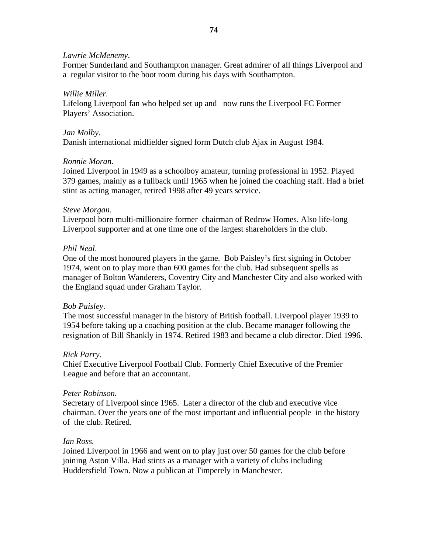# *Lawrie McMenemy*.

Former Sunderland and Southampton manager. Great admirer of all things Liverpool and a regular visitor to the boot room during his days with Southampton.

# *Willie Miller.*

Lifelong Liverpool fan who helped set up and now runs the Liverpool FC Former Players' Association.

## *Jan Molby*.

Danish international midfielder signed form Dutch club Ajax in August 1984.

## *Ronnie Moran.*

Joined Liverpool in 1949 as a schoolboy amateur, turning professional in 1952. Played 379 games, mainly as a fullback until 1965 when he joined the coaching staff. Had a brief stint as acting manager, retired 1998 after 49 years service.

## *Steve Morgan*.

Liverpool born multi-millionaire former chairman of Redrow Homes. Also life-long Liverpool supporter and at one time one of the largest shareholders in the club.

## *Phil Neal*.

One of the most honoured players in the game. Bob Paisley's first signing in October 1974, went on to play more than 600 games for the club. Had subsequent spells as manager of Bolton Wanderers, Coventry City and Manchester City and also worked with the England squad under Graham Taylor.

# *Bob Paisley*.

The most successful manager in the history of British football. Liverpool player 1939 to 1954 before taking up a coaching position at the club. Became manager following the resignation of Bill Shankly in 1974. Retired 1983 and became a club director. Died 1996.

# *Rick Parry.*

Chief Executive Liverpool Football Club. Formerly Chief Executive of the Premier League and before that an accountant.

# *Peter Robinson.*

Secretary of Liverpool since 1965. Later a director of the club and executive vice chairman. Over the years one of the most important and influential people in the history of the club. Retired.

#### *Ian Ross.*

Joined Liverpool in 1966 and went on to play just over 50 games for the club before joining Aston Villa. Had stints as a manager with a variety of clubs including Huddersfield Town. Now a publican at Timperely in Manchester.